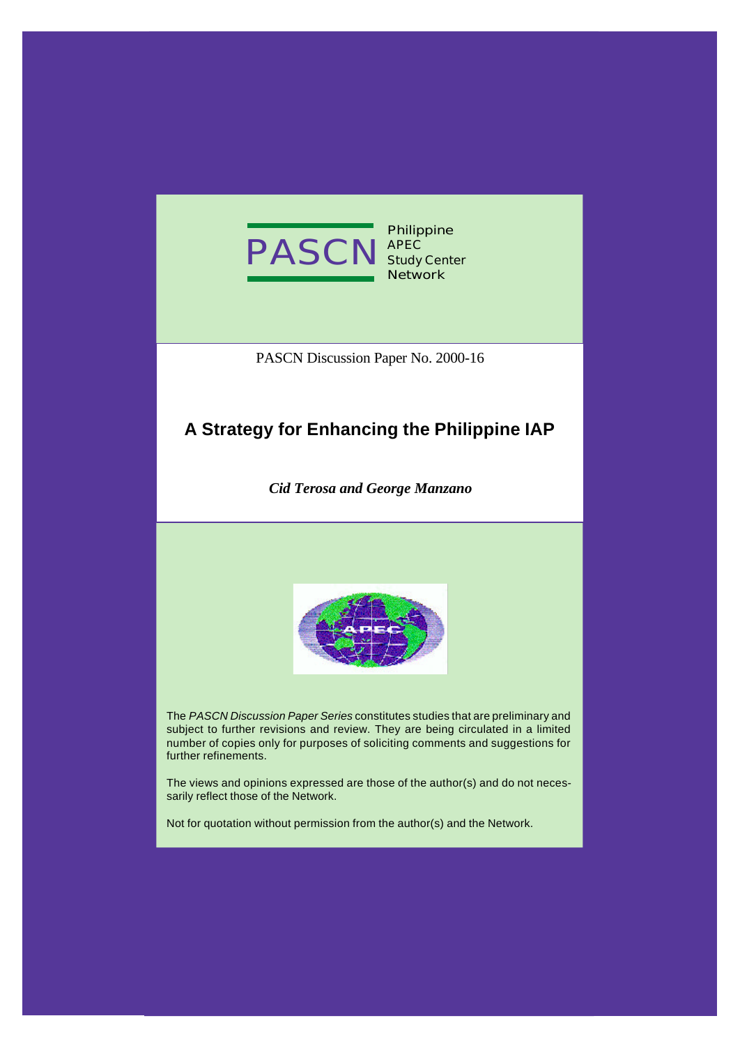

**Philippine APEC Study Center Network**

PASCN Discussion Paper No. 2000-16

# **A Strategy for Enhancing the Philippine IAP**

*Cid Terosa and George Manzano*



The *PASCN Discussion Paper Series* constitutes studies that are preliminary and subject to further revisions and review. They are being circulated in a limited number of copies only for purposes of soliciting comments and suggestions for further refinements.

The views and opinions expressed are those of the author(s) and do not necessarily reflect those of the Network.

Not for quotation without permission from the author(s) and the Network.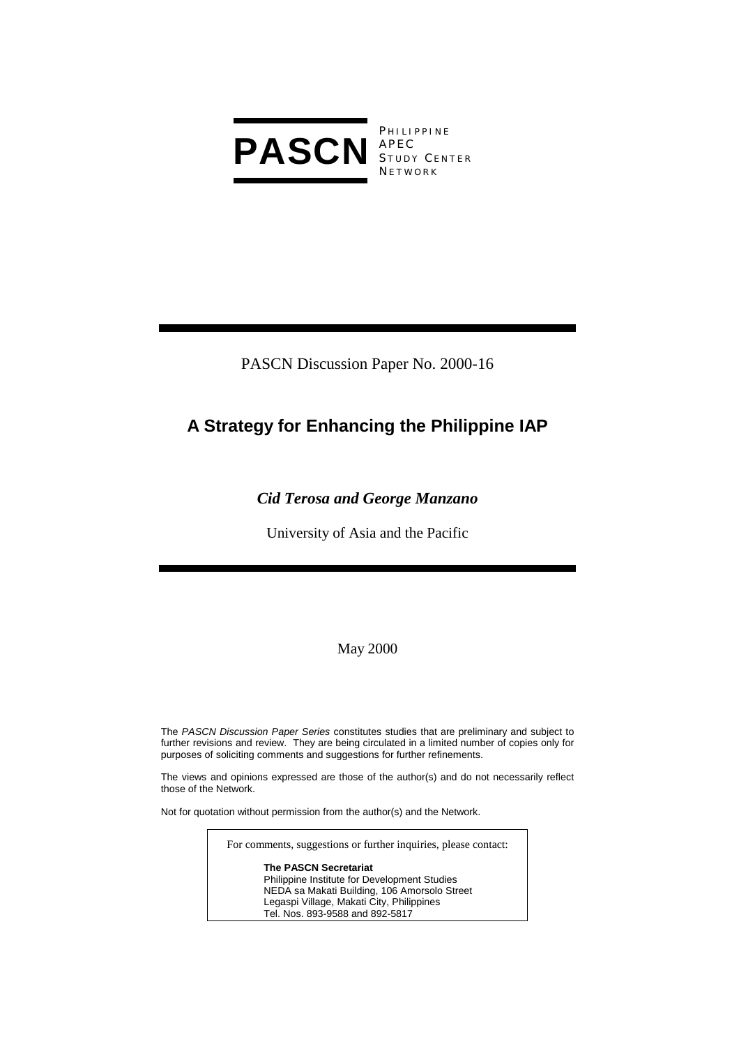

**PHILIPPINE** S TUDY C ENTER **NETWORK** 

PASCN Discussion Paper No. 2000-16

# **A Strategy for Enhancing the Philippine IAP**

### *Cid Terosa and George Manzano*

University of Asia and the Pacific

May 2000

The *PASCN Discussion Paper Series* constitutes studies that are preliminary and subject to further revisions and review. They are being circulated in a limited number of copies only for purposes of soliciting comments and suggestions for further refinements.

The views and opinions expressed are those of the author(s) and do not necessarily reflect those of the Network.

Not for quotation without permission from the author(s) and the Network.

For comments, suggestions or further inquiries, please contact:

**The PASCN Secretariat** Philippine Institute for Development Studies NEDA sa Makati Building, 106 Amorsolo Street Legaspi Village, Makati City, Philippines Tel. Nos. 893-9588 and 892-5817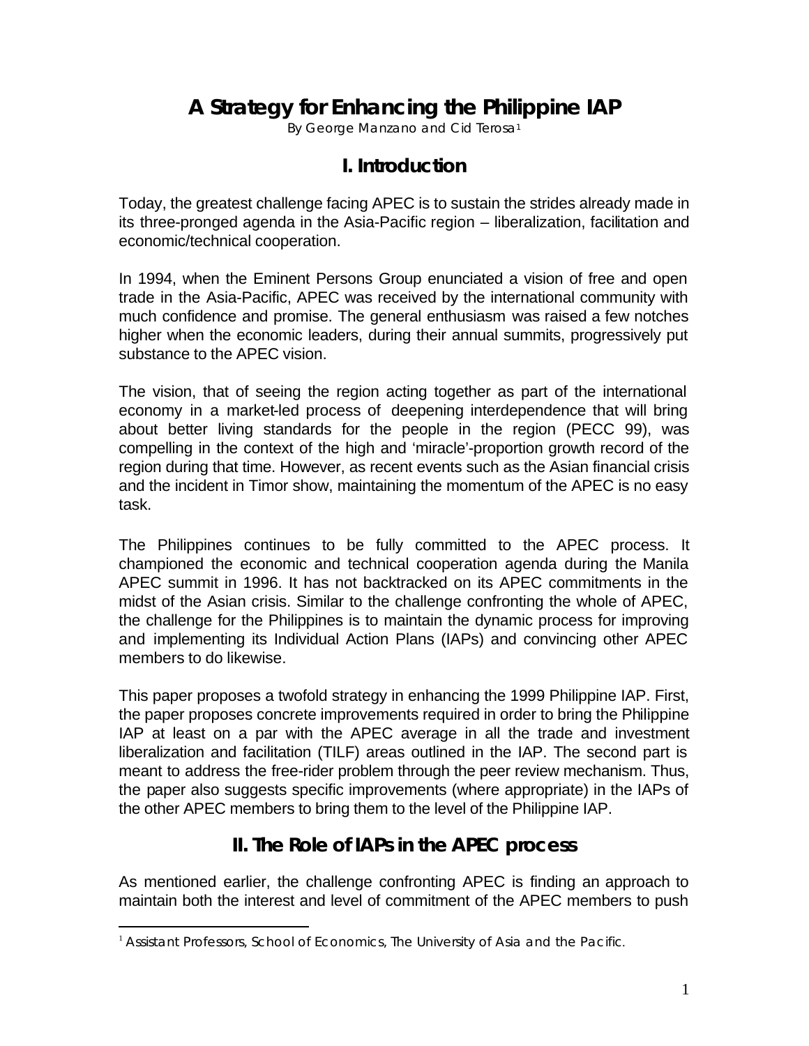# **A Strategy for Enhancing the Philippine IAP**

By George Manzano and Cid Terosa<sup>1</sup>

### **I. Introduction**

Today, the greatest challenge facing APEC is to sustain the strides already made in its three-pronged agenda in the Asia-Pacific region – liberalization, facilitation and economic/technical cooperation.

In 1994, when the Eminent Persons Group enunciated a vision of free and open trade in the Asia-Pacific, APEC was received by the international community with much confidence and promise. The general enthusiasm was raised a few notches higher when the economic leaders, during their annual summits, progressively put substance to the APEC vision.

The vision, that of seeing the region acting together as part of the international economy in a market-led process of deepening interdependence that will bring about better living standards for the people in the region (PECC 99), was compelling in the context of the high and 'miracle'-proportion growth record of the region during that time. However, as recent events such as the Asian financial crisis and the incident in Timor show, maintaining the momentum of the APEC is no easy task.

The Philippines continues to be fully committed to the APEC process. It championed the economic and technical cooperation agenda during the Manila APEC summit in 1996. It has not backtracked on its APEC commitments in the midst of the Asian crisis. Similar to the challenge confronting the whole of APEC, the challenge for the Philippines is to maintain the dynamic process for improving and implementing its Individual Action Plans (IAPs) and convincing other APEC members to do likewise.

This paper proposes a twofold strategy in enhancing the 1999 Philippine IAP. First, the paper proposes concrete improvements required in order to bring the Philippine IAP at least on a par with the APEC average in all the trade and investment liberalization and facilitation (TILF) areas outlined in the IAP. The second part is meant to address the free-rider problem through the peer review mechanism. Thus, the paper also suggests specific improvements (where appropriate) in the IAPs of the other APEC members to bring them to the level of the Philippine IAP.

# **II. The Role of IAPs in the APEC process**

As mentioned earlier, the challenge confronting APEC is finding an approach to maintain both the interest and level of commitment of the APEC members to push

 $\overline{a}$ 

<sup>&</sup>lt;sup>1</sup> Assistant Professors, School of Economics, The University of Asia and the Pacific.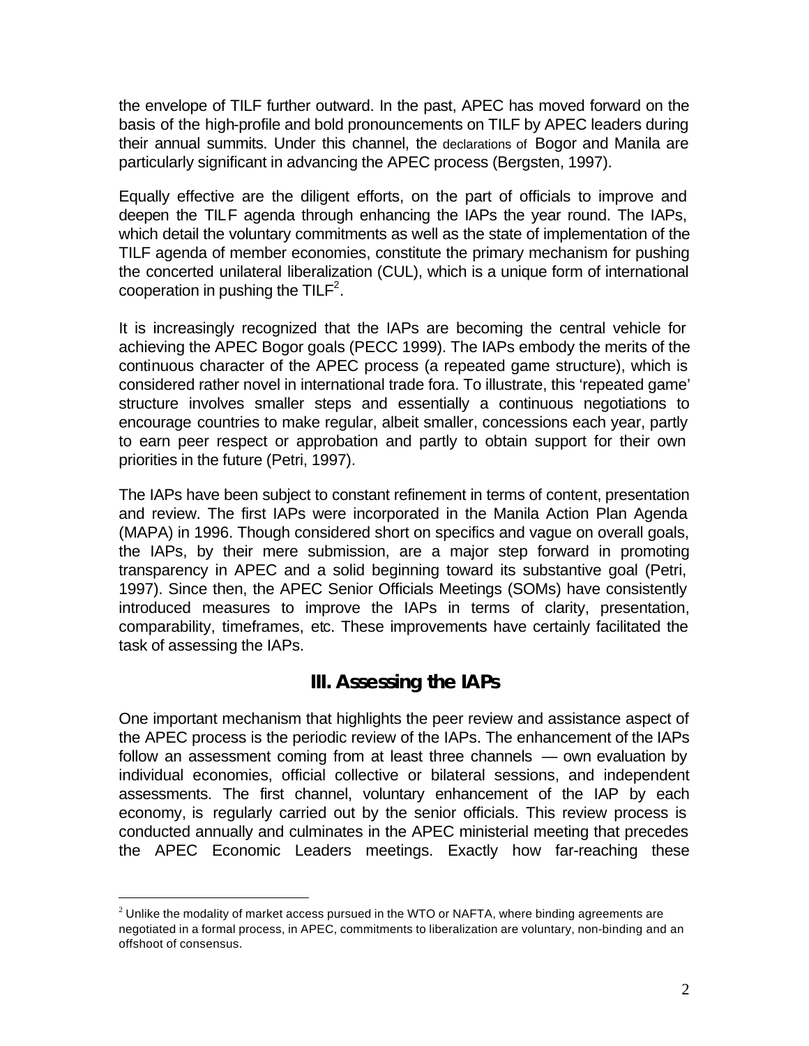the envelope of TILF further outward. In the past, APEC has moved forward on the basis of the high-profile and bold pronouncements on TILF by APEC leaders during their annual summits. Under this channel, the declarations of Bogor and Manila are particularly significant in advancing the APEC process (Bergsten, 1997).

Equally effective are the diligent efforts, on the part of officials to improve and deepen the TILF agenda through enhancing the IAPs the year round. The IAPs, which detail the voluntary commitments as well as the state of implementation of the TILF agenda of member economies, constitute the primary mechanism for pushing the concerted unilateral liberalization (CUL), which is a unique form of international cooperation in pushing the TILF<sup>2</sup>.

It is increasingly recognized that the IAPs are becoming the central vehicle for achieving the APEC Bogor goals (PECC 1999). The IAPs embody the merits of the continuous character of the APEC process (a repeated game structure), which is considered rather novel in international trade fora. To illustrate, this 'repeated game' structure involves smaller steps and essentially a continuous negotiations to encourage countries to make regular, albeit smaller, concessions each year, partly to earn peer respect or approbation and partly to obtain support for their own priorities in the future (Petri, 1997).

The IAPs have been subject to constant refinement in terms of content, presentation and review. The first IAPs were incorporated in the Manila Action Plan Agenda (MAPA) in 1996. Though considered short on specifics and vague on overall goals, the IAPs, by their mere submission, are a major step forward in promoting transparency in APEC and a solid beginning toward its substantive goal (Petri, 1997). Since then, the APEC Senior Officials Meetings (SOMs) have consistently introduced measures to improve the IAPs in terms of clarity, presentation, comparability, timeframes, etc. These improvements have certainly facilitated the task of assessing the IAPs.

# **III. Assessing the IAPs**

One important mechanism that highlights the peer review and assistance aspect of the APEC process is the periodic review of the IAPs. The enhancement of the IAPs follow an assessment coming from at least three channels — own evaluation by individual economies, official collective or bilateral sessions, and independent assessments. The first channel, voluntary enhancement of the IAP by each economy, is regularly carried out by the senior officials. This review process is conducted annually and culminates in the APEC ministerial meeting that precedes the APEC Economic Leaders meetings. Exactly how far-reaching these

 $\overline{a}$ 

 $^{\text{2}}$  Unlike the modality of market access pursued in the WTO or NAFTA, where binding agreements are negotiated in a formal process, in APEC, commitments to liberalization are voluntary, non-binding and an offshoot of consensus.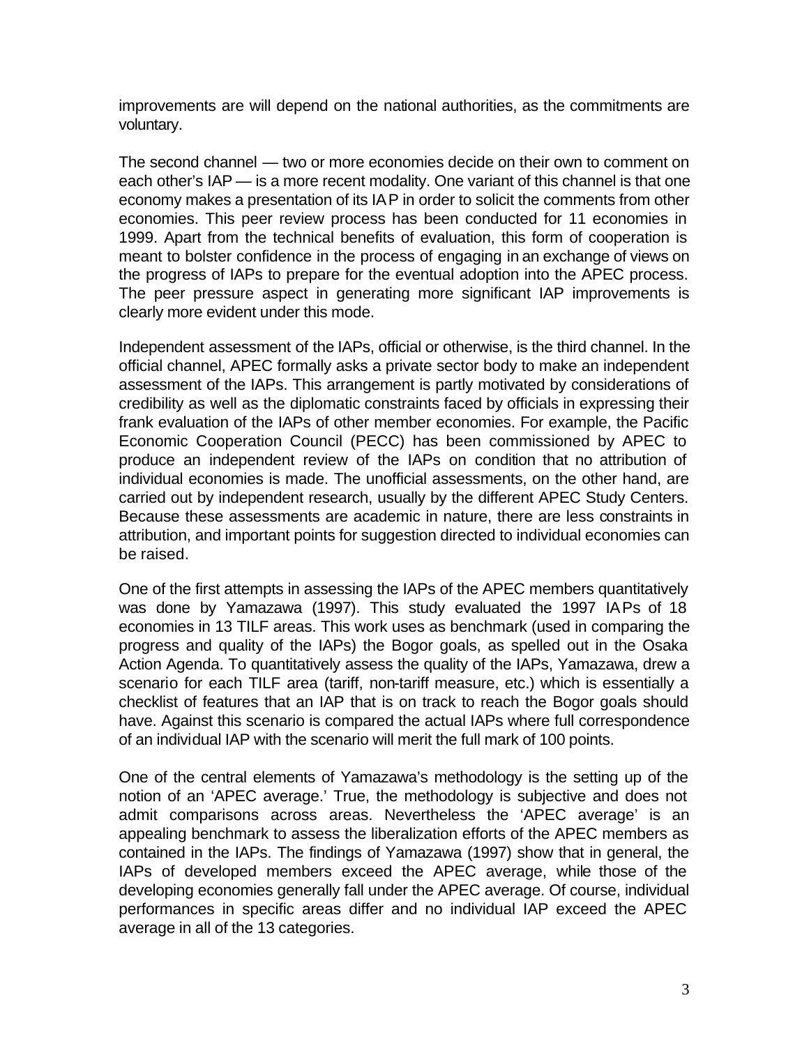improvements are will depend on the national authorities, as the commitments are voluntary.

The second channel — two or more economies decide on their own to comment on each other's IAP — is a more recent modality. One variant of this channel is that one economy makes a presentation of its IAP in order to solicit the comments from other economies. This peer review process has been conducted for 11 economies in 1999. Apart from the technical benefits of evaluation, this form of cooperation is meant to bolster confidence in the process of engaging in an exchange of views on the progress of IAPs to prepare for the eventual adoption into the APEC process. The peer pressure aspect in generating more significant IAP improvements is clearly more evident under this mode.

Independent assessment of the IAPs, official or otherwise, is the third channel. In the official channel, APEC formally asks a private sector body to make an independent assessment of the IAPs. This arrangement is partly motivated by considerations of credibility as well as the diplomatic constraints faced by officials in expressing their frank evaluation of the IAPs of other member economies. For example, the Pacific Economic Cooperation Council (PECC) has been commissioned by APEC to produce an independent review of the IAPs on condition that no attribution of individual economies is made. The unofficial assessments, on the other hand, are carried out by independent research, usually by the different APEC Study Centers. Because these assessments are academic in nature, there are less constraints in attribution, and important points for suggestion directed to individual economies can be raised.

One of the first attempts in assessing the IAPs of the APEC members quantitatively was done by Yamazawa (1997). This study evaluated the 1997 IAPs of 18 economies in 13 TILF areas. This work uses as benchmark (used in comparing the progress and quality of the IAPs) the Bogor goals, as spelled out in the Osaka Action Agenda. To quantitatively assess the quality of the IAPs, Yamazawa, drew a scenario for each TILF area (tariff, non-tariff measure, etc.) which is essentially a checklist of features that an IAP that is on track to reach the Bogor goals should have. Against this scenario is compared the actual IAPs where full correspondence of an individual IAP with the scenario will merit the full mark of 100 points.

One of the central elements of Yamazawa's methodology is the setting up of the notion of an 'APEC average.' True, the methodology is subjective and does not admit comparisons across areas. Nevertheless the 'APEC average' is an appealing benchmark to assess the liberalization efforts of the APEC members as contained in the IAPs. The findings of Yamazawa (1997) show that in general, the IAPs of developed members exceed the APEC average, while those of the developing economies generally fall under the APEC average. Of course, individual performances in specific areas differ and no individual IAP exceed the APEC average in all of the 13 categories.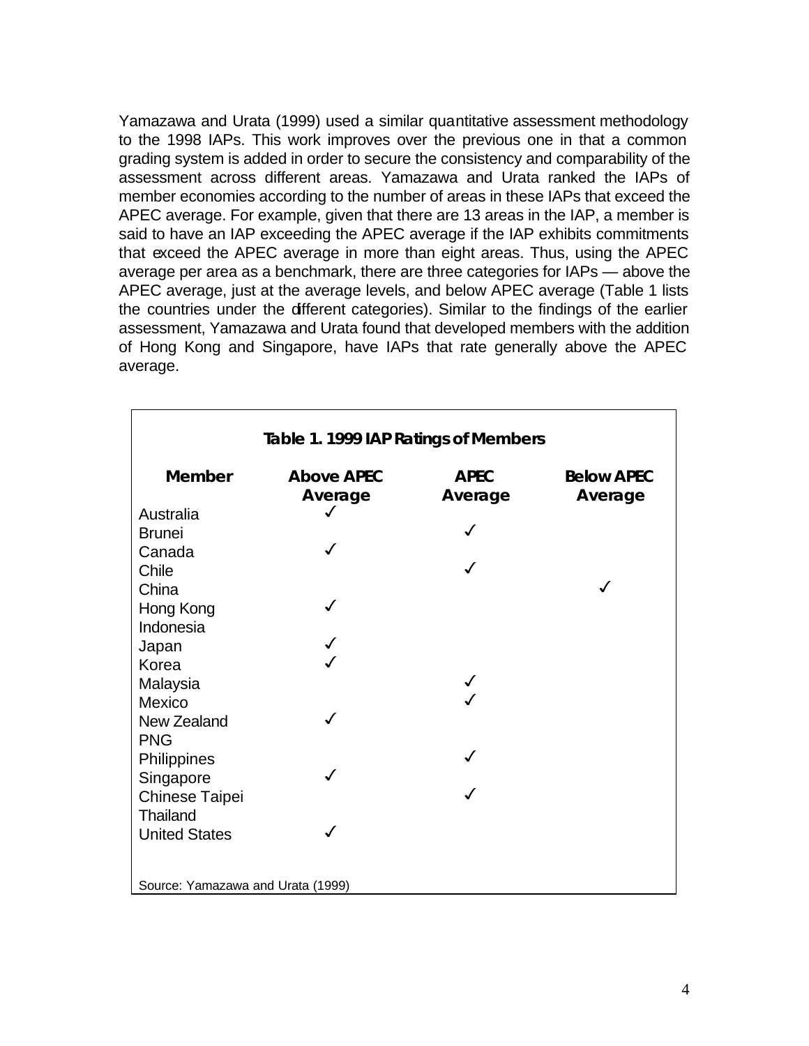Yamazawa and Urata (1999) used a similar quantitative assessment methodology to the 1998 IAPs. This work improves over the previous one in that a common grading system is added in order to secure the consistency and comparability of the assessment across different areas. Yamazawa and Urata ranked the IAPs of member economies according to the number of areas in these IAPs that exceed the APEC average. For example, given that there are 13 areas in the IAP, a member is said to have an IAP exceeding the APEC average if the IAP exhibits commitments that exceed the APEC average in more than eight areas. Thus, using the APEC average per area as a benchmark, there are three categories for IAPs — above the APEC average, just at the average levels, and below APEC average (Table 1 lists the countries under the different categories). Similar to the findings of the earlier assessment, Yamazawa and Urata found that developed members with the addition of Hong Kong and Singapore, have IAPs that rate generally above the APEC average.

| Table 1. 1999 IAP Ratings of Members |                              |                        |                              |  |
|--------------------------------------|------------------------------|------------------------|------------------------------|--|
| <b>Member</b>                        | <b>Above APEC</b><br>Average | <b>APEC</b><br>Average | <b>Below APEC</b><br>Average |  |
| Australia                            | ✓                            |                        |                              |  |
| <b>Brunei</b>                        |                              |                        |                              |  |
| Canada                               |                              |                        |                              |  |
| Chile                                |                              |                        |                              |  |
| China                                |                              |                        |                              |  |
| Hong Kong                            |                              |                        |                              |  |
| Indonesia                            |                              |                        |                              |  |
| Japan                                |                              |                        |                              |  |
| Korea                                |                              |                        |                              |  |
| Malaysia                             |                              |                        |                              |  |
| Mexico                               |                              |                        |                              |  |
| New Zealand                          |                              |                        |                              |  |
| <b>PNG</b>                           |                              |                        |                              |  |
| Philippines                          |                              |                        |                              |  |
| Singapore                            |                              |                        |                              |  |
| Chinese Taipei                       |                              |                        |                              |  |
| Thailand                             |                              |                        |                              |  |
| <b>United States</b>                 |                              |                        |                              |  |
|                                      |                              |                        |                              |  |
|                                      |                              |                        |                              |  |
| Source: Yamazawa and Urata (1999)    |                              |                        |                              |  |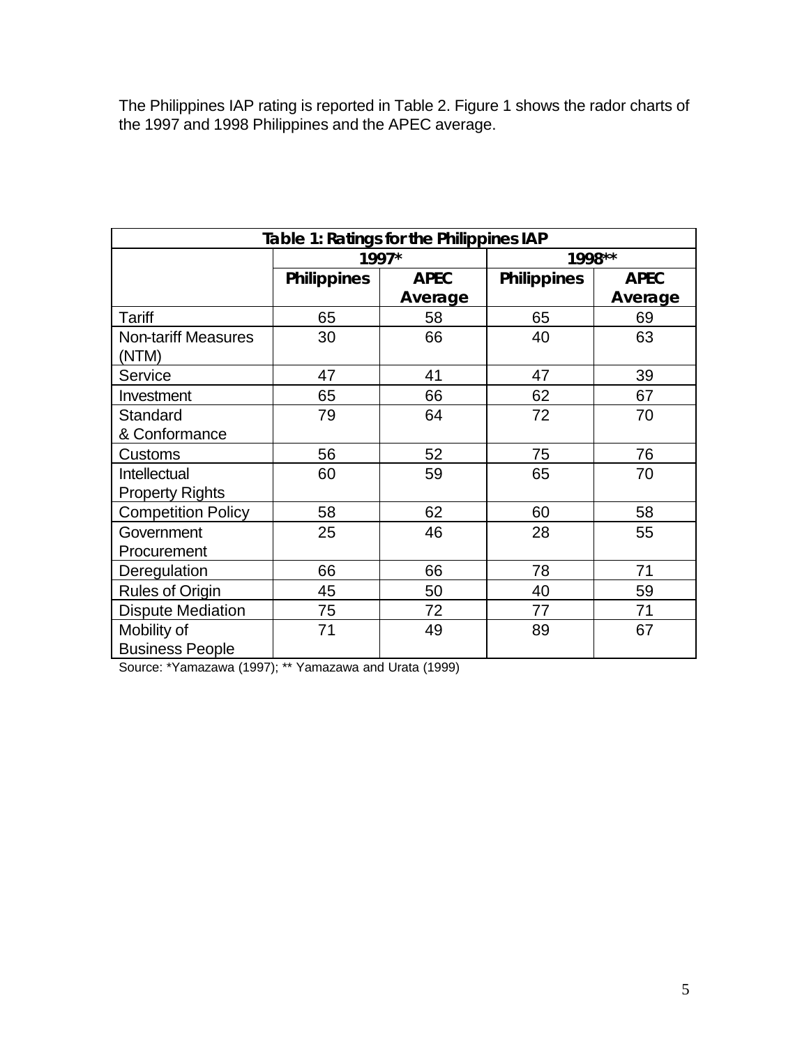The Philippines IAP rating is reported in Table 2. Figure 1 shows the rador charts of the 1997 and 1998 Philippines and the APEC average.

| Table 1: Ratings for the Philippines IAP |                    |             |                    |             |
|------------------------------------------|--------------------|-------------|--------------------|-------------|
|                                          | 1997*              |             | 1998**             |             |
|                                          | <b>Philippines</b> | <b>APEC</b> | <b>Philippines</b> | <b>APEC</b> |
|                                          |                    | Average     |                    | Average     |
| Tariff                                   | 65                 | 58          | 65                 | 69          |
| <b>Non-tariff Measures</b>               | 30                 | 66          | 40                 | 63          |
| (NTM)                                    |                    |             |                    |             |
| Service                                  | 47                 | 41          | 47                 | 39          |
| Investment                               | 65                 | 66          | 62                 | 67          |
| Standard                                 | 79                 | 64          | 72                 | 70          |
| & Conformance                            |                    |             |                    |             |
| <b>Customs</b>                           | 56                 | 52          | 75                 | 76          |
| <b>Intellectual</b>                      | 60                 | 59          | 65                 | 70          |
| <b>Property Rights</b>                   |                    |             |                    |             |
| <b>Competition Policy</b>                | 58                 | 62          | 60                 | 58          |
| Government                               | 25                 | 46          | 28                 | 55          |
| Procurement                              |                    |             |                    |             |
| Deregulation                             | 66                 | 66          | 78                 | 71          |
| <b>Rules of Origin</b>                   | 45                 | 50          | 40                 | 59          |
| <b>Dispute Mediation</b>                 | 75                 | 72          | 77                 | 71          |
| Mobility of                              | 71                 | 49          | 89                 | 67          |
| <b>Business People</b>                   |                    |             |                    |             |

Source: \*Yamazawa (1997); \*\* Yamazawa and Urata (1999)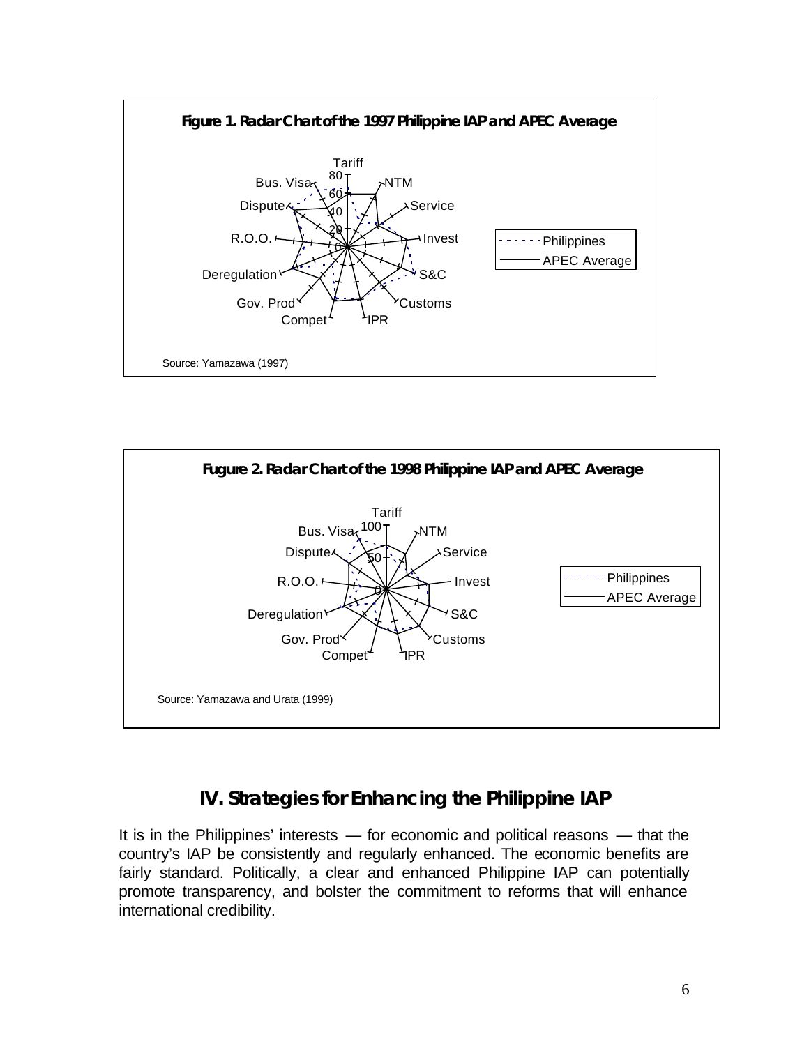



# **IV. Strategies for Enhancing the Philippine IAP**

It is in the Philippines' interests — for economic and political reasons — that the country's IAP be consistently and regularly enhanced. The economic benefits are fairly standard. Politically, a clear and enhanced Philippine IAP can potentially promote transparency, and bolster the commitment to reforms that will enhance international credibility.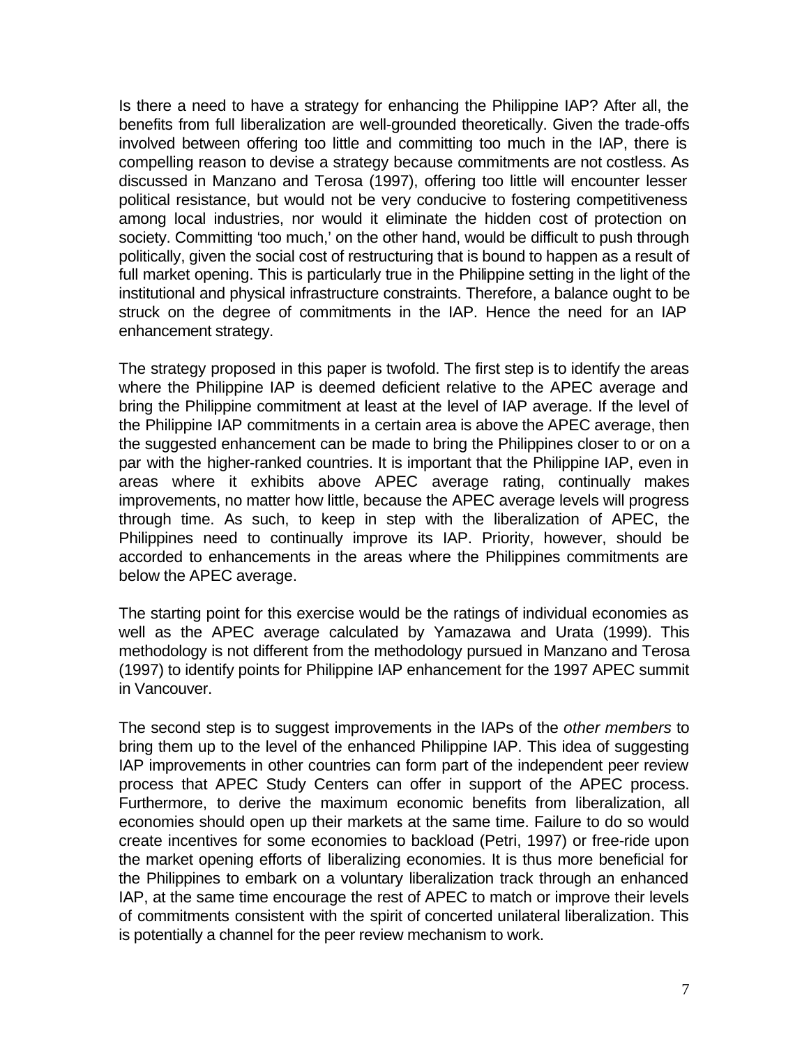Is there a need to have a strategy for enhancing the Philippine IAP? After all, the benefits from full liberalization are well-grounded theoretically. Given the trade-offs involved between offering too little and committing too much in the IAP, there is compelling reason to devise a strategy because commitments are not costless. As discussed in Manzano and Terosa (1997), offering too little will encounter lesser political resistance, but would not be very conducive to fostering competitiveness among local industries, nor would it eliminate the hidden cost of protection on society. Committing 'too much,' on the other hand, would be difficult to push through politically, given the social cost of restructuring that is bound to happen as a result of full market opening. This is particularly true in the Philippine setting in the light of the institutional and physical infrastructure constraints. Therefore, a balance ought to be struck on the degree of commitments in the IAP. Hence the need for an IAP enhancement strategy.

The strategy proposed in this paper is twofold. The first step is to identify the areas where the Philippine IAP is deemed deficient relative to the APEC average and bring the Philippine commitment at least at the level of IAP average. If the level of the Philippine IAP commitments in a certain area is above the APEC average, then the suggested enhancement can be made to bring the Philippines closer to or on a par with the higher-ranked countries. It is important that the Philippine IAP, even in areas where it exhibits above APEC average rating, continually makes improvements, no matter how little, because the APEC average levels will progress through time. As such, to keep in step with the liberalization of APEC, the Philippines need to continually improve its IAP. Priority, however, should be accorded to enhancements in the areas where the Philippines commitments are below the APEC average.

The starting point for this exercise would be the ratings of individual economies as well as the APEC average calculated by Yamazawa and Urata (1999). This methodology is not different from the methodology pursued in Manzano and Terosa (1997) to identify points for Philippine IAP enhancement for the 1997 APEC summit in Vancouver.

The second step is to suggest improvements in the IAPs of the *other members* to bring them up to the level of the enhanced Philippine IAP. This idea of suggesting IAP improvements in other countries can form part of the independent peer review process that APEC Study Centers can offer in support of the APEC process. Furthermore, to derive the maximum economic benefits from liberalization, all economies should open up their markets at the same time. Failure to do so would create incentives for some economies to backload (Petri, 1997) or free-ride upon the market opening efforts of liberalizing economies. It is thus more beneficial for the Philippines to embark on a voluntary liberalization track through an enhanced IAP, at the same time encourage the rest of APEC to match or improve their levels of commitments consistent with the spirit of concerted unilateral liberalization. This is potentially a channel for the peer review mechanism to work.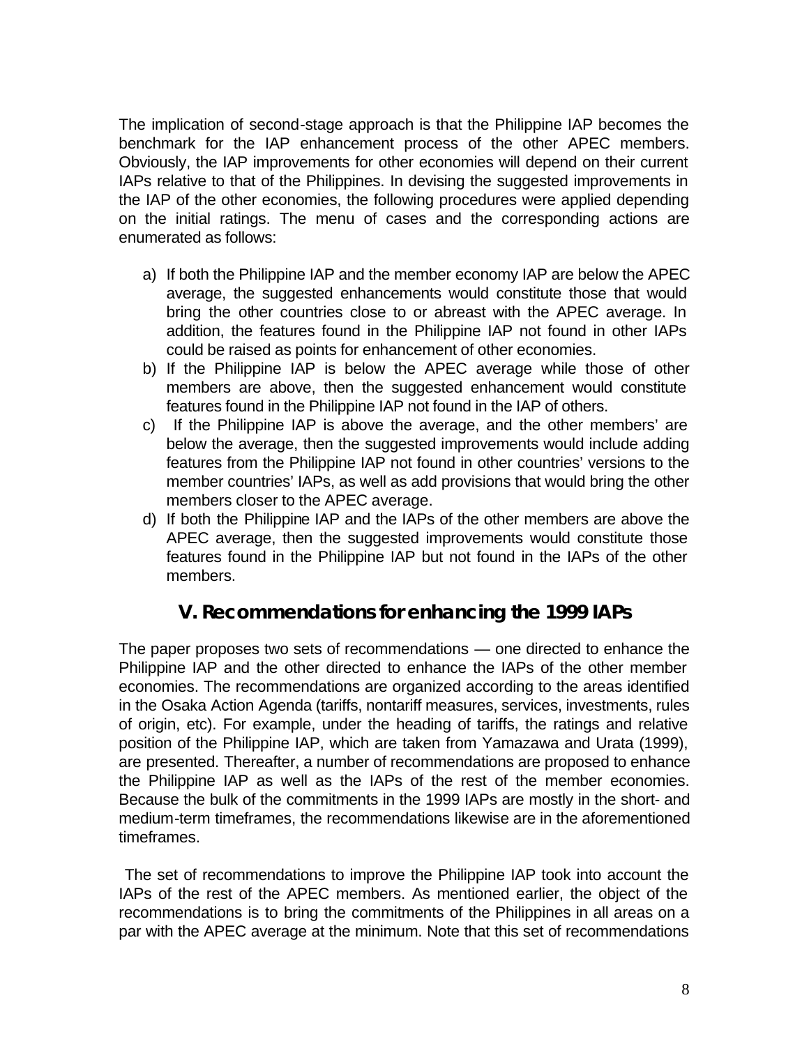The implication of second-stage approach is that the Philippine IAP becomes the benchmark for the IAP enhancement process of the other APEC members. Obviously, the IAP improvements for other economies will depend on their current IAPs relative to that of the Philippines. In devising the suggested improvements in the IAP of the other economies, the following procedures were applied depending on the initial ratings. The menu of cases and the corresponding actions are enumerated as follows:

- a) If both the Philippine IAP and the member economy IAP are below the APEC average, the suggested enhancements would constitute those that would bring the other countries close to or abreast with the APEC average. In addition, the features found in the Philippine IAP not found in other IAPs could be raised as points for enhancement of other economies.
- b) If the Philippine IAP is below the APEC average while those of other members are above, then the suggested enhancement would constitute features found in the Philippine IAP not found in the IAP of others.
- c) If the Philippine IAP is above the average, and the other members' are below the average, then the suggested improvements would include adding features from the Philippine IAP not found in other countries' versions to the member countries' IAPs, as well as add provisions that would bring the other members closer to the APEC average.
- d) If both the Philippine IAP and the IAPs of the other members are above the APEC average, then the suggested improvements would constitute those features found in the Philippine IAP but not found in the IAPs of the other members.

# **V. Recommendations for enhancing the 1999 IAPs**

The paper proposes two sets of recommendations — one directed to enhance the Philippine IAP and the other directed to enhance the IAPs of the other member economies. The recommendations are organized according to the areas identified in the Osaka Action Agenda (tariffs, nontariff measures, services, investments, rules of origin, etc). For example, under the heading of tariffs, the ratings and relative position of the Philippine IAP, which are taken from Yamazawa and Urata (1999), are presented. Thereafter, a number of recommendations are proposed to enhance the Philippine IAP as well as the IAPs of the rest of the member economies. Because the bulk of the commitments in the 1999 IAPs are mostly in the short- and medium-term timeframes, the recommendations likewise are in the aforementioned timeframes.

 The set of recommendations to improve the Philippine IAP took into account the IAPs of the rest of the APEC members. As mentioned earlier, the object of the recommendations is to bring the commitments of the Philippines in all areas on a par with the APEC average at the minimum. Note that this set of recommendations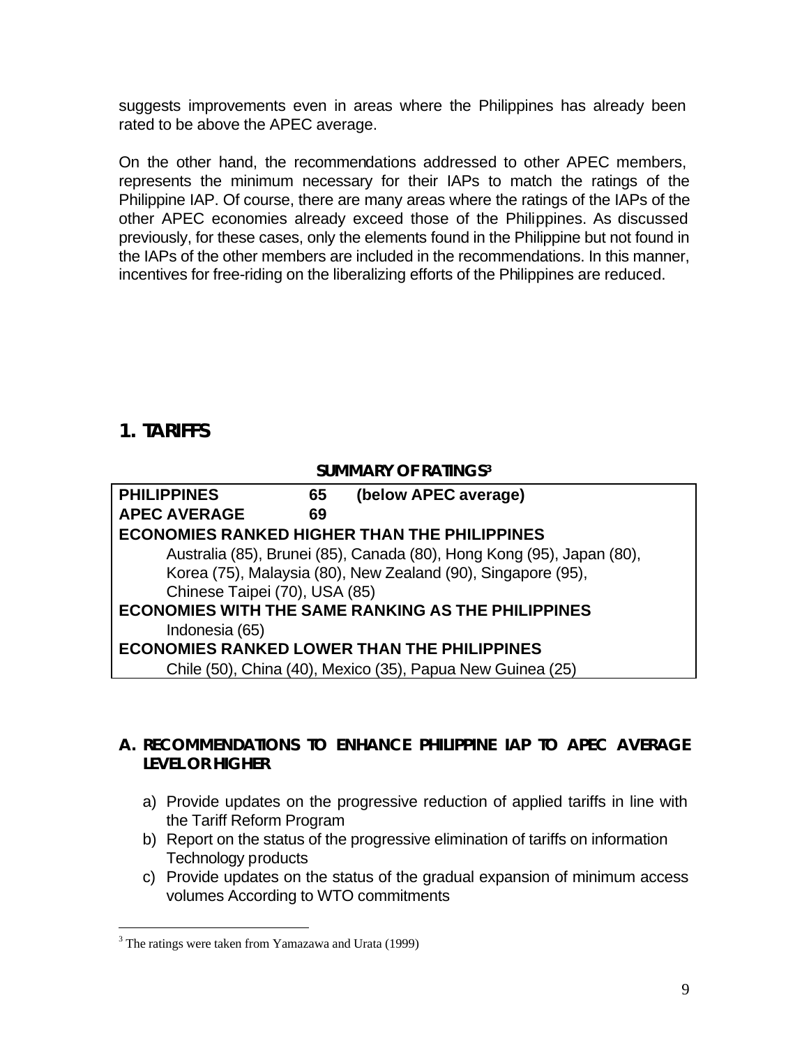suggests improvements even in areas where the Philippines has already been rated to be above the APEC average.

On the other hand, the recommendations addressed to other APEC members, represents the minimum necessary for their IAPs to match the ratings of the Philippine IAP. Of course, there are many areas where the ratings of the IAPs of the other APEC economies already exceed those of the Philippines. As discussed previously, for these cases, only the elements found in the Philippine but not found in the IAPs of the other members are included in the recommendations. In this manner, incentives for free-riding on the liberalizing efforts of the Philippines are reduced.

# **1. TARIFFS**

 $\overline{a}$ 

#### **SUMMARY OF RATINGS<sup>3</sup>**

| <b>PHILIPPINES</b>                                        | 65 | (below APEC average)                                                  |  |
|-----------------------------------------------------------|----|-----------------------------------------------------------------------|--|
| <b>APEC AVERAGE</b>                                       | 69 |                                                                       |  |
|                                                           |    | <b>ECONOMIES RANKED HIGHER THAN THE PHILIPPINES</b>                   |  |
|                                                           |    | Australia (85), Brunei (85), Canada (80), Hong Kong (95), Japan (80), |  |
|                                                           |    | Korea (75), Malaysia (80), New Zealand (90), Singapore (95),          |  |
| Chinese Taipei (70), USA (85)                             |    |                                                                       |  |
| <b>ECONOMIES WITH THE SAME RANKING AS THE PHILIPPINES</b> |    |                                                                       |  |
| Indonesia (65)                                            |    |                                                                       |  |
|                                                           |    | <b>ECONOMIES RANKED LOWER THAN THE PHILIPPINES</b>                    |  |
|                                                           |    | Chile (50), China (40), Mexico (35), Papua New Guinea (25)            |  |

### **A. RECOMMENDATIONS TO ENHANCE PHILIPPINE IAP TO APEC AVERAGE LEVEL OR HIGHER**

- a) Provide updates on the progressive reduction of applied tariffs in line with the Tariff Reform Program
- b) Report on the status of the progressive elimination of tariffs on information Technology products
- c) Provide updates on the status of the gradual expansion of minimum access volumes According to WTO commitments

<sup>&</sup>lt;sup>3</sup> The ratings were taken from Yamazawa and Urata (1999)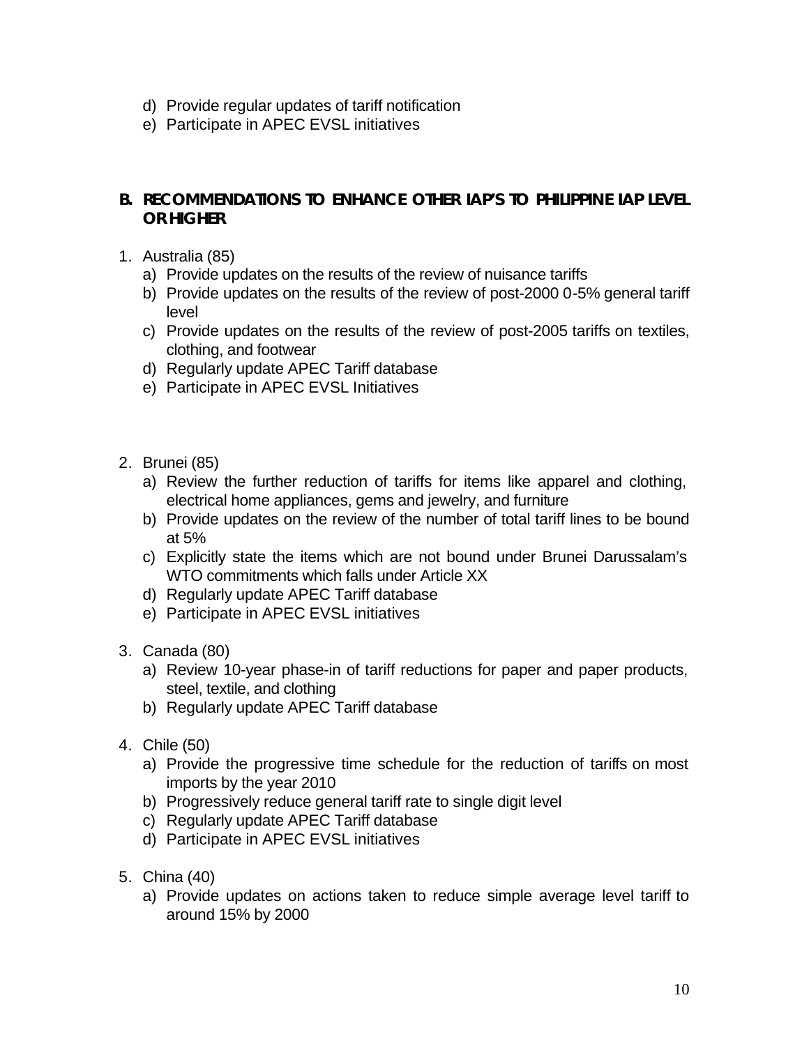- d) Provide regular updates of tariff notification
- e) Participate in APEC EVSL initiatives

#### **B. RECOMMENDATIONS TO ENHANCE OTHER IAP'S TO PHILIPPINE IAP LEVEL OR HIGHER**

- 1. Australia (85)
	- a) Provide updates on the results of the review of nuisance tariffs
	- b) Provide updates on the results of the review of post-2000 0-5% general tariff level
	- c) Provide updates on the results of the review of post-2005 tariffs on textiles, clothing, and footwear
	- d) Regularly update APEC Tariff database
	- e) Participate in APEC EVSL Initiatives
- 2. Brunei (85)
	- a) Review the further reduction of tariffs for items like apparel and clothing, electrical home appliances, gems and jewelry, and furniture
	- b) Provide updates on the review of the number of total tariff lines to be bound at 5%
	- c) Explicitly state the items which are not bound under Brunei Darussalam's WTO commitments which falls under Article XX
	- d) Regularly update APEC Tariff database
	- e) Participate in APEC EVSL initiatives
- 3. Canada (80)
	- a) Review 10-year phase-in of tariff reductions for paper and paper products, steel, textile, and clothing
	- b) Regularly update APEC Tariff database
- 4. Chile (50)
	- a) Provide the progressive time schedule for the reduction of tariffs on most imports by the year 2010
	- b) Progressively reduce general tariff rate to single digit level
	- c) Regularly update APEC Tariff database
	- d) Participate in APEC EVSL initiatives
- 5. China (40)
	- a) Provide updates on actions taken to reduce simple average level tariff to around 15% by 2000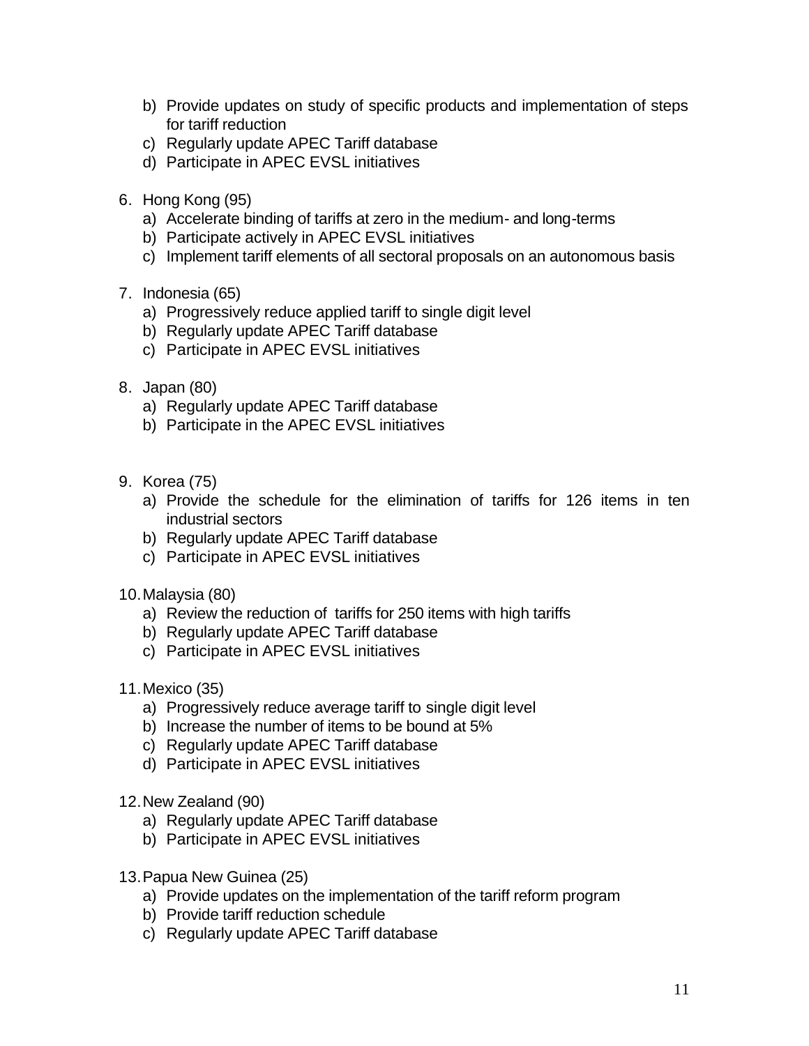- b) Provide updates on study of specific products and implementation of steps for tariff reduction
- c) Regularly update APEC Tariff database
- d) Participate in APEC EVSL initiatives
- 6. Hong Kong (95)
	- a) Accelerate binding of tariffs at zero in the medium- and long-terms
	- b) Participate actively in APEC EVSL initiatives
	- c) Implement tariff elements of all sectoral proposals on an autonomous basis
- 7. Indonesia (65)
	- a) Progressively reduce applied tariff to single digit level
	- b) Regularly update APEC Tariff database
	- c) Participate in APEC EVSL initiatives
- 8. Japan (80)
	- a) Regularly update APEC Tariff database
	- b) Participate in the APEC EVSL initiatives
- 9. Korea (75)
	- a) Provide the schedule for the elimination of tariffs for 126 items in ten industrial sectors
	- b) Regularly update APEC Tariff database
	- c) Participate in APEC EVSL initiatives

10.Malaysia (80)

- a) Review the reduction of tariffs for 250 items with high tariffs
- b) Regularly update APEC Tariff database
- c) Participate in APEC EVSL initiatives
- 11.Mexico (35)
	- a) Progressively reduce average tariff to single digit level
	- b) Increase the number of items to be bound at 5%
	- c) Regularly update APEC Tariff database
	- d) Participate in APEC EVSL initiatives
- 12.New Zealand (90)
	- a) Regularly update APEC Tariff database
	- b) Participate in APEC EVSL initiatives
- 13.Papua New Guinea (25)
	- a) Provide updates on the implementation of the tariff reform program
	- b) Provide tariff reduction schedule
	- c) Regularly update APEC Tariff database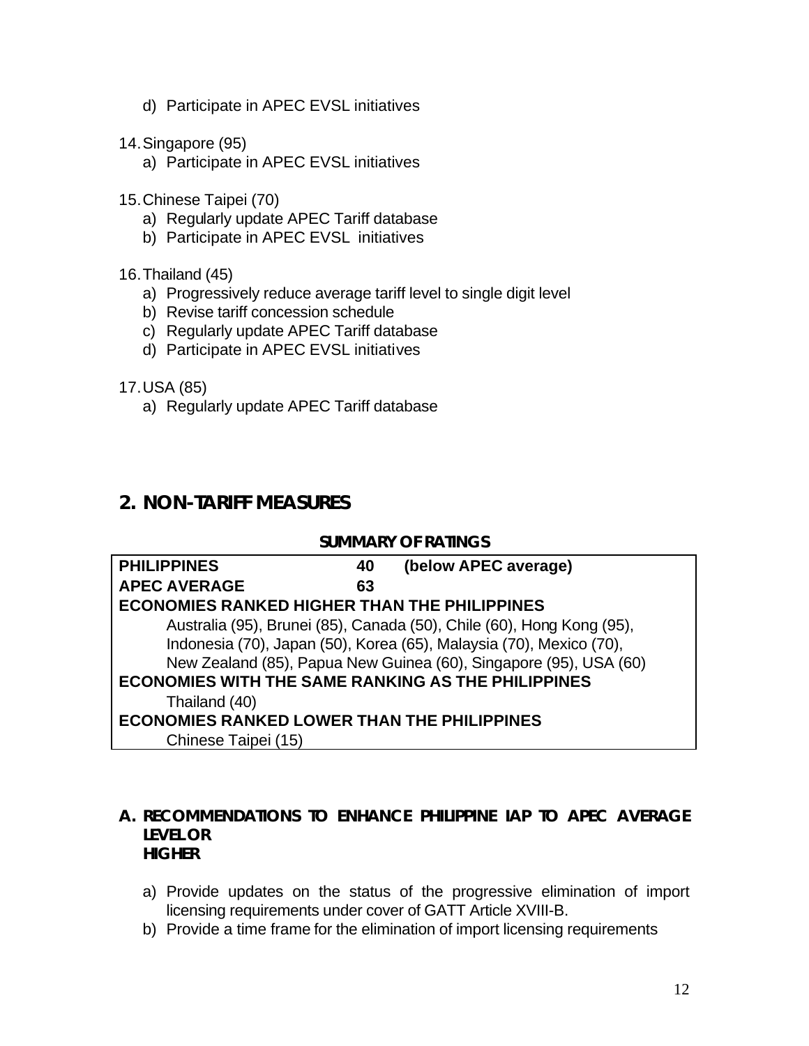- d) Participate in APEC EVSL initiatives
- 14.Singapore (95)
	- a) Participate in APEC EVSL initiatives
- 15.Chinese Taipei (70)
	- a) Regularly update APEC Tariff database
	- b) Participate in APEC EVSL initiatives
- 16.Thailand (45)
	- a) Progressively reduce average tariff level to single digit level
	- b) Revise tariff concession schedule
	- c) Regularly update APEC Tariff database
	- d) Participate in APEC EVSL initiatives
- 17.USA (85)
	- a) Regularly update APEC Tariff database

### **2. NON-TARIFF MEASURES**

#### **SUMMARY OF RATINGS**

| <b>PHILIPPINES</b>                                        | 40 | (below APEC average)                                                  |  |
|-----------------------------------------------------------|----|-----------------------------------------------------------------------|--|
| <b>APEC AVERAGE</b>                                       | 63 |                                                                       |  |
| <b>ECONOMIES RANKED HIGHER THAN THE PHILIPPINES</b>       |    |                                                                       |  |
|                                                           |    | Australia (95), Brunei (85), Canada (50), Chile (60), Hong Kong (95), |  |
|                                                           |    | Indonesia (70), Japan (50), Korea (65), Malaysia (70), Mexico (70),   |  |
|                                                           |    | New Zealand (85), Papua New Guinea (60), Singapore (95), USA (60)     |  |
| <b>ECONOMIES WITH THE SAME RANKING AS THE PHILIPPINES</b> |    |                                                                       |  |
| Thailand (40)                                             |    |                                                                       |  |
| <b>ECONOMIES RANKED LOWER THAN THE PHILIPPINES</b>        |    |                                                                       |  |
| Chinese Taipei (15)                                       |    |                                                                       |  |

#### **A. RECOMMENDATIONS TO ENHANCE PHILIPPINE IAP TO APEC AVERAGE LEVEL OR HIGHER**

- a) Provide updates on the status of the progressive elimination of import licensing requirements under cover of GATT Article XVIII-B.
- b) Provide a time frame for the elimination of import licensing requirements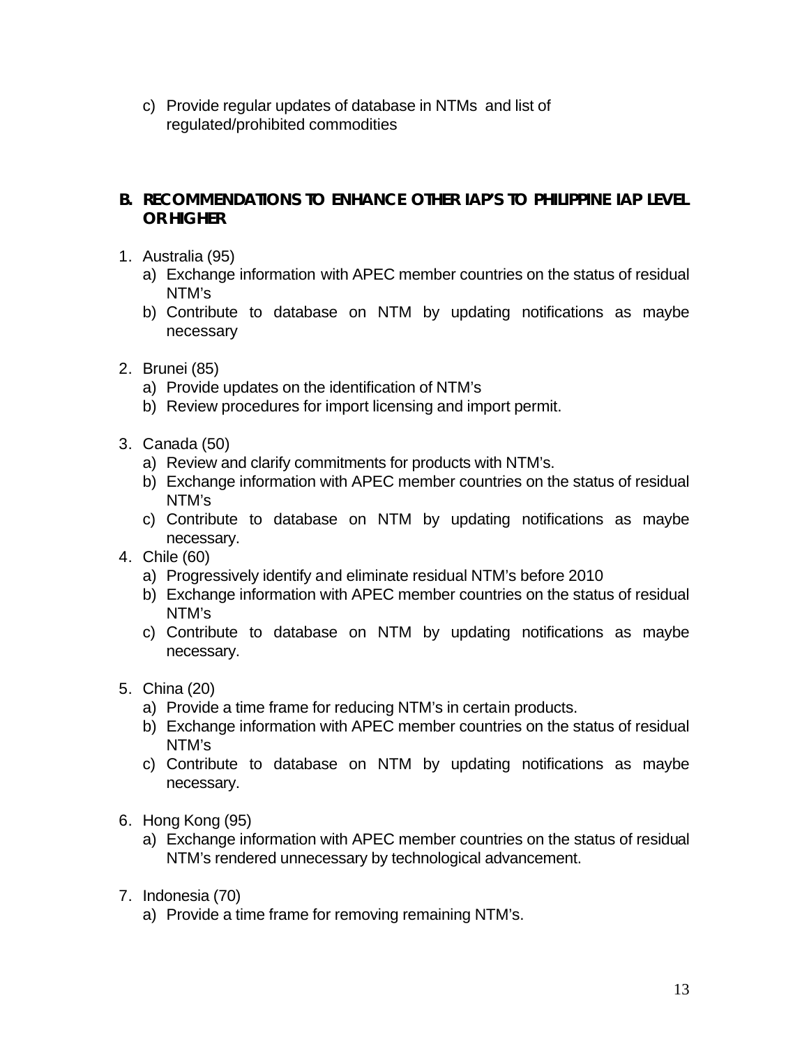c) Provide regular updates of database in NTMs and list of regulated/prohibited commodities

#### **B. RECOMMENDATIONS TO ENHANCE OTHER IAP'S TO PHILIPPINE IAP LEVEL OR HIGHER**

- 1. Australia (95)
	- a) Exchange information with APEC member countries on the status of residual NTM's
	- b) Contribute to database on NTM by updating notifications as maybe necessary
- 2. Brunei (85)
	- a) Provide updates on the identification of NTM's
	- b) Review procedures for import licensing and import permit.
- 3. Canada (50)
	- a) Review and clarify commitments for products with NTM's.
	- b) Exchange information with APEC member countries on the status of residual NTM's
	- c) Contribute to database on NTM by updating notifications as maybe necessary.
- 4. Chile (60)
	- a) Progressively identify and eliminate residual NTM's before 2010
	- b) Exchange information with APEC member countries on the status of residual NTM's
	- c) Contribute to database on NTM by updating notifications as maybe necessary.
- 5. China (20)
	- a) Provide a time frame for reducing NTM's in certain products.
	- b) Exchange information with APEC member countries on the status of residual NTM's
	- c) Contribute to database on NTM by updating notifications as maybe necessary.
- 6. Hong Kong (95)
	- a) Exchange information with APEC member countries on the status of residual NTM's rendered unnecessary by technological advancement.
- 7. Indonesia (70)
	- a) Provide a time frame for removing remaining NTM's.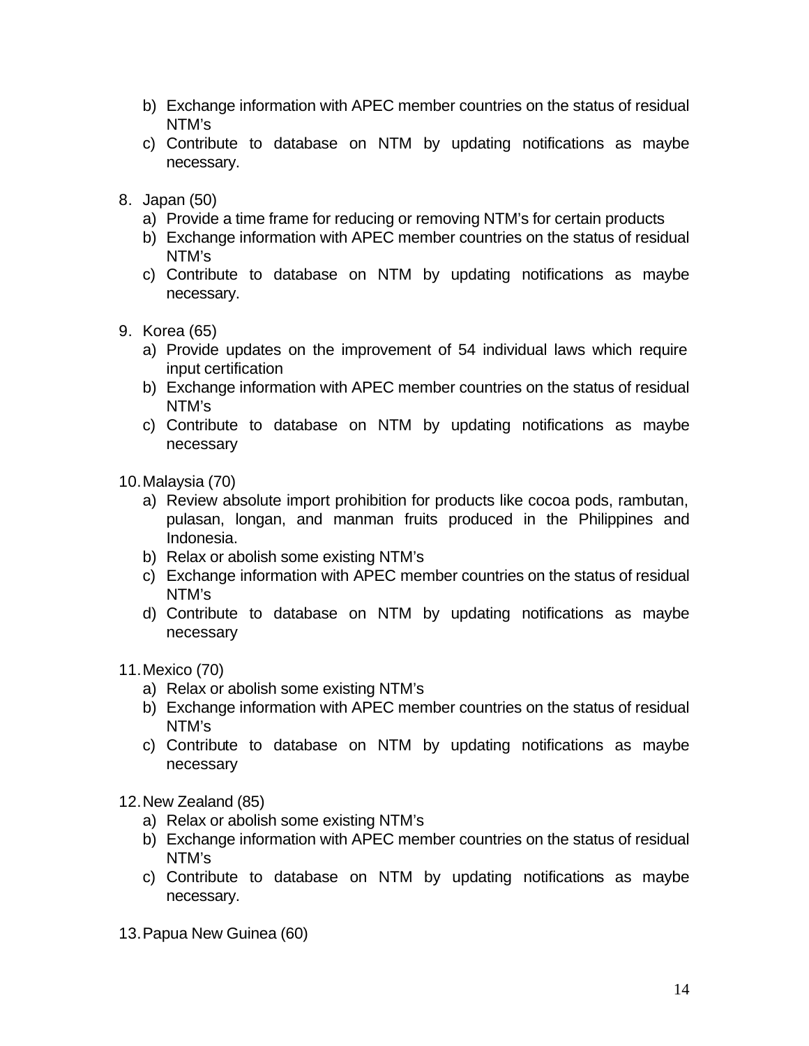- b) Exchange information with APEC member countries on the status of residual NTM's
- c) Contribute to database on NTM by updating notifications as maybe necessary.
- 8. Japan (50)
	- a) Provide a time frame for reducing or removing NTM's for certain products
	- b) Exchange information with APEC member countries on the status of residual NTM's
	- c) Contribute to database on NTM by updating notifications as maybe necessary.
- 9. Korea (65)
	- a) Provide updates on the improvement of 54 individual laws which require input certification
	- b) Exchange information with APEC member countries on the status of residual NTM's
	- c) Contribute to database on NTM by updating notifications as maybe necessary
- 10.Malaysia (70)
	- a) Review absolute import prohibition for products like cocoa pods, rambutan, pulasan, longan, and manman fruits produced in the Philippines and Indonesia.
	- b) Relax or abolish some existing NTM's
	- c) Exchange information with APEC member countries on the status of residual NTM's
	- d) Contribute to database on NTM by updating notifications as maybe necessary
- 11.Mexico (70)
	- a) Relax or abolish some existing NTM's
	- b) Exchange information with APEC member countries on the status of residual NTM's
	- c) Contribute to database on NTM by updating notifications as maybe necessary
- 12.New Zealand (85)
	- a) Relax or abolish some existing NTM's
	- b) Exchange information with APEC member countries on the status of residual NTM's
	- c) Contribute to database on NTM by updating notifications as maybe necessary.
- 13.Papua New Guinea (60)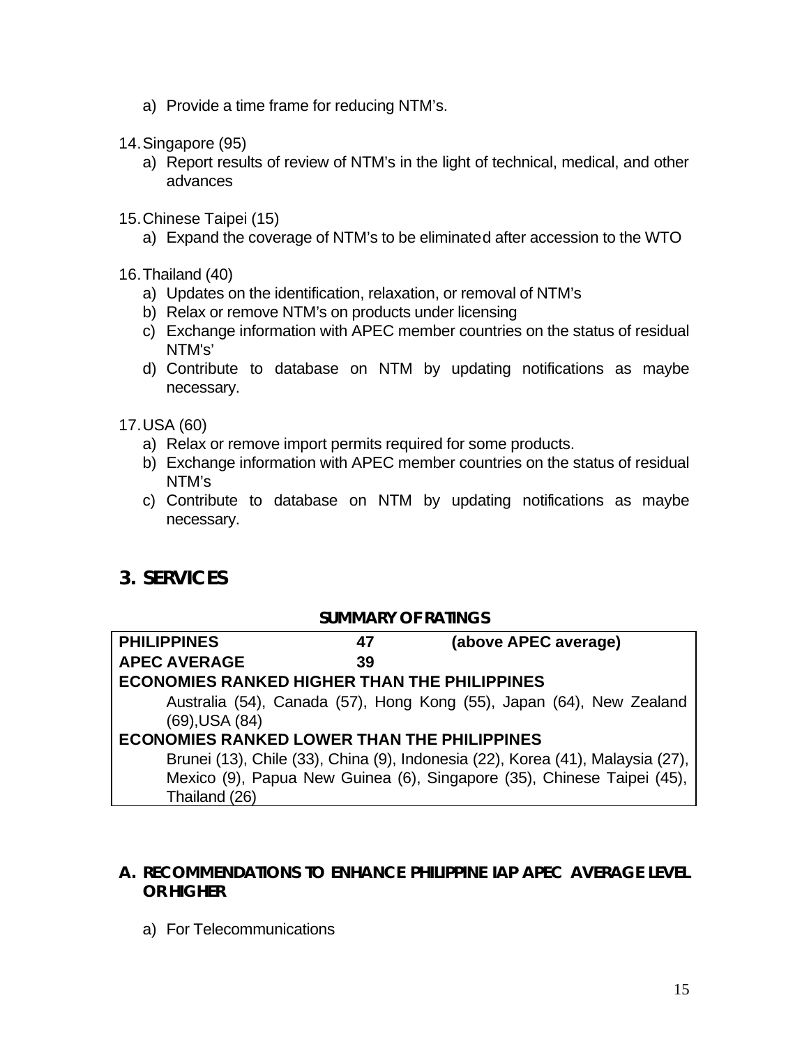- a) Provide a time frame for reducing NTM's.
- 14.Singapore (95)
	- a) Report results of review of NTM's in the light of technical, medical, and other advances
- 15.Chinese Taipei (15)
	- a) Expand the coverage of NTM's to be eliminated after accession to the WTO
- 16.Thailand (40)
	- a) Updates on the identification, relaxation, or removal of NTM's
	- b) Relax or remove NTM's on products under licensing
	- c) Exchange information with APEC member countries on the status of residual NTM's'
	- d) Contribute to database on NTM by updating notifications as maybe necessary.

17.USA (60)

- a) Relax or remove import permits required for some products.
- b) Exchange information with APEC member countries on the status of residual NTM's
- c) Contribute to database on NTM by updating notifications as maybe necessary.

### **3. SERVICES**

### **SUMMARY OF RATINGS**

| <b>PHILIPPINES</b>                                  | 47 | (above APEC average)                                                           |  |
|-----------------------------------------------------|----|--------------------------------------------------------------------------------|--|
| <b>APEC AVERAGE</b>                                 | 39 |                                                                                |  |
| <b>ECONOMIES RANKED HIGHER THAN THE PHILIPPINES</b> |    |                                                                                |  |
|                                                     |    | Australia (54), Canada (57), Hong Kong (55), Japan (64), New Zealand           |  |
| $(69)$ , USA $(84)$                                 |    |                                                                                |  |
| <b>ECONOMIES RANKED LOWER THAN THE PHILIPPINES</b>  |    |                                                                                |  |
|                                                     |    | Brunei (13), Chile (33), China (9), Indonesia (22), Korea (41), Malaysia (27), |  |
|                                                     |    | Mexico (9), Papua New Guinea (6), Singapore (35), Chinese Taipei (45),         |  |
| Thailand (26)                                       |    |                                                                                |  |

#### **A. RECOMMENDATIONS TO ENHANCE PHILIPPINE IAP APEC AVERAGE LEVEL OR HIGHER**

a) For Telecommunications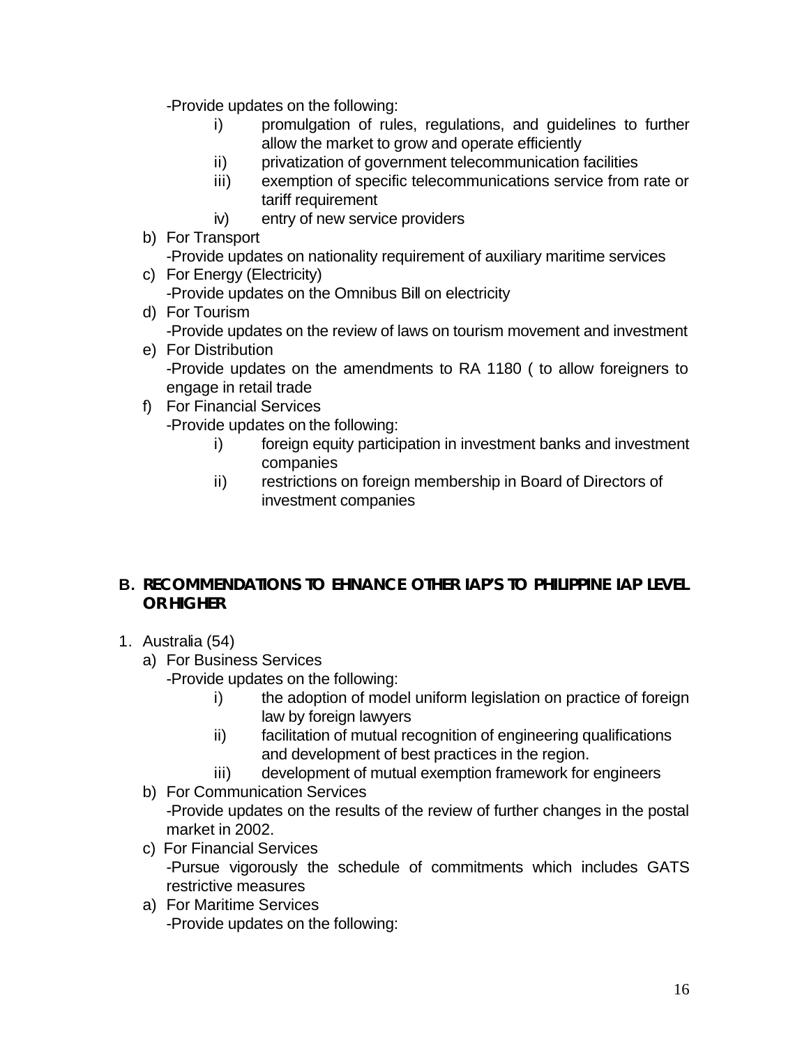-Provide updates on the following:

- i) promulgation of rules, regulations, and guidelines to further allow the market to grow and operate efficiently
- ii) privatization of government telecommunication facilities
- iii) exemption of specific telecommunications service from rate or tariff requirement
- iv) entry of new service providers
- b) For Transport

-Provide updates on nationality requirement of auxiliary maritime services

- c) For Energy (Electricity) -Provide updates on the Omnibus Bill on electricity
- d) For Tourism -Provide updates on the review of laws on tourism movement and investment
- e) For Distribution -Provide updates on the amendments to RA 1180 ( to allow foreigners to engage in retail trade
- f) For Financial Services -Provide updates on the following:
	- i) foreign equity participation in investment banks and investment companies
	- ii) restrictions on foreign membership in Board of Directors of investment companies

### **B. RECOMMENDATIONS TO EHNANCE OTHER IAP'S TO PHILIPPINE IAP LEVEL OR HIGHER**

- 1. Australia (54)
	- a) For Business Services
		- -Provide updates on the following:
			- i) the adoption of model uniform legislation on practice of foreign law by foreign lawyers
			- ii) facilitation of mutual recognition of engineering qualifications and development of best practices in the region.
			- iii) development of mutual exemption framework for engineers
	- b) For Communication Services

-Provide updates on the results of the review of further changes in the postal market in 2002.

- c) For Financial Services -Pursue vigorously the schedule of commitments which includes GATS restrictive measures
- a) For Maritime Services -Provide updates on the following: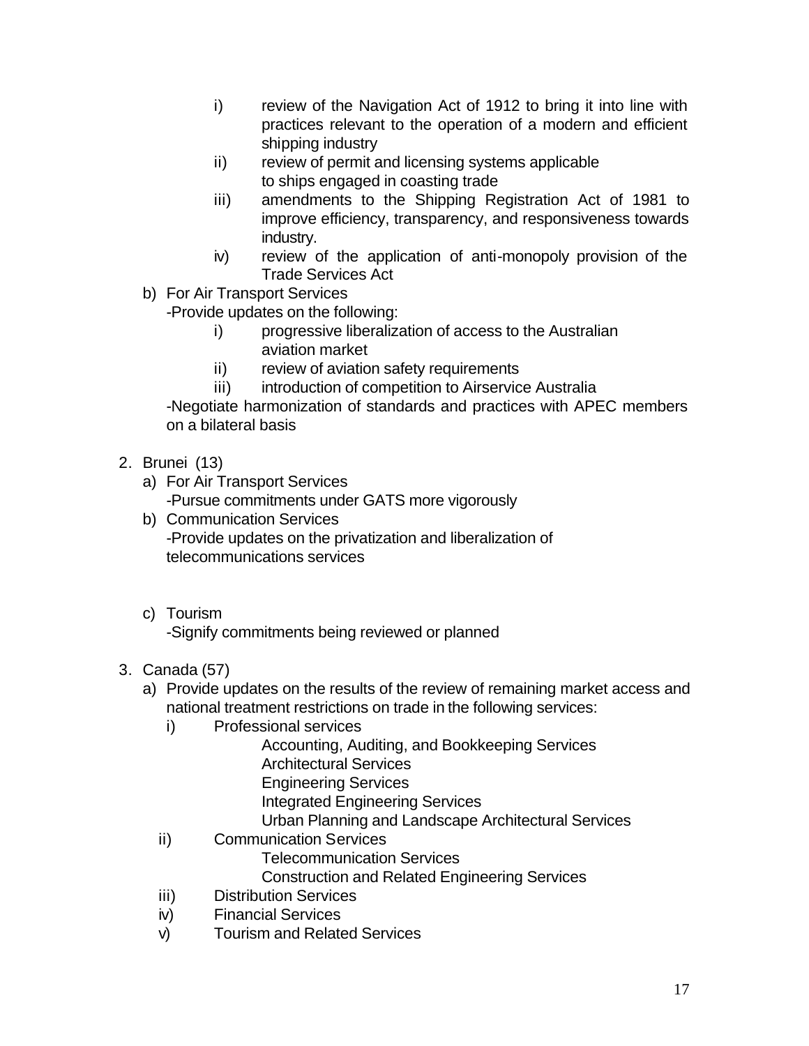- i) review of the Navigation Act of 1912 to bring it into line with practices relevant to the operation of a modern and efficient shipping industry
- ii) review of permit and licensing systems applicable to ships engaged in coasting trade
- iii) amendments to the Shipping Registration Act of 1981 to improve efficiency, transparency, and responsiveness towards industry.
- iv) review of the application of anti-monopoly provision of the Trade Services Act
- b) For Air Transport Services

-Provide updates on the following:

- i) progressive liberalization of access to the Australian aviation market
- ii) review of aviation safety requirements
- iii) introduction of competition to Airservice Australia

-Negotiate harmonization of standards and practices with APEC members on a bilateral basis

- 2. Brunei (13)
	- a) For Air Transport Services -Pursue commitments under GATS more vigorously
	- b) Communication Services -Provide updates on the privatization and liberalization of telecommunications services
	- c) Tourism

-Signify commitments being reviewed or planned

- 3. Canada (57)
	- a) Provide updates on the results of the review of remaining market access and national treatment restrictions on trade in the following services:
		- i) Professional services
			- Accounting, Auditing, and Bookkeeping Services
			- Architectural Services
			- Engineering Services

Integrated Engineering Services

Urban Planning and Landscape Architectural Services

ii) Communication Services

Telecommunication Services

Construction and Related Engineering Services

- iii) Distribution Services
- iv) Financial Services
- v) Tourism and Related Services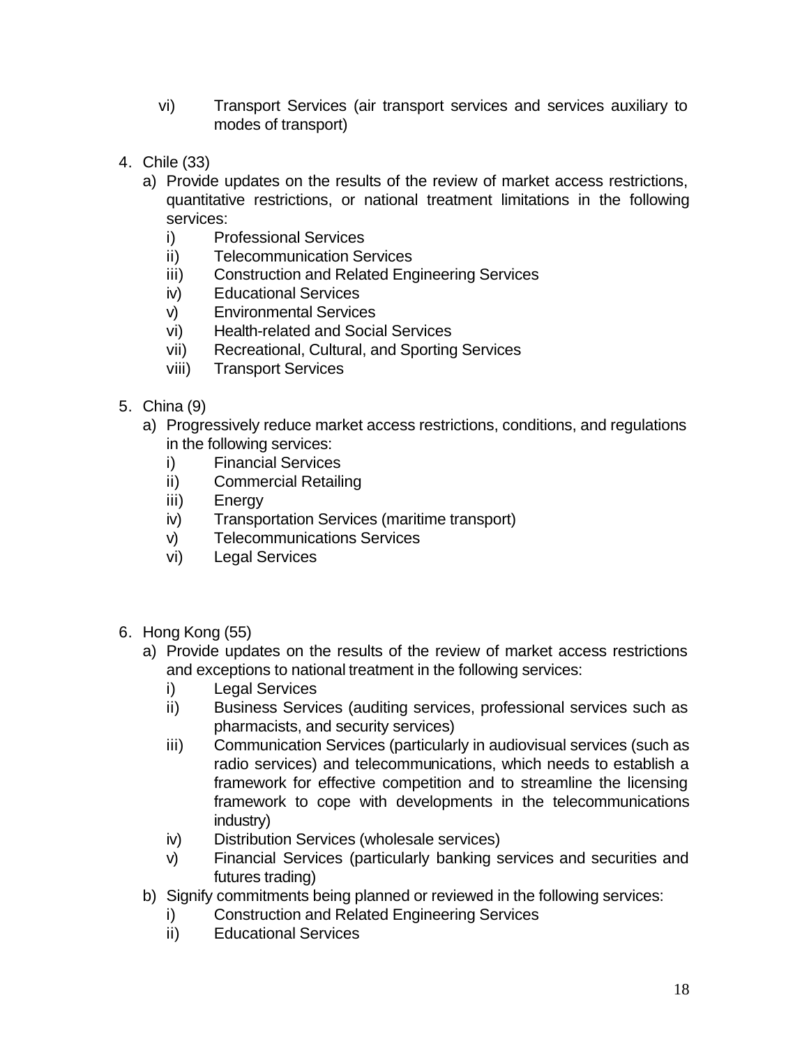- vi) Transport Services (air transport services and services auxiliary to modes of transport)
- 4. Chile (33)
	- a) Provide updates on the results of the review of market access restrictions, quantitative restrictions, or national treatment limitations in the following services:
		- i) Professional Services
		- ii) Telecommunication Services
		- iii) Construction and Related Engineering Services
		- iv) Educational Services
		- v) Environmental Services
		- vi) Health-related and Social Services
		- vii) Recreational, Cultural, and Sporting Services
		- viii) Transport Services
- 5. China (9)
	- a) Progressively reduce market access restrictions, conditions, and regulations in the following services:
		- i) Financial Services
		- ii) Commercial Retailing
		- iii) Energy
		- iv) Transportation Services (maritime transport)
		- v) Telecommunications Services
		- vi) Legal Services
- 6. Hong Kong (55)
	- a) Provide updates on the results of the review of market access restrictions and exceptions to national treatment in the following services:
		- i) Legal Services
		- ii) Business Services (auditing services, professional services such as pharmacists, and security services)
		- iii) Communication Services (particularly in audiovisual services (such as radio services) and telecommunications, which needs to establish a framework for effective competition and to streamline the licensing framework to cope with developments in the telecommunications industry)
		- iv) Distribution Services (wholesale services)
		- v) Financial Services (particularly banking services and securities and futures trading)
	- b) Signify commitments being planned or reviewed in the following services:
		- i) Construction and Related Engineering Services
		- ii) Educational Services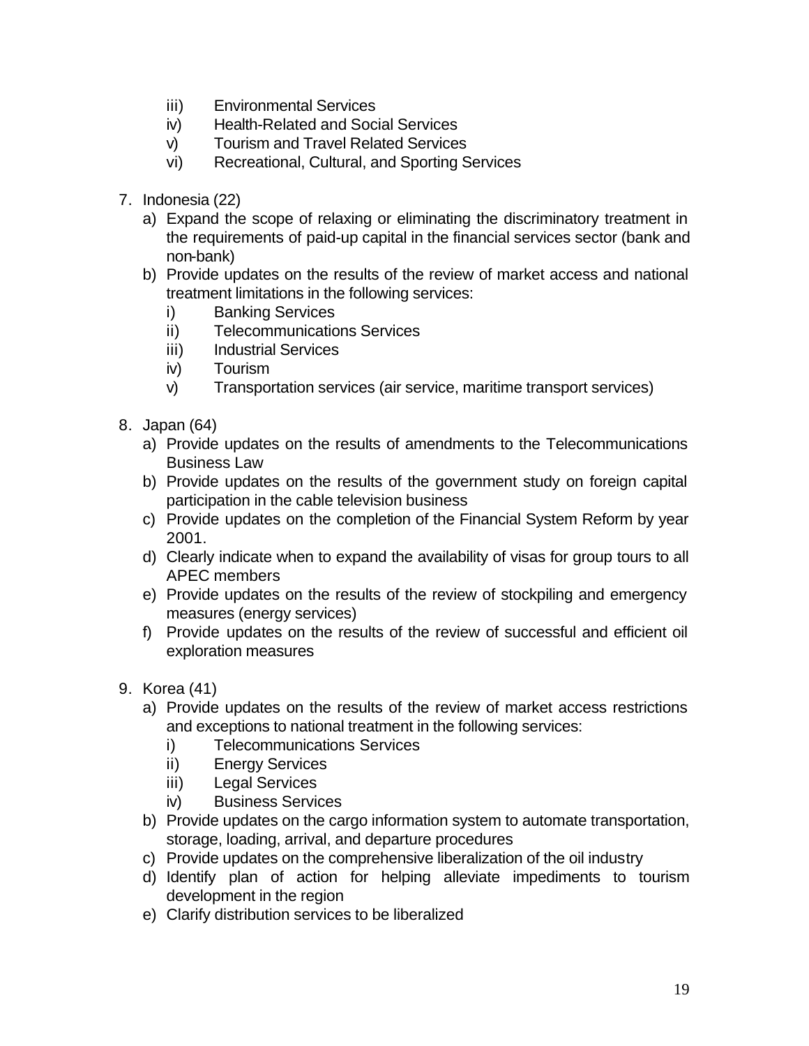- iii) Environmental Services
- iv) Health-Related and Social Services
- v) Tourism and Travel Related Services
- vi) Recreational, Cultural, and Sporting Services
- 7. Indonesia (22)
	- a) Expand the scope of relaxing or eliminating the discriminatory treatment in the requirements of paid-up capital in the financial services sector (bank and non-bank)
	- b) Provide updates on the results of the review of market access and national treatment limitations in the following services:
		- i) Banking Services
		- ii) Telecommunications Services
		- iii) Industrial Services
		- iv) Tourism
		- v) Transportation services (air service, maritime transport services)
- 8. Japan (64)
	- a) Provide updates on the results of amendments to the Telecommunications Business Law
	- b) Provide updates on the results of the government study on foreign capital participation in the cable television business
	- c) Provide updates on the completion of the Financial System Reform by year 2001.
	- d) Clearly indicate when to expand the availability of visas for group tours to all APEC members
	- e) Provide updates on the results of the review of stockpiling and emergency measures (energy services)
	- f) Provide updates on the results of the review of successful and efficient oil exploration measures
- 9. Korea (41)
	- a) Provide updates on the results of the review of market access restrictions and exceptions to national treatment in the following services:
		- i) Telecommunications Services
		- ii) Energy Services
		- iii) Legal Services
		- iv) Business Services
	- b) Provide updates on the cargo information system to automate transportation, storage, loading, arrival, and departure procedures
	- c) Provide updates on the comprehensive liberalization of the oil industry
	- d) Identify plan of action for helping alleviate impediments to tourism development in the region
	- e) Clarify distribution services to be liberalized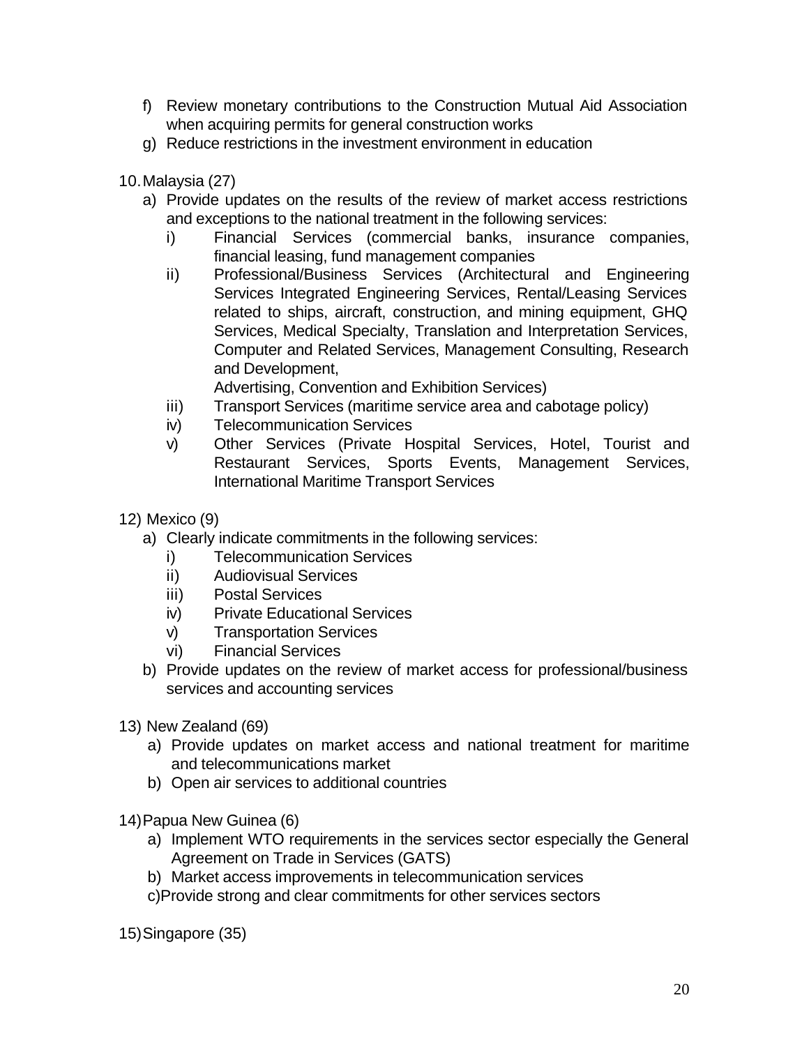- f) Review monetary contributions to the Construction Mutual Aid Association when acquiring permits for general construction works
- g) Reduce restrictions in the investment environment in education
- 10.Malaysia (27)
	- a) Provide updates on the results of the review of market access restrictions and exceptions to the national treatment in the following services:
		- i) Financial Services (commercial banks, insurance companies, financial leasing, fund management companies
		- ii) Professional/Business Services (Architectural and Engineering Services Integrated Engineering Services, Rental/Leasing Services related to ships, aircraft, construction, and mining equipment, GHQ Services, Medical Specialty, Translation and Interpretation Services, Computer and Related Services, Management Consulting, Research and Development,

Advertising, Convention and Exhibition Services)

- iii) Transport Services (maritime service area and cabotage policy)
- iv) Telecommunication Services
- v) Other Services (Private Hospital Services, Hotel, Tourist and Restaurant Services, Sports Events, Management Services, International Maritime Transport Services
- 12) Mexico (9)
	- a) Clearly indicate commitments in the following services:
		- i) Telecommunication Services
		- ii) Audiovisual Services
		- iii) Postal Services
		- iv) Private Educational Services
		- v) Transportation Services
		- vi) Financial Services
	- b) Provide updates on the review of market access for professional/business services and accounting services
- 13) New Zealand (69)
	- a) Provide updates on market access and national treatment for maritime and telecommunications market
	- b) Open air services to additional countries
- 14)Papua New Guinea (6)
	- a) Implement WTO requirements in the services sector especially the General Agreement on Trade in Services (GATS)
	- b) Market access improvements in telecommunication services
	- c)Provide strong and clear commitments for other services sectors

15)Singapore (35)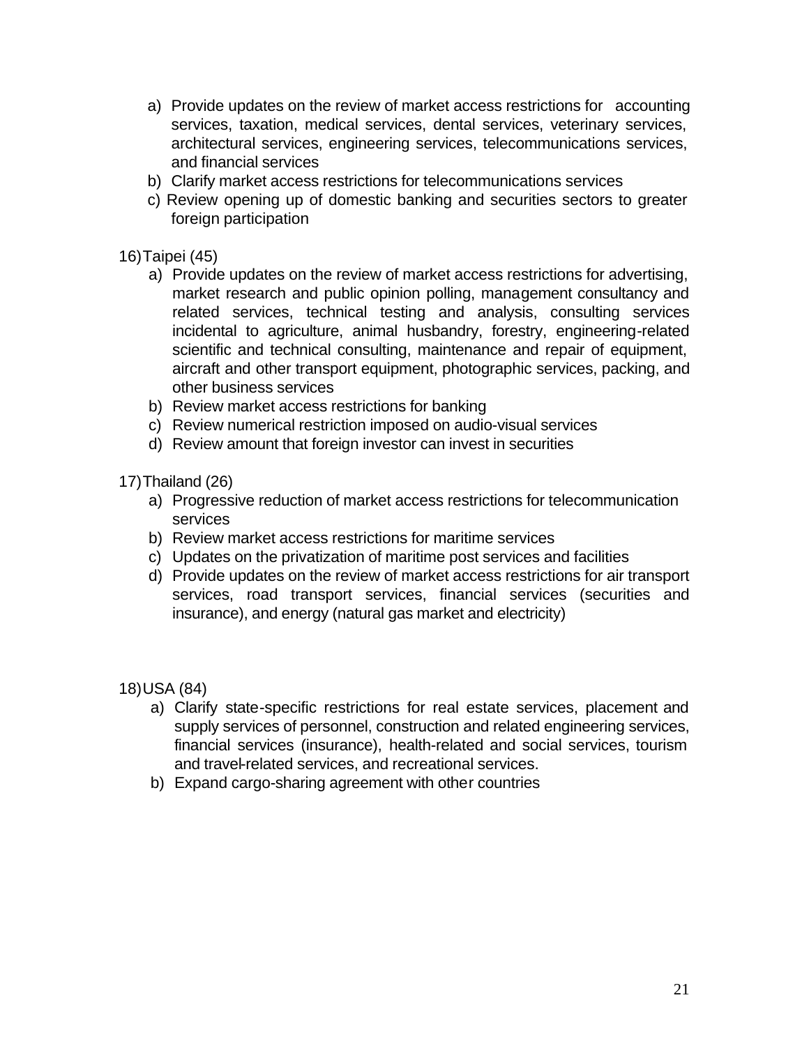- a) Provide updates on the review of market access restrictions for accounting services, taxation, medical services, dental services, veterinary services, architectural services, engineering services, telecommunications services, and financial services
- b) Clarify market access restrictions for telecommunications services
- c) Review opening up of domestic banking and securities sectors to greater foreign participation

#### 16)Taipei (45)

- a) Provide updates on the review of market access restrictions for advertising, market research and public opinion polling, management consultancy and related services, technical testing and analysis, consulting services incidental to agriculture, animal husbandry, forestry, engineering-related scientific and technical consulting, maintenance and repair of equipment, aircraft and other transport equipment, photographic services, packing, and other business services
- b) Review market access restrictions for banking
- c) Review numerical restriction imposed on audio-visual services
- d) Review amount that foreign investor can invest in securities

17)Thailand (26)

- a) Progressive reduction of market access restrictions for telecommunication services
- b) Review market access restrictions for maritime services
- c) Updates on the privatization of maritime post services and facilities
- d) Provide updates on the review of market access restrictions for air transport services, road transport services, financial services (securities and insurance), and energy (natural gas market and electricity)

18)USA (84)

- a) Clarify state-specific restrictions for real estate services, placement and supply services of personnel, construction and related engineering services, financial services (insurance), health-related and social services, tourism and travel-related services, and recreational services.
- b) Expand cargo-sharing agreement with other countries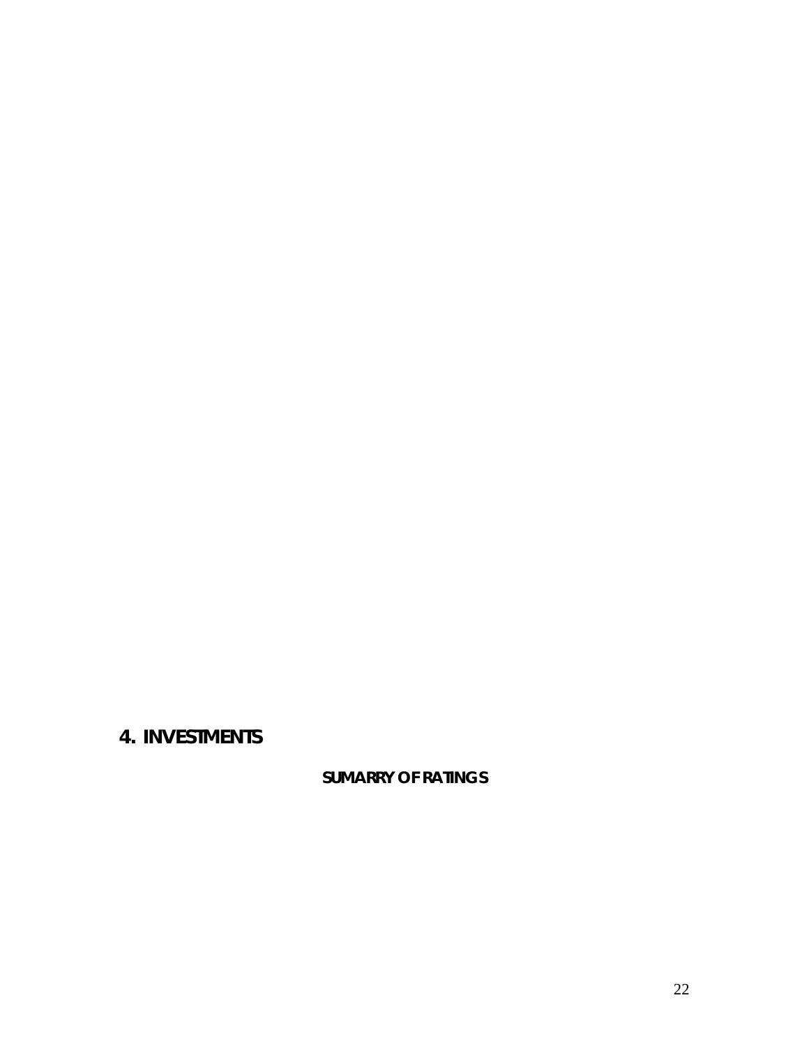# **4. INVESTMENTS**

**SUMARRY OF RATINGS**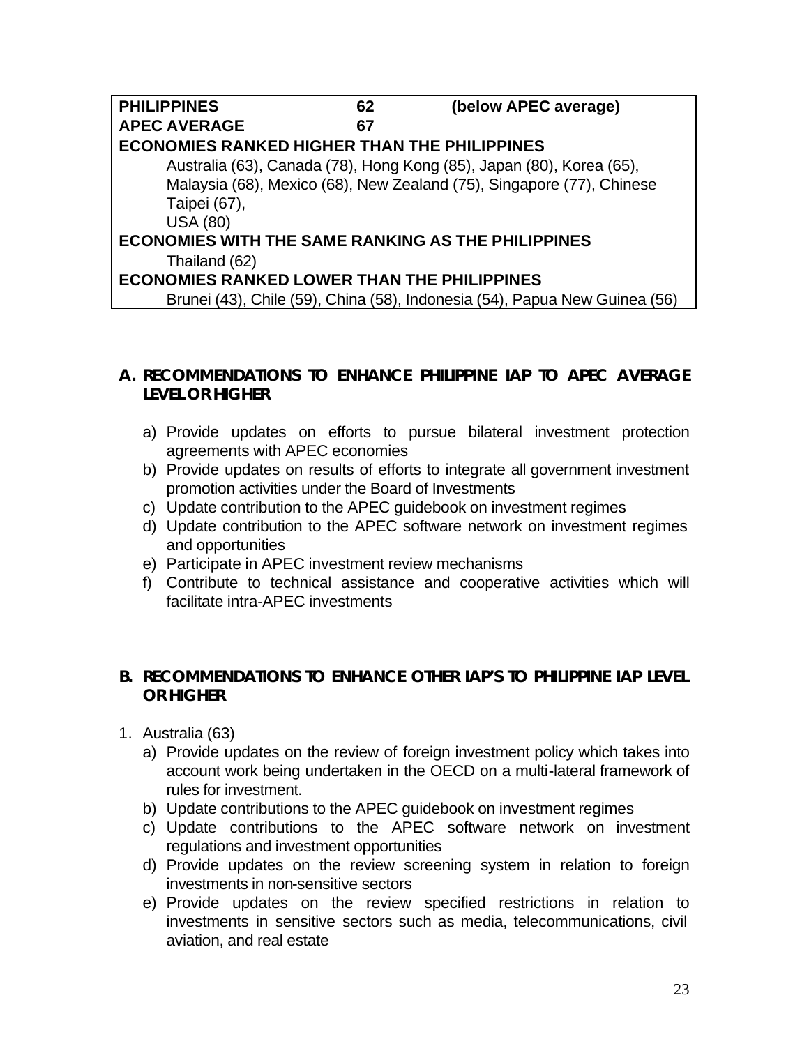| <b>PHILIPPINES</b>                                        | 62 | (below APEC average)                                                       |  |
|-----------------------------------------------------------|----|----------------------------------------------------------------------------|--|
| <b>APEC AVERAGE</b>                                       | 67 |                                                                            |  |
| <b>ECONOMIES RANKED HIGHER THAN THE PHILIPPINES</b>       |    |                                                                            |  |
|                                                           |    | Australia (63), Canada (78), Hong Kong (85), Japan (80), Korea (65),       |  |
|                                                           |    | Malaysia (68), Mexico (68), New Zealand (75), Singapore (77), Chinese      |  |
| Taipei (67),                                              |    |                                                                            |  |
| <b>USA (80)</b>                                           |    |                                                                            |  |
| <b>ECONOMIES WITH THE SAME RANKING AS THE PHILIPPINES</b> |    |                                                                            |  |
| Thailand (62)                                             |    |                                                                            |  |
| <b>ECONOMIES RANKED LOWER THAN THE PHILIPPINES</b>        |    |                                                                            |  |
|                                                           |    | Brunei (43), Chile (59), China (58), Indonesia (54), Papua New Guinea (56) |  |

### **A. RECOMMENDATIONS TO ENHANCE PHILIPPINE IAP TO APEC AVERAGE LEVEL OR HIGHER**

- a) Provide updates on efforts to pursue bilateral investment protection agreements with APEC economies
- b) Provide updates on results of efforts to integrate all government investment promotion activities under the Board of Investments
- c) Update contribution to the APEC guidebook on investment regimes
- d) Update contribution to the APEC software network on investment regimes and opportunities
- e) Participate in APEC investment review mechanisms
- f) Contribute to technical assistance and cooperative activities which will facilitate intra-APEC investments

#### **B. RECOMMENDATIONS TO ENHANCE OTHER IAP'S TO PHILIPPINE IAP LEVEL OR HIGHER**

- 1. Australia (63)
	- a) Provide updates on the review of foreign investment policy which takes into account work being undertaken in the OECD on a multi-lateral framework of rules for investment.
	- b) Update contributions to the APEC guidebook on investment regimes
	- c) Update contributions to the APEC software network on investment regulations and investment opportunities
	- d) Provide updates on the review screening system in relation to foreign investments in non-sensitive sectors
	- e) Provide updates on the review specified restrictions in relation to investments in sensitive sectors such as media, telecommunications, civil aviation, and real estate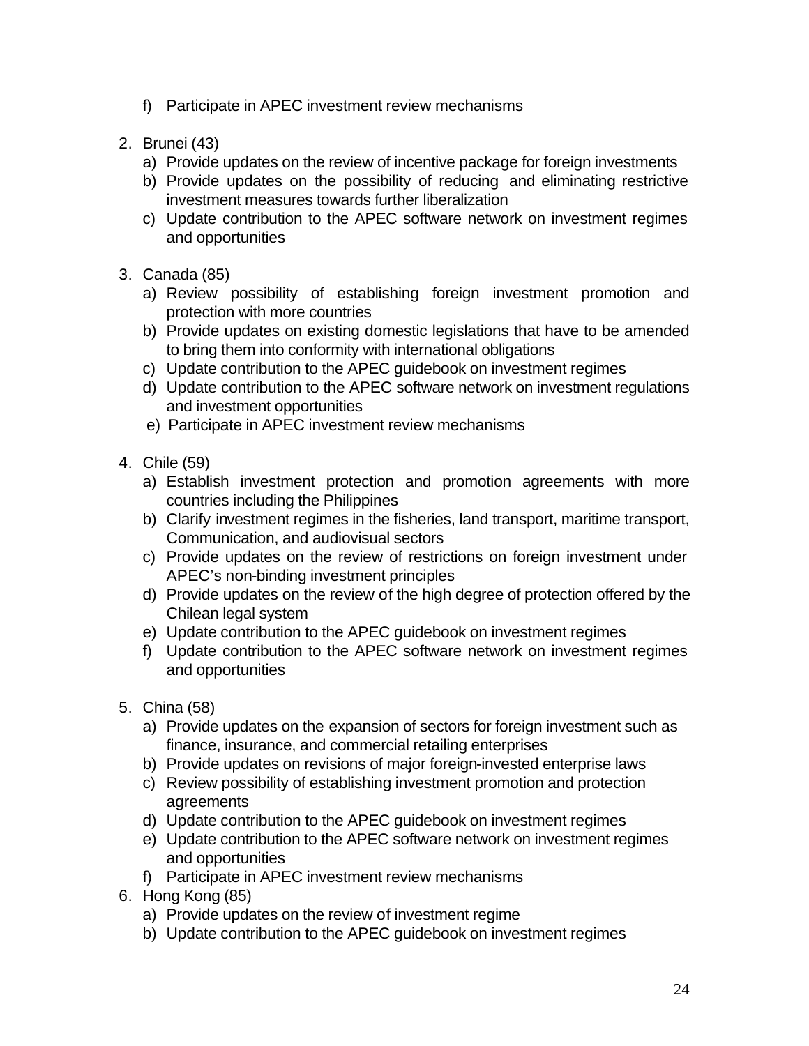- f) Participate in APEC investment review mechanisms
- 2. Brunei (43)
	- a) Provide updates on the review of incentive package for foreign investments
	- b) Provide updates on the possibility of reducing and eliminating restrictive investment measures towards further liberalization
	- c) Update contribution to the APEC software network on investment regimes and opportunities
- 3. Canada (85)
	- a) Review possibility of establishing foreign investment promotion and protection with more countries
	- b) Provide updates on existing domestic legislations that have to be amended to bring them into conformity with international obligations
	- c) Update contribution to the APEC guidebook on investment regimes
	- d) Update contribution to the APEC software network on investment regulations and investment opportunities
	- e) Participate in APEC investment review mechanisms
- 4. Chile (59)
	- a) Establish investment protection and promotion agreements with more countries including the Philippines
	- b) Clarify investment regimes in the fisheries, land transport, maritime transport, Communication, and audiovisual sectors
	- c) Provide updates on the review of restrictions on foreign investment under APEC's non-binding investment principles
	- d) Provide updates on the review of the high degree of protection offered by the Chilean legal system
	- e) Update contribution to the APEC guidebook on investment regimes
	- f) Update contribution to the APEC software network on investment regimes and opportunities
- 5. China (58)
	- a) Provide updates on the expansion of sectors for foreign investment such as finance, insurance, and commercial retailing enterprises
	- b) Provide updates on revisions of major foreign-invested enterprise laws
	- c) Review possibility of establishing investment promotion and protection agreements
	- d) Update contribution to the APEC guidebook on investment regimes
	- e) Update contribution to the APEC software network on investment regimes and opportunities
	- f) Participate in APEC investment review mechanisms
- 6. Hong Kong (85)
	- a) Provide updates on the review of investment regime
	- b) Update contribution to the APEC guidebook on investment regimes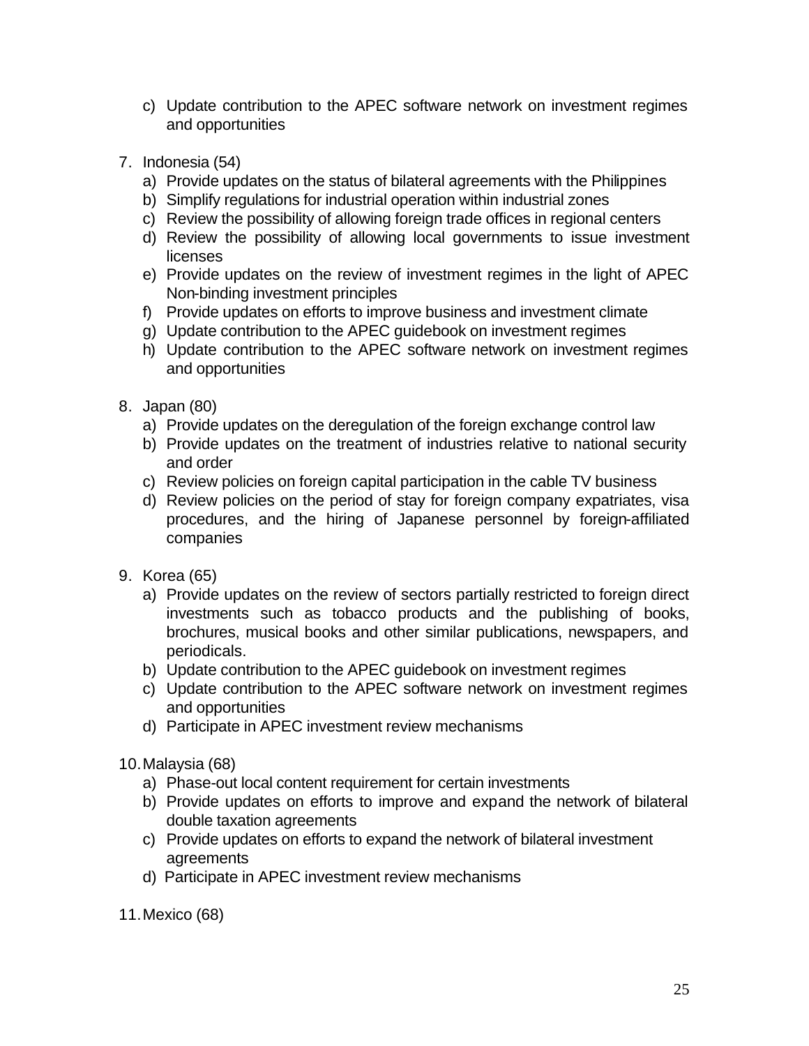- c) Update contribution to the APEC software network on investment regimes and opportunities
- 7. Indonesia (54)
	- a) Provide updates on the status of bilateral agreements with the Philippines
	- b) Simplify regulations for industrial operation within industrial zones
	- c) Review the possibility of allowing foreign trade offices in regional centers
	- d) Review the possibility of allowing local governments to issue investment licenses
	- e) Provide updates on the review of investment regimes in the light of APEC Non-binding investment principles
	- f) Provide updates on efforts to improve business and investment climate
	- g) Update contribution to the APEC guidebook on investment regimes
	- h) Update contribution to the APEC software network on investment regimes and opportunities
- 8. Japan (80)
	- a) Provide updates on the deregulation of the foreign exchange control law
	- b) Provide updates on the treatment of industries relative to national security and order
	- c) Review policies on foreign capital participation in the cable TV business
	- d) Review policies on the period of stay for foreign company expatriates, visa procedures, and the hiring of Japanese personnel by foreign-affiliated companies
- 9. Korea (65)
	- a) Provide updates on the review of sectors partially restricted to foreign direct investments such as tobacco products and the publishing of books, brochures, musical books and other similar publications, newspapers, and periodicals.
	- b) Update contribution to the APEC guidebook on investment regimes
	- c) Update contribution to the APEC software network on investment regimes and opportunities
	- d) Participate in APEC investment review mechanisms
- 10.Malaysia (68)
	- a) Phase-out local content requirement for certain investments
	- b) Provide updates on efforts to improve and expand the network of bilateral double taxation agreements
	- c) Provide updates on efforts to expand the network of bilateral investment agreements
	- d) Participate in APEC investment review mechanisms

11.Mexico (68)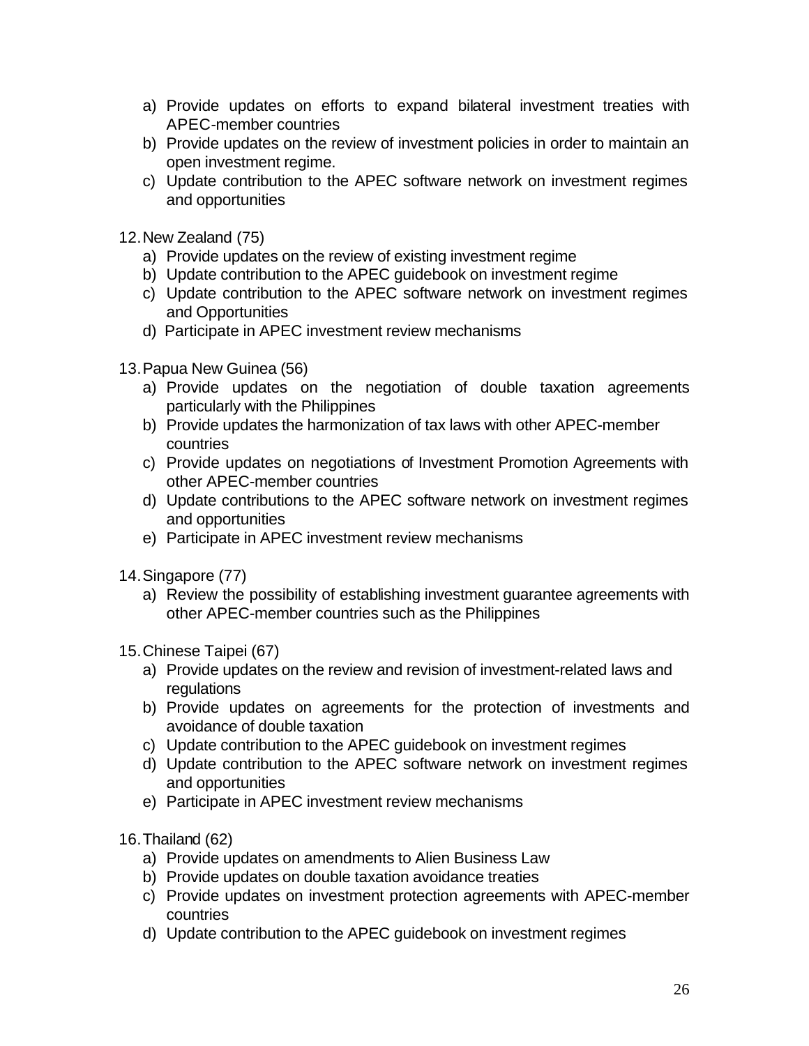- a) Provide updates on efforts to expand bilateral investment treaties with APEC-member countries
- b) Provide updates on the review of investment policies in order to maintain an open investment regime.
- c) Update contribution to the APEC software network on investment regimes and opportunities
- 12.New Zealand (75)
	- a) Provide updates on the review of existing investment regime
	- b) Update contribution to the APEC guidebook on investment regime
	- c) Update contribution to the APEC software network on investment regimes and Opportunities
	- d) Participate in APEC investment review mechanisms
- 13.Papua New Guinea (56)
	- a) Provide updates on the negotiation of double taxation agreements particularly with the Philippines
	- b) Provide updates the harmonization of tax laws with other APEC-member countries
	- c) Provide updates on negotiations of Investment Promotion Agreements with other APEC-member countries
	- d) Update contributions to the APEC software network on investment regimes and opportunities
	- e) Participate in APEC investment review mechanisms
- 14.Singapore (77)
	- a) Review the possibility of establishing investment guarantee agreements with other APEC-member countries such as the Philippines
- 15.Chinese Taipei (67)
	- a) Provide updates on the review and revision of investment-related laws and regulations
	- b) Provide updates on agreements for the protection of investments and avoidance of double taxation
	- c) Update contribution to the APEC guidebook on investment regimes
	- d) Update contribution to the APEC software network on investment regimes and opportunities
	- e) Participate in APEC investment review mechanisms
- 16.Thailand (62)
	- a) Provide updates on amendments to Alien Business Law
	- b) Provide updates on double taxation avoidance treaties
	- c) Provide updates on investment protection agreements with APEC-member countries
	- d) Update contribution to the APEC guidebook on investment regimes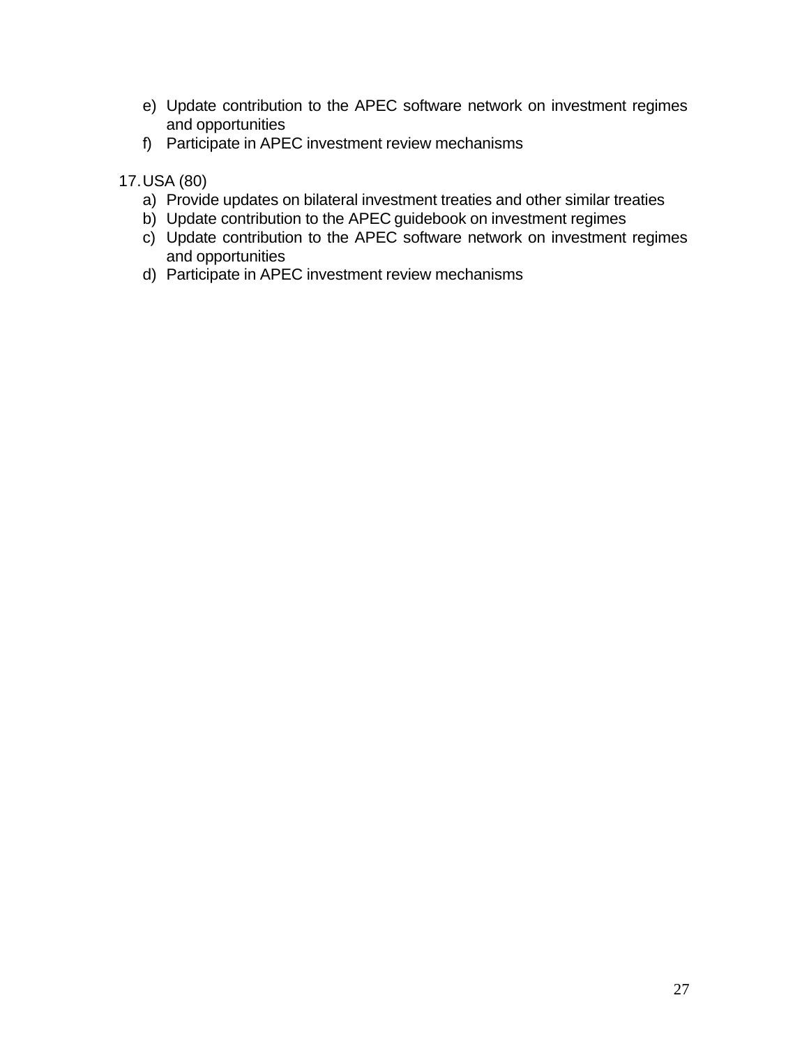- e) Update contribution to the APEC software network on investment regimes and opportunities
- f) Participate in APEC investment review mechanisms

### 17.USA (80)

- a) Provide updates on bilateral investment treaties and other similar treaties
- b) Update contribution to the APEC guidebook on investment regimes
- c) Update contribution to the APEC software network on investment regimes and opportunities
- d) Participate in APEC investment review mechanisms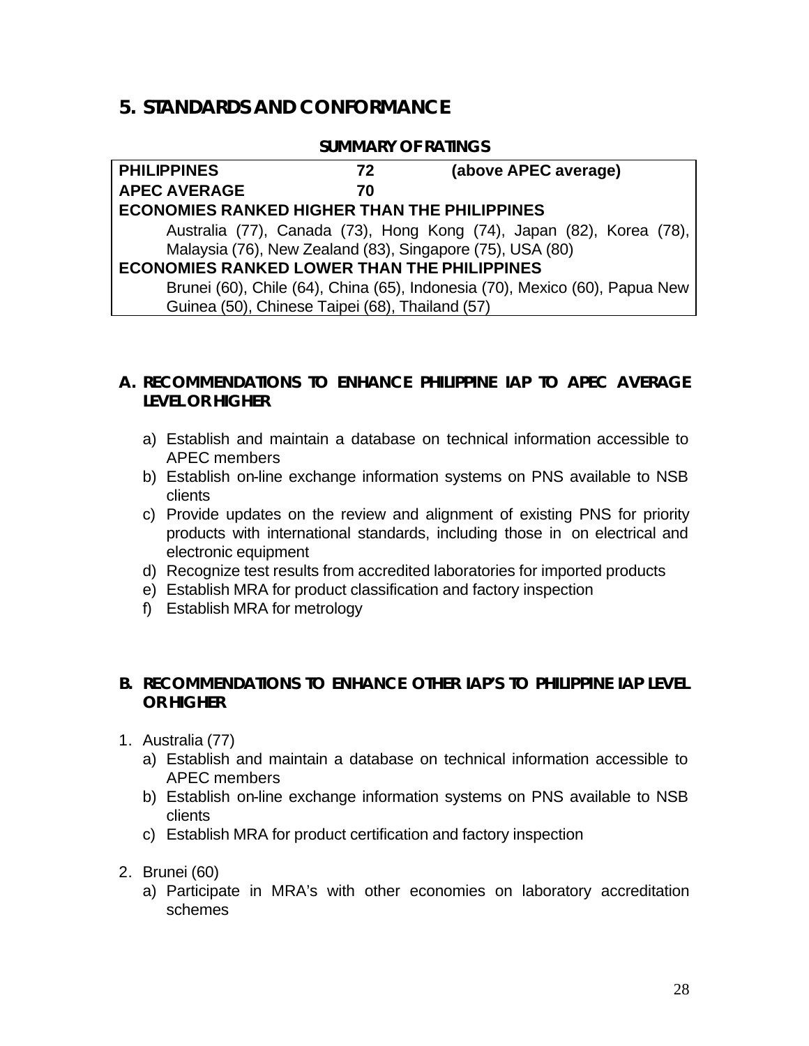### **5. STANDARDS AND CONFORMANCE**

#### **SUMMARY OF RATINGS**

| <b>PHILIPPINES</b>                                  | 72 | (above APEC average)                                                        |  |  |
|-----------------------------------------------------|----|-----------------------------------------------------------------------------|--|--|
| <b>APEC AVERAGE</b>                                 | 70 |                                                                             |  |  |
| <b>ECONOMIES RANKED HIGHER THAN THE PHILIPPINES</b> |    |                                                                             |  |  |
|                                                     |    | Australia (77), Canada (73), Hong Kong (74), Japan (82), Korea (78),        |  |  |
|                                                     |    | Malaysia (76), New Zealand (83), Singapore (75), USA (80)                   |  |  |
| <b>ECONOMIES RANKED LOWER THAN THE PHILIPPINES</b>  |    |                                                                             |  |  |
|                                                     |    | Brunei (60), Chile (64), China (65), Indonesia (70), Mexico (60), Papua New |  |  |
| Guinea (50), Chinese Taipei (68), Thailand (57)     |    |                                                                             |  |  |

### **A. RECOMMENDATIONS TO ENHANCE PHILIPPINE IAP TO APEC AVERAGE LEVEL OR HIGHER**

- a) Establish and maintain a database on technical information accessible to APEC members
- b) Establish on-line exchange information systems on PNS available to NSB clients
- c) Provide updates on the review and alignment of existing PNS for priority products with international standards, including those in on electrical and electronic equipment
- d) Recognize test results from accredited laboratories for imported products
- e) Establish MRA for product classification and factory inspection
- f) Establish MRA for metrology

#### **B. RECOMMENDATIONS TO ENHANCE OTHER IAP'S TO PHILIPPINE IAP LEVEL OR HIGHER**

- 1. Australia (77)
	- a) Establish and maintain a database on technical information accessible to APEC members
	- b) Establish on-line exchange information systems on PNS available to NSB clients
	- c) Establish MRA for product certification and factory inspection
- 2. Brunei (60)
	- a) Participate in MRA's with other economies on laboratory accreditation schemes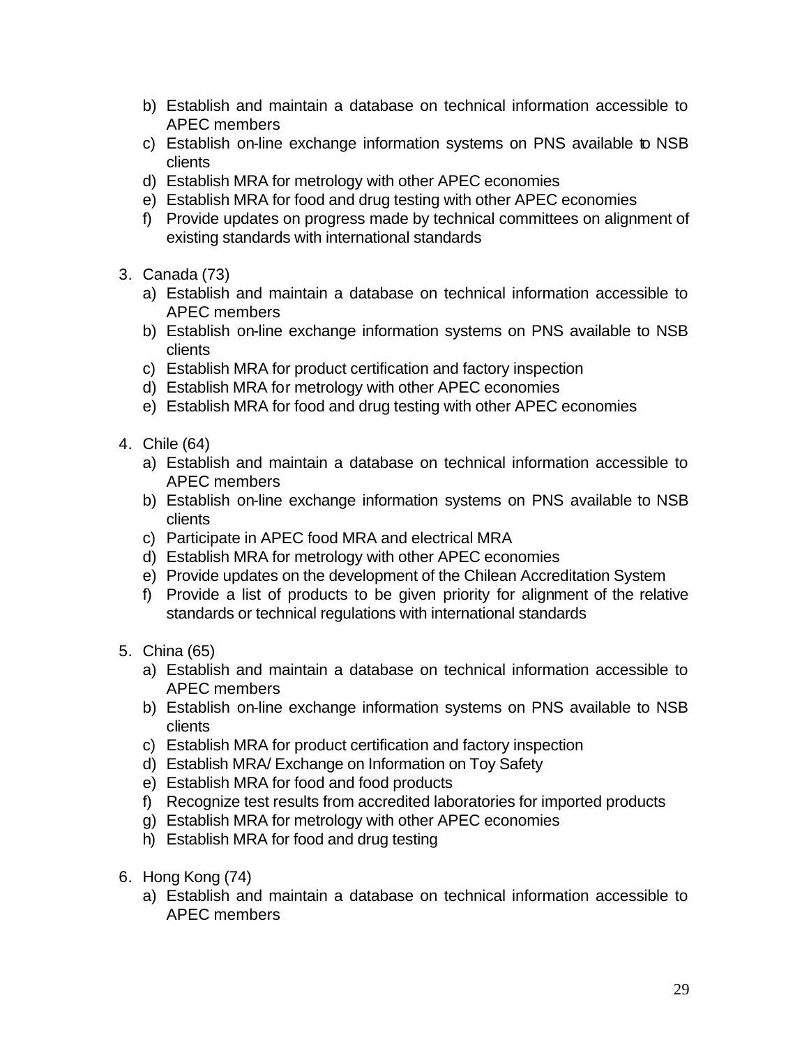- b) Establish and maintain a database on technical information accessible to APEC members
- c) Establish on-line exchange information systems on PNS available to NSB clients
- d) Establish MRA for metrology with other APEC economies
- e) Establish MRA for food and drug testing with other APEC economies
- f) Provide updates on progress made by technical committees on alignment of existing standards with international standards
- 3. Canada (73)
	- a) Establish and maintain a database on technical information accessible to APEC members
	- b) Establish on-line exchange information systems on PNS available to NSB clients
	- c) Establish MRA for product certification and factory inspection
	- d) Establish MRA for metrology with other APEC economies
	- e) Establish MRA for food and drug testing with other APEC economies
- 4. Chile (64)
	- a) Establish and maintain a database on technical information accessible to APEC members
	- b) Establish on-line exchange information systems on PNS available to NSB clients
	- c) Participate in APEC food MRA and electrical MRA
	- d) Establish MRA for metrology with other APEC economies
	- e) Provide updates on the development of the Chilean Accreditation System
	- f) Provide a list of products to be given priority for alignment of the relative standards or technical regulations with international standards
- 5. China (65)
	- a) Establish and maintain a database on technical information accessible to APEC members
	- b) Establish on-line exchange information systems on PNS available to NSB clients
	- c) Establish MRA for product certification and factory inspection
	- d) Establish MRA/ Exchange on Information on Toy Safety
	- e) Establish MRA for food and food products
	- f) Recognize test results from accredited laboratories for imported products
	- g) Establish MRA for metrology with other APEC economies
	- h) Establish MRA for food and drug testing
- 6. Hong Kong (74)
	- a) Establish and maintain a database on technical information accessible to APEC members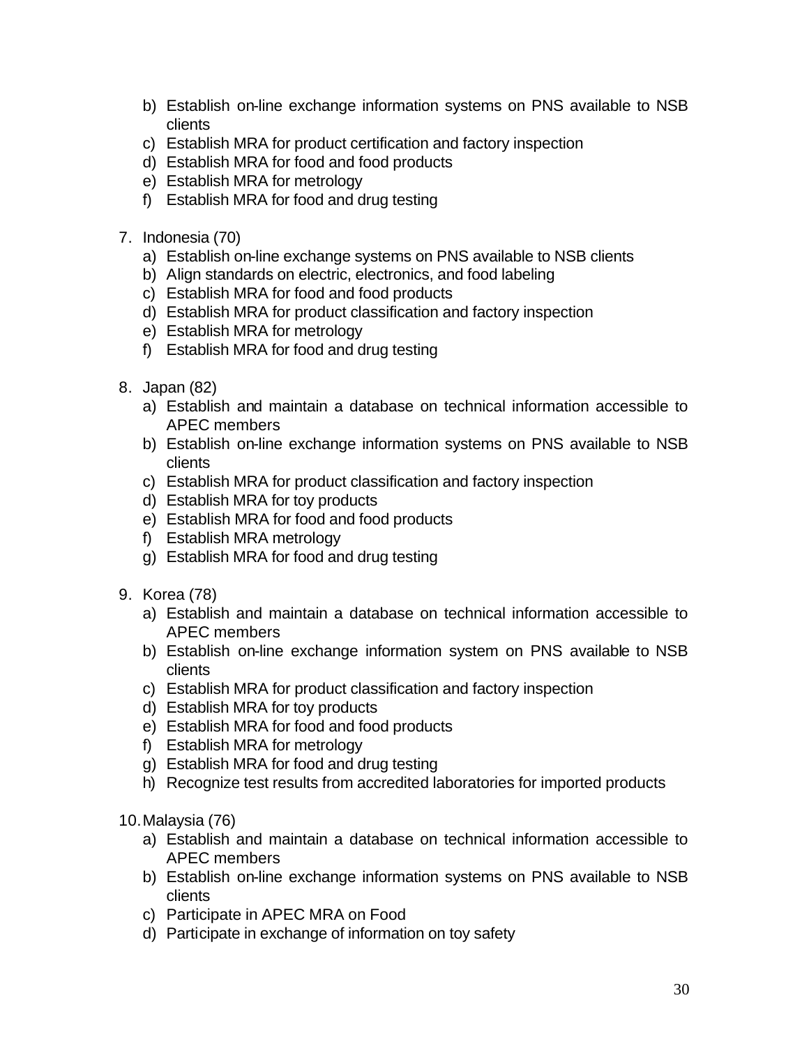- b) Establish on-line exchange information systems on PNS available to NSB clients
- c) Establish MRA for product certification and factory inspection
- d) Establish MRA for food and food products
- e) Establish MRA for metrology
- f) Establish MRA for food and drug testing
- 7. Indonesia (70)
	- a) Establish on-line exchange systems on PNS available to NSB clients
	- b) Align standards on electric, electronics, and food labeling
	- c) Establish MRA for food and food products
	- d) Establish MRA for product classification and factory inspection
	- e) Establish MRA for metrology
	- f) Establish MRA for food and drug testing
- 8. Japan (82)
	- a) Establish and maintain a database on technical information accessible to APEC members
	- b) Establish on-line exchange information systems on PNS available to NSB clients
	- c) Establish MRA for product classification and factory inspection
	- d) Establish MRA for toy products
	- e) Establish MRA for food and food products
	- f) Establish MRA metrology
	- g) Establish MRA for food and drug testing
- 9. Korea (78)
	- a) Establish and maintain a database on technical information accessible to APEC members
	- b) Establish on-line exchange information system on PNS available to NSB clients
	- c) Establish MRA for product classification and factory inspection
	- d) Establish MRA for toy products
	- e) Establish MRA for food and food products
	- f) Establish MRA for metrology
	- g) Establish MRA for food and drug testing
	- h) Recognize test results from accredited laboratories for imported products

10.Malaysia (76)

- a) Establish and maintain a database on technical information accessible to APEC members
- b) Establish on-line exchange information systems on PNS available to NSB clients
- c) Participate in APEC MRA on Food
- d) Participate in exchange of information on toy safety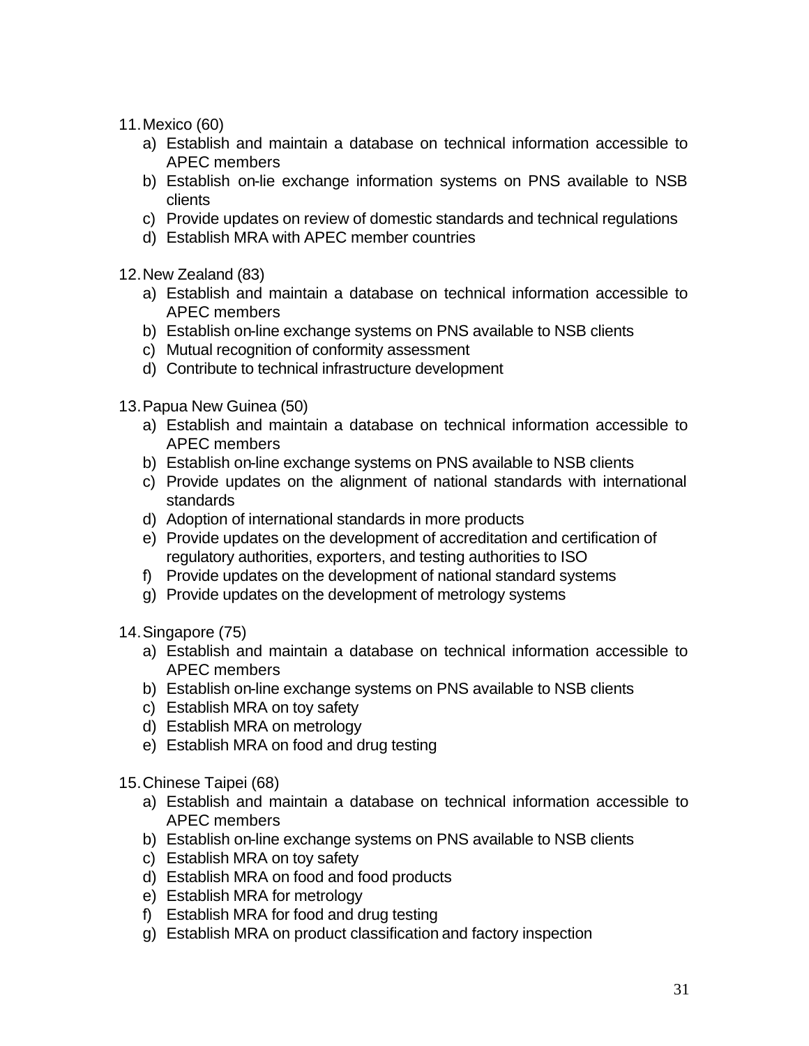- 11.Mexico (60)
	- a) Establish and maintain a database on technical information accessible to APEC members
	- b) Establish on-lie exchange information systems on PNS available to NSB clients
	- c) Provide updates on review of domestic standards and technical regulations
	- d) Establish MRA with APEC member countries
- 12.New Zealand (83)
	- a) Establish and maintain a database on technical information accessible to APEC members
	- b) Establish on-line exchange systems on PNS available to NSB clients
	- c) Mutual recognition of conformity assessment
	- d) Contribute to technical infrastructure development
- 13.Papua New Guinea (50)
	- a) Establish and maintain a database on technical information accessible to APEC members
	- b) Establish on-line exchange systems on PNS available to NSB clients
	- c) Provide updates on the alignment of national standards with international standards
	- d) Adoption of international standards in more products
	- e) Provide updates on the development of accreditation and certification of regulatory authorities, exporters, and testing authorities to ISO
	- f) Provide updates on the development of national standard systems
	- g) Provide updates on the development of metrology systems
- 14.Singapore (75)
	- a) Establish and maintain a database on technical information accessible to APEC members
	- b) Establish on-line exchange systems on PNS available to NSB clients
	- c) Establish MRA on toy safety
	- d) Establish MRA on metrology
	- e) Establish MRA on food and drug testing
- 15.Chinese Taipei (68)
	- a) Establish and maintain a database on technical information accessible to APEC members
	- b) Establish on-line exchange systems on PNS available to NSB clients
	- c) Establish MRA on toy safety
	- d) Establish MRA on food and food products
	- e) Establish MRA for metrology
	- f) Establish MRA for food and drug testing
	- g) Establish MRA on product classification and factory inspection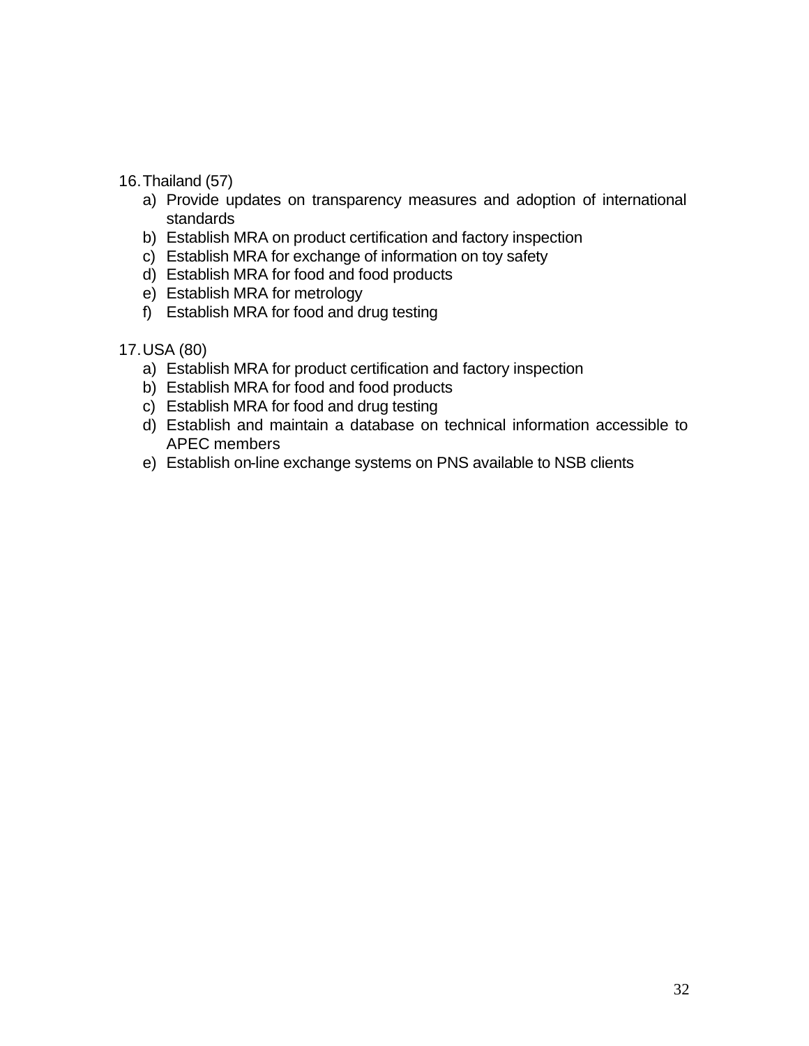#### 16.Thailand (57)

- a) Provide updates on transparency measures and adoption of international standards
- b) Establish MRA on product certification and factory inspection
- c) Establish MRA for exchange of information on toy safety
- d) Establish MRA for food and food products
- e) Establish MRA for metrology
- f) Establish MRA for food and drug testing
- 17.USA (80)
	- a) Establish MRA for product certification and factory inspection
	- b) Establish MRA for food and food products
	- c) Establish MRA for food and drug testing
	- d) Establish and maintain a database on technical information accessible to APEC members
	- e) Establish on-line exchange systems on PNS available to NSB clients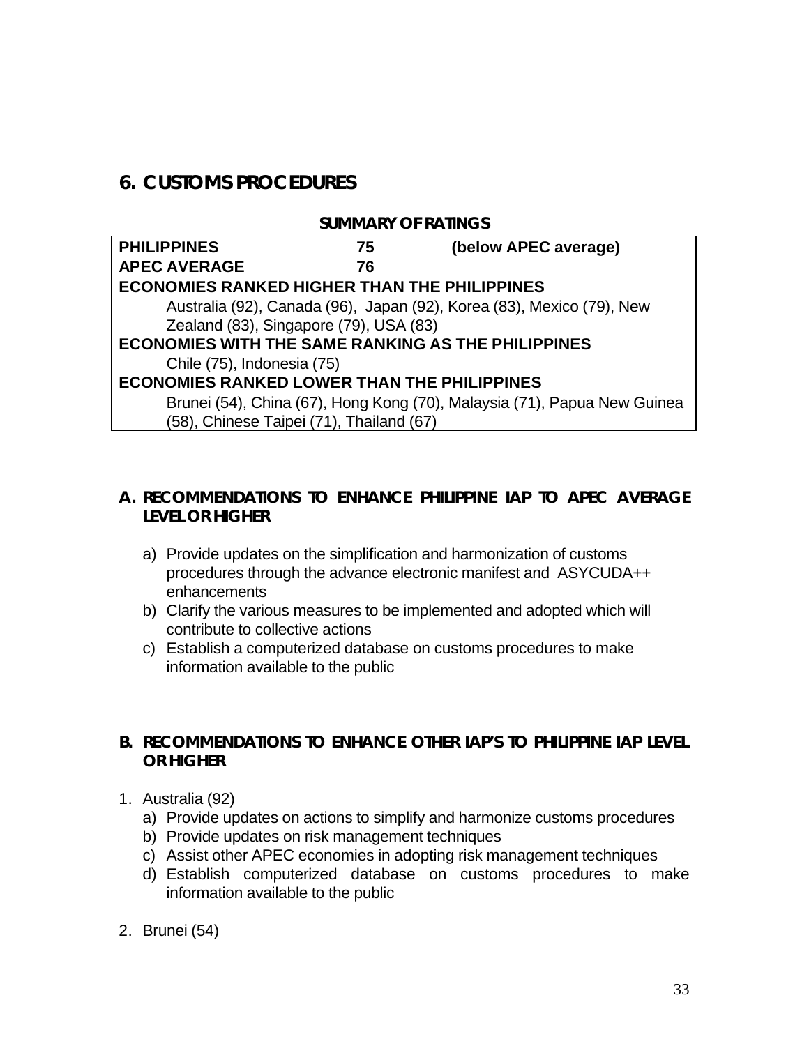# **6. CUSTOMS PROCEDURES**

#### **SUMMARY OF RATINGS**

| <b>PHILIPPINES</b>                                        | 75 | (below APEC average)                                                     |  |
|-----------------------------------------------------------|----|--------------------------------------------------------------------------|--|
| <b>APEC AVERAGE</b>                                       | 76 |                                                                          |  |
| <b>ECONOMIES RANKED HIGHER THAN THE PHILIPPINES</b>       |    |                                                                          |  |
|                                                           |    | Australia (92), Canada (96), Japan (92), Korea (83), Mexico (79), New    |  |
| Zealand (83), Singapore (79), USA (83)                    |    |                                                                          |  |
| <b>ECONOMIES WITH THE SAME RANKING AS THE PHILIPPINES</b> |    |                                                                          |  |
| Chile (75), Indonesia (75)                                |    |                                                                          |  |
| <b>ECONOMIES RANKED LOWER THAN THE PHILIPPINES</b>        |    |                                                                          |  |
|                                                           |    | Brunei (54), China (67), Hong Kong (70), Malaysia (71), Papua New Guinea |  |
| (58), Chinese Taipei (71), Thailand (67)                  |    |                                                                          |  |

### **A. RECOMMENDATIONS TO ENHANCE PHILIPPINE IAP TO APEC AVERAGE LEVEL OR HIGHER**

- a) Provide updates on the simplification and harmonization of customs procedures through the advance electronic manifest and ASYCUDA++ enhancements
- b) Clarify the various measures to be implemented and adopted which will contribute to collective actions
- c) Establish a computerized database on customs procedures to make information available to the public

### **B. RECOMMENDATIONS TO ENHANCE OTHER IAP'S TO PHILIPPINE IAP LEVEL OR HIGHER**

- 1. Australia (92)
	- a) Provide updates on actions to simplify and harmonize customs procedures
	- b) Provide updates on risk management techniques
	- c) Assist other APEC economies in adopting risk management techniques
	- d) Establish computerized database on customs procedures to make information available to the public
- 2. Brunei (54)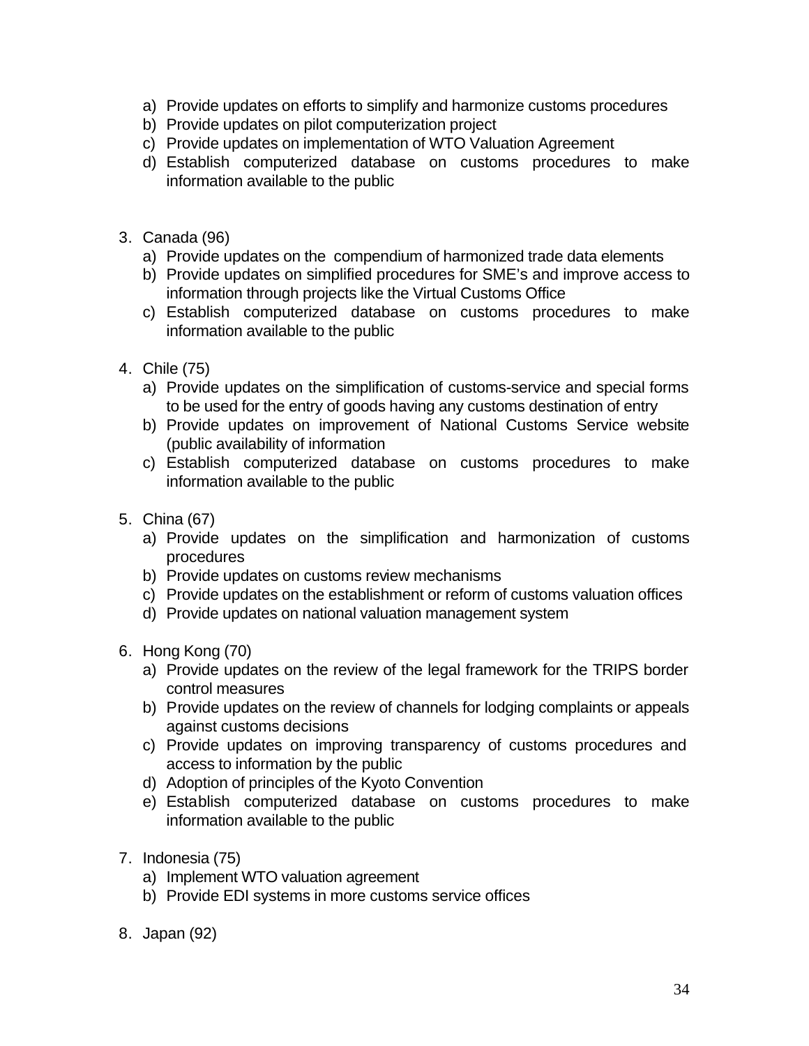- a) Provide updates on efforts to simplify and harmonize customs procedures
- b) Provide updates on pilot computerization project
- c) Provide updates on implementation of WTO Valuation Agreement
- d) Establish computerized database on customs procedures to make information available to the public
- 3. Canada (96)
	- a) Provide updates on the compendium of harmonized trade data elements
	- b) Provide updates on simplified procedures for SME's and improve access to information through projects like the Virtual Customs Office
	- c) Establish computerized database on customs procedures to make information available to the public
- 4. Chile (75)
	- a) Provide updates on the simplification of customs-service and special forms to be used for the entry of goods having any customs destination of entry
	- b) Provide updates on improvement of National Customs Service website (public availability of information
	- c) Establish computerized database on customs procedures to make information available to the public
- 5. China (67)
	- a) Provide updates on the simplification and harmonization of customs procedures
	- b) Provide updates on customs review mechanisms
	- c) Provide updates on the establishment or reform of customs valuation offices
	- d) Provide updates on national valuation management system
- 6. Hong Kong (70)
	- a) Provide updates on the review of the legal framework for the TRIPS border control measures
	- b) Provide updates on the review of channels for lodging complaints or appeals against customs decisions
	- c) Provide updates on improving transparency of customs procedures and access to information by the public
	- d) Adoption of principles of the Kyoto Convention
	- e) Establish computerized database on customs procedures to make information available to the public
- 7. Indonesia (75)
	- a) Implement WTO valuation agreement
	- b) Provide EDI systems in more customs service offices
- 8. Japan (92)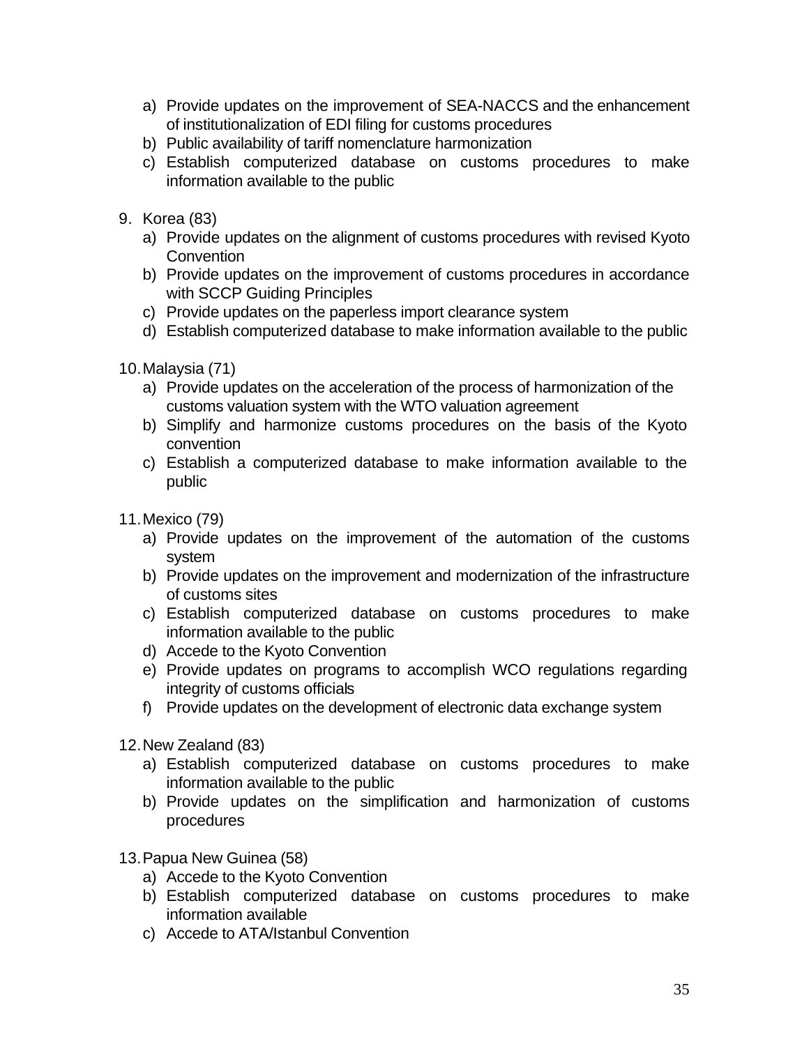- a) Provide updates on the improvement of SEA-NACCS and the enhancement of institutionalization of EDI filing for customs procedures
- b) Public availability of tariff nomenclature harmonization
- c) Establish computerized database on customs procedures to make information available to the public
- 9. Korea (83)
	- a) Provide updates on the alignment of customs procedures with revised Kyoto **Convention**
	- b) Provide updates on the improvement of customs procedures in accordance with SCCP Guiding Principles
	- c) Provide updates on the paperless import clearance system
	- d) Establish computerized database to make information available to the public
- 10.Malaysia (71)
	- a) Provide updates on the acceleration of the process of harmonization of the customs valuation system with the WTO valuation agreement
	- b) Simplify and harmonize customs procedures on the basis of the Kyoto convention
	- c) Establish a computerized database to make information available to the public
- 11.Mexico (79)
	- a) Provide updates on the improvement of the automation of the customs system
	- b) Provide updates on the improvement and modernization of the infrastructure of customs sites
	- c) Establish computerized database on customs procedures to make information available to the public
	- d) Accede to the Kyoto Convention
	- e) Provide updates on programs to accomplish WCO regulations regarding integrity of customs officials
	- f) Provide updates on the development of electronic data exchange system
- 12.New Zealand (83)
	- a) Establish computerized database on customs procedures to make information available to the public
	- b) Provide updates on the simplification and harmonization of customs procedures
- 13.Papua New Guinea (58)
	- a) Accede to the Kyoto Convention
	- b) Establish computerized database on customs procedures to make information available
	- c) Accede to ATA/Istanbul Convention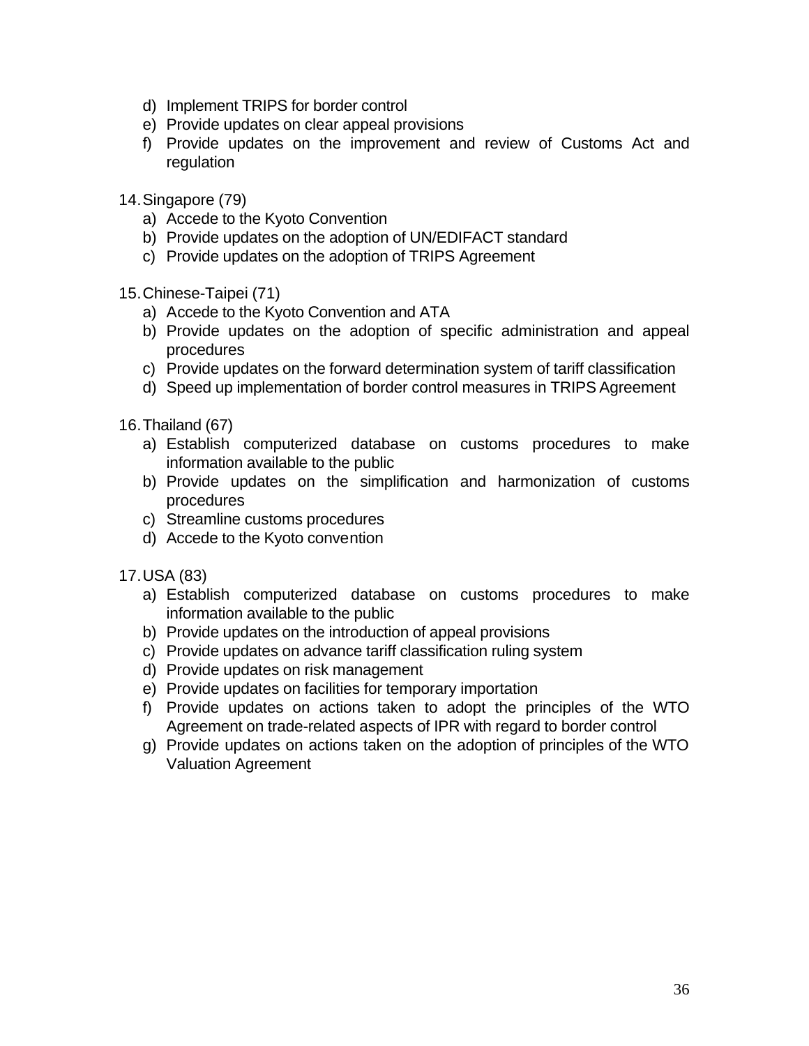- d) Implement TRIPS for border control
- e) Provide updates on clear appeal provisions
- f) Provide updates on the improvement and review of Customs Act and regulation
- 14.Singapore (79)
	- a) Accede to the Kyoto Convention
	- b) Provide updates on the adoption of UN/EDIFACT standard
	- c) Provide updates on the adoption of TRIPS Agreement
- 15.Chinese-Taipei (71)
	- a) Accede to the Kyoto Convention and ATA
	- b) Provide updates on the adoption of specific administration and appeal procedures
	- c) Provide updates on the forward determination system of tariff classification
	- d) Speed up implementation of border control measures in TRIPS Agreement
- 16.Thailand (67)
	- a) Establish computerized database on customs procedures to make information available to the public
	- b) Provide updates on the simplification and harmonization of customs procedures
	- c) Streamline customs procedures
	- d) Accede to the Kyoto convention
- 17.USA (83)
	- a) Establish computerized database on customs procedures to make information available to the public
	- b) Provide updates on the introduction of appeal provisions
	- c) Provide updates on advance tariff classification ruling system
	- d) Provide updates on risk management
	- e) Provide updates on facilities for temporary importation
	- f) Provide updates on actions taken to adopt the principles of the WTO Agreement on trade-related aspects of IPR with regard to border control
	- g) Provide updates on actions taken on the adoption of principles of the WTO Valuation Agreement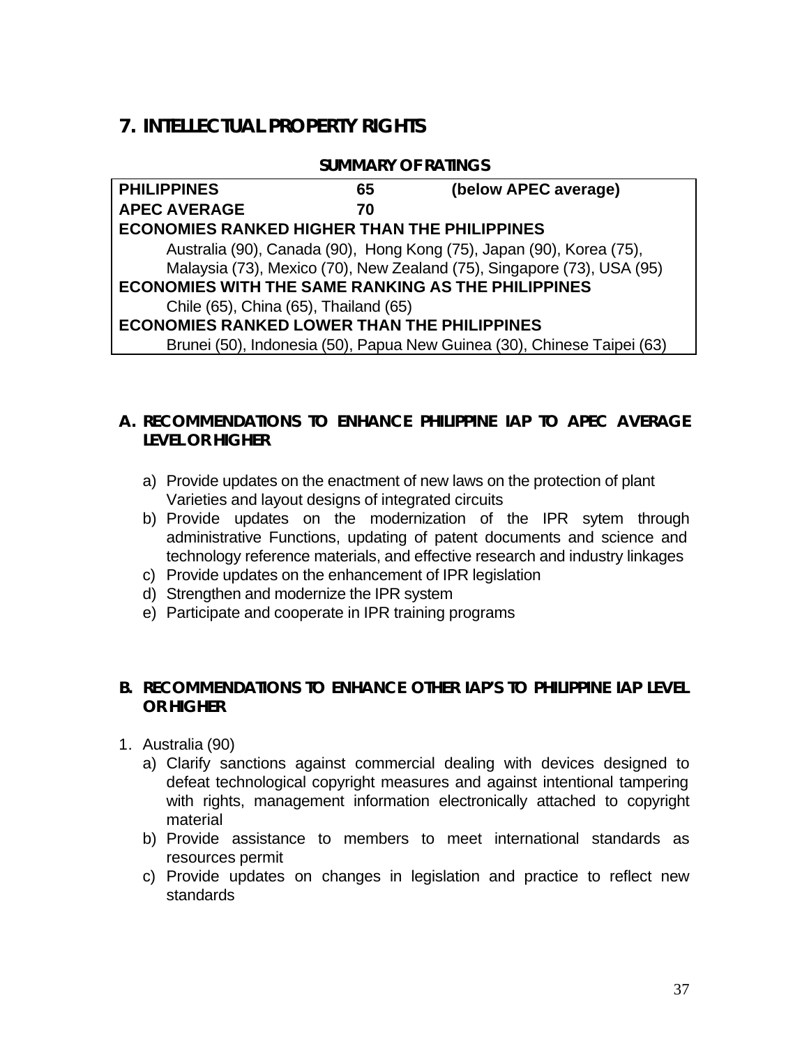# **7. INTELLECTUAL PROPERTY RIGHTS**

#### **SUMMARY OF RATINGS**

| <b>PHILIPPINES</b>                                        | 65 | (below APEC average)                                                    |
|-----------------------------------------------------------|----|-------------------------------------------------------------------------|
| <b>APEC AVERAGE</b>                                       | 70 |                                                                         |
| <b>ECONOMIES RANKED HIGHER THAN THE PHILIPPINES</b>       |    |                                                                         |
|                                                           |    | Australia (90), Canada (90), Hong Kong (75), Japan (90), Korea (75),    |
|                                                           |    | Malaysia (73), Mexico (70), New Zealand (75), Singapore (73), USA (95)  |
| <b>ECONOMIES WITH THE SAME RANKING AS THE PHILIPPINES</b> |    |                                                                         |
| Chile (65), China (65), Thailand (65)                     |    |                                                                         |
| <b>ECONOMIES RANKED LOWER THAN THE PHILIPPINES</b>        |    |                                                                         |
|                                                           |    | Brunei (50), Indonesia (50), Papua New Guinea (30), Chinese Taipei (63) |

## **A. RECOMMENDATIONS TO ENHANCE PHILIPPINE IAP TO APEC AVERAGE LEVEL OR HIGHER**

- a) Provide updates on the enactment of new laws on the protection of plant Varieties and layout designs of integrated circuits
- b) Provide updates on the modernization of the IPR sytem through administrative Functions, updating of patent documents and science and technology reference materials, and effective research and industry linkages
- c) Provide updates on the enhancement of IPR legislation
- d) Strengthen and modernize the IPR system
- e) Participate and cooperate in IPR training programs

#### **B. RECOMMENDATIONS TO ENHANCE OTHER IAP'S TO PHILIPPINE IAP LEVEL OR HIGHER**

- 1. Australia (90)
	- a) Clarify sanctions against commercial dealing with devices designed to defeat technological copyright measures and against intentional tampering with rights, management information electronically attached to copyright material
	- b) Provide assistance to members to meet international standards as resources permit
	- c) Provide updates on changes in legislation and practice to reflect new standards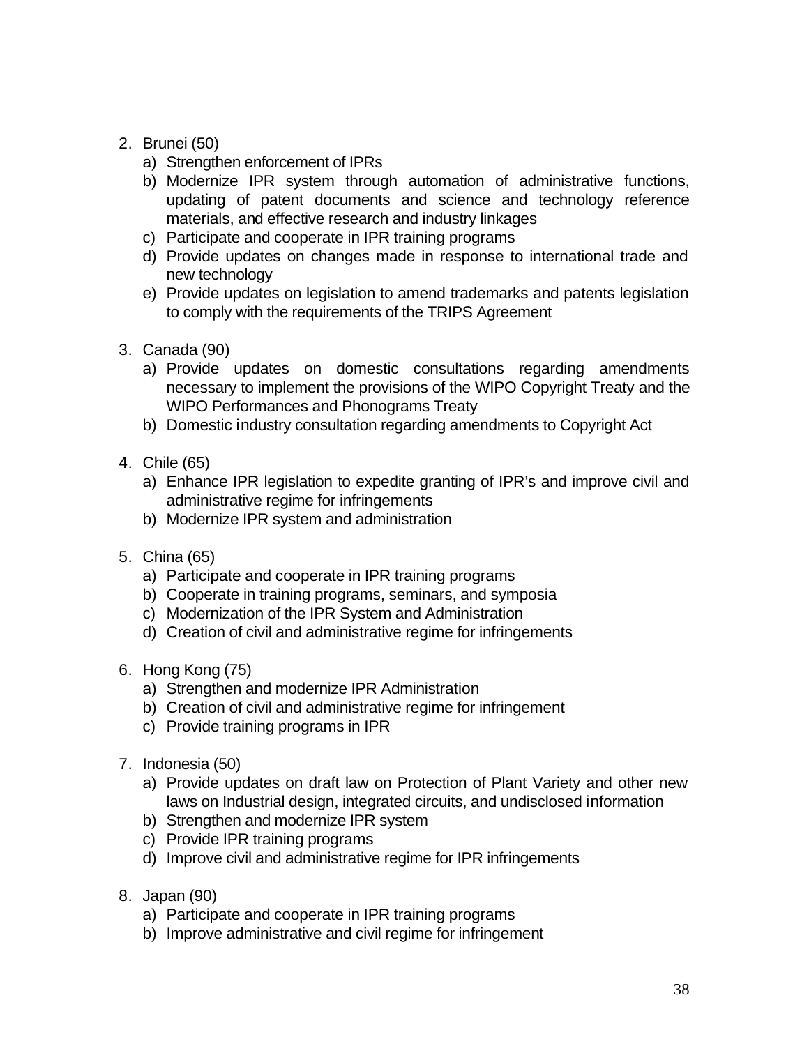## 2. Brunei (50)

- a) Strengthen enforcement of IPRs
- b) Modernize IPR system through automation of administrative functions, updating of patent documents and science and technology reference materials, and effective research and industry linkages
- c) Participate and cooperate in IPR training programs
- d) Provide updates on changes made in response to international trade and new technology
- e) Provide updates on legislation to amend trademarks and patents legislation to comply with the requirements of the TRIPS Agreement
- 3. Canada (90)
	- a) Provide updates on domestic consultations regarding amendments necessary to implement the provisions of the WIPO Copyright Treaty and the WIPO Performances and Phonograms Treaty
	- b) Domestic industry consultation regarding amendments to Copyright Act
- 4. Chile (65)
	- a) Enhance IPR legislation to expedite granting of IPR's and improve civil and administrative regime for infringements
	- b) Modernize IPR system and administration
- 5. China (65)
	- a) Participate and cooperate in IPR training programs
	- b) Cooperate in training programs, seminars, and symposia
	- c) Modernization of the IPR System and Administration
	- d) Creation of civil and administrative regime for infringements
- 6. Hong Kong (75)
	- a) Strengthen and modernize IPR Administration
	- b) Creation of civil and administrative regime for infringement
	- c) Provide training programs in IPR
- 7. Indonesia (50)
	- a) Provide updates on draft law on Protection of Plant Variety and other new laws on Industrial design, integrated circuits, and undisclosed information
	- b) Strengthen and modernize IPR system
	- c) Provide IPR training programs
	- d) Improve civil and administrative regime for IPR infringements
- 8. Japan (90)
	- a) Participate and cooperate in IPR training programs
	- b) Improve administrative and civil regime for infringement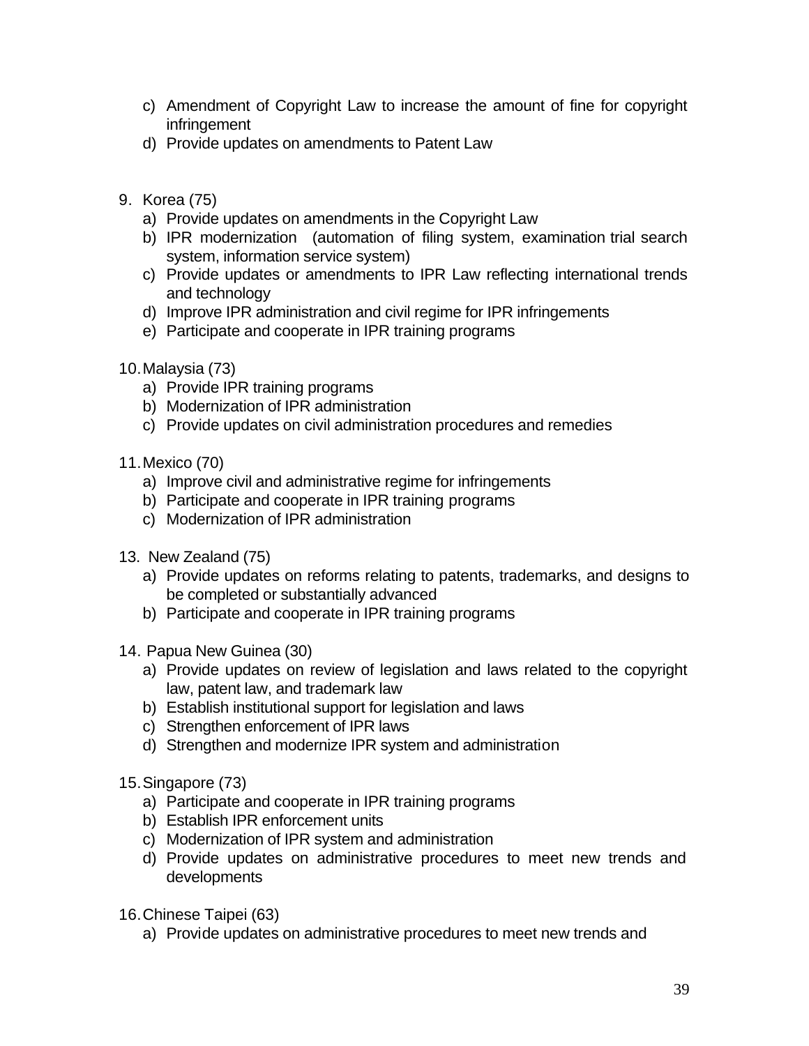- c) Amendment of Copyright Law to increase the amount of fine for copyright infringement
- d) Provide updates on amendments to Patent Law
- 9. Korea (75)
	- a) Provide updates on amendments in the Copyright Law
	- b) IPR modernization (automation of filing system, examination trial search system, information service system)
	- c) Provide updates or amendments to IPR Law reflecting international trends and technology
	- d) Improve IPR administration and civil regime for IPR infringements
	- e) Participate and cooperate in IPR training programs
- 10.Malaysia (73)
	- a) Provide IPR training programs
	- b) Modernization of IPR administration
	- c) Provide updates on civil administration procedures and remedies
- 11.Mexico (70)
	- a) Improve civil and administrative regime for infringements
	- b) Participate and cooperate in IPR training programs
	- c) Modernization of IPR administration
- 13. New Zealand (75)
	- a) Provide updates on reforms relating to patents, trademarks, and designs to be completed or substantially advanced
	- b) Participate and cooperate in IPR training programs
- 14. Papua New Guinea (30)
	- a) Provide updates on review of legislation and laws related to the copyright law, patent law, and trademark law
	- b) Establish institutional support for legislation and laws
	- c) Strengthen enforcement of IPR laws
	- d) Strengthen and modernize IPR system and administration
- 15.Singapore (73)
	- a) Participate and cooperate in IPR training programs
	- b) Establish IPR enforcement units
	- c) Modernization of IPR system and administration
	- d) Provide updates on administrative procedures to meet new trends and developments
- 16.Chinese Taipei (63)
	- a) Provide updates on administrative procedures to meet new trends and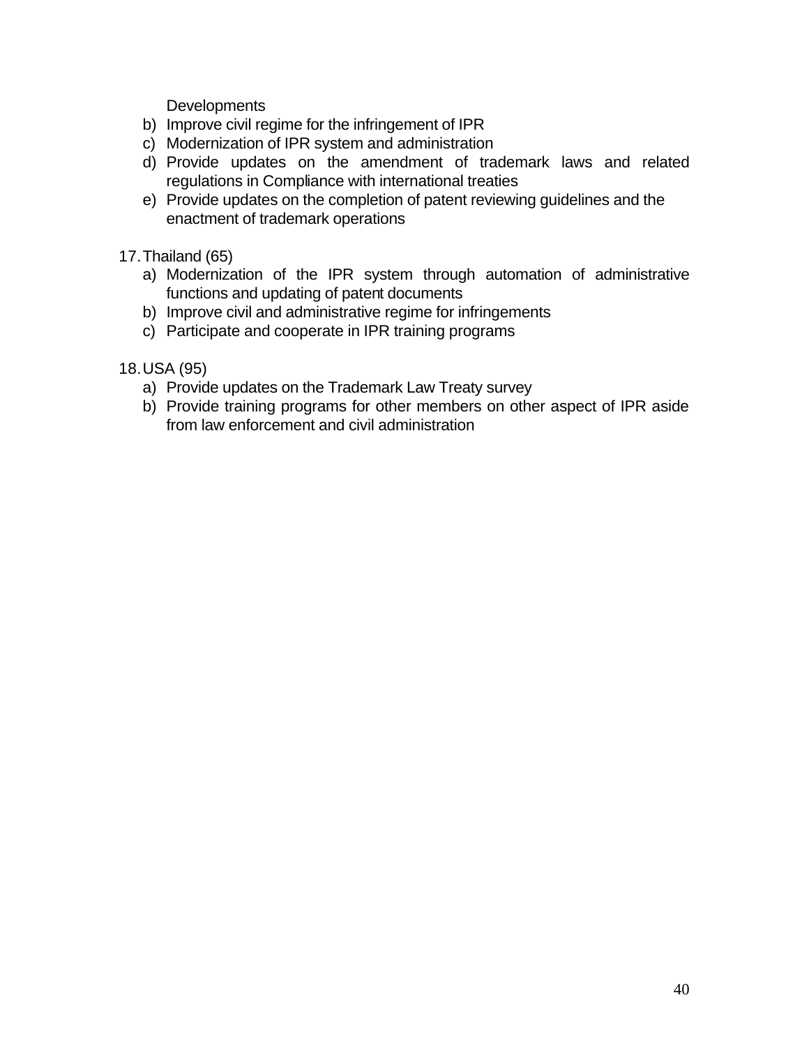**Developments** 

- b) Improve civil regime for the infringement of IPR
- c) Modernization of IPR system and administration
- d) Provide updates on the amendment of trademark laws and related regulations in Compliance with international treaties
- e) Provide updates on the completion of patent reviewing guidelines and the enactment of trademark operations
- 17.Thailand (65)
	- a) Modernization of the IPR system through automation of administrative functions and updating of patent documents
	- b) Improve civil and administrative regime for infringements
	- c) Participate and cooperate in IPR training programs
- 18.USA (95)
	- a) Provide updates on the Trademark Law Treaty survey
	- b) Provide training programs for other members on other aspect of IPR aside from law enforcement and civil administration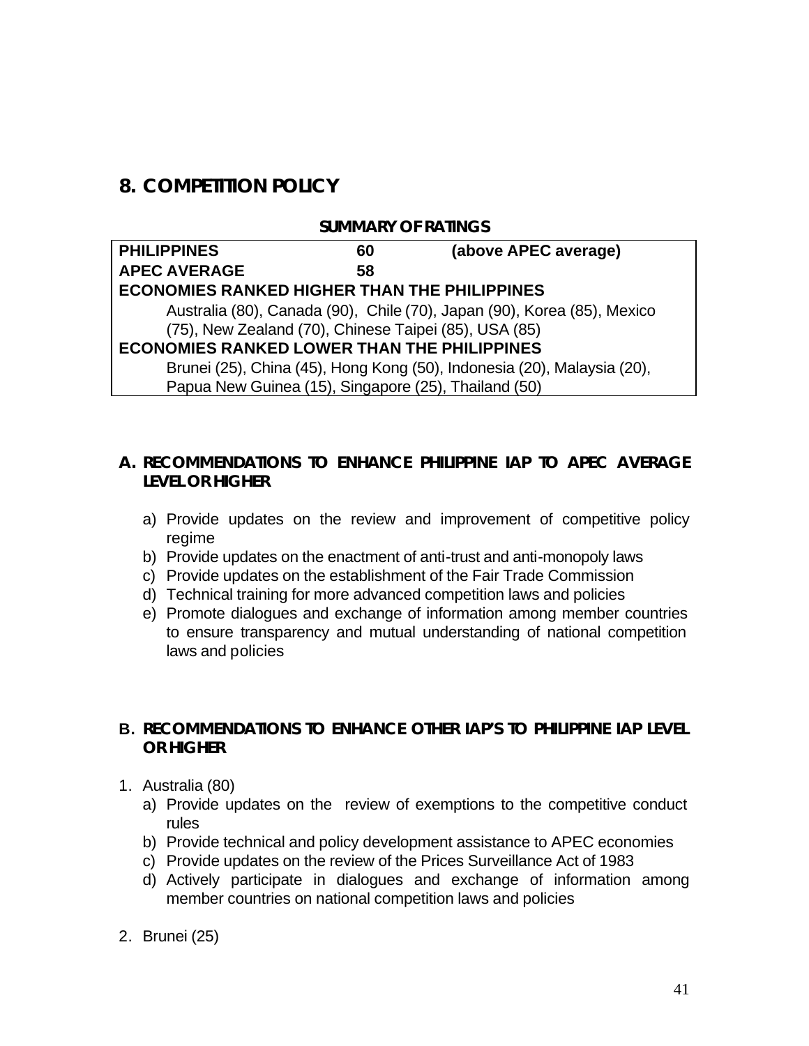# **8. COMPETITION POLICY**

#### **SUMMARY OF RATINGS**

| <b>PHILIPPINES</b>                                    | 60 | (above APEC average)                                                    |
|-------------------------------------------------------|----|-------------------------------------------------------------------------|
| <b>APEC AVERAGE</b>                                   | 58 |                                                                         |
| <b>ECONOMIES RANKED HIGHER THAN THE PHILIPPINES</b>   |    |                                                                         |
|                                                       |    | Australia (80), Canada (90), Chile (70), Japan (90), Korea (85), Mexico |
| (75), New Zealand (70), Chinese Taipei (85), USA (85) |    |                                                                         |
| <b>ECONOMIES RANKED LOWER THAN THE PHILIPPINES</b>    |    |                                                                         |
|                                                       |    | Brunei (25), China (45), Hong Kong (50), Indonesia (20), Malaysia (20), |
| Papua New Guinea (15), Singapore (25), Thailand (50)  |    |                                                                         |

#### **A. RECOMMENDATIONS TO ENHANCE PHILIPPINE IAP TO APEC AVERAGE LEVEL OR HIGHER**

- a) Provide updates on the review and improvement of competitive policy regime
- b) Provide updates on the enactment of anti-trust and anti-monopoly laws
- c) Provide updates on the establishment of the Fair Trade Commission
- d) Technical training for more advanced competition laws and policies
- e) Promote dialogues and exchange of information among member countries to ensure transparency and mutual understanding of national competition laws and policies

## **B. RECOMMENDATIONS TO ENHANCE OTHER IAP'S TO PHILIPPINE IAP LEVEL OR HIGHER**

- 1. Australia (80)
	- a) Provide updates on the review of exemptions to the competitive conduct rules
	- b) Provide technical and policy development assistance to APEC economies
	- c) Provide updates on the review of the Prices Surveillance Act of 1983
	- d) Actively participate in dialogues and exchange of information among member countries on national competition laws and policies
- 2. Brunei (25)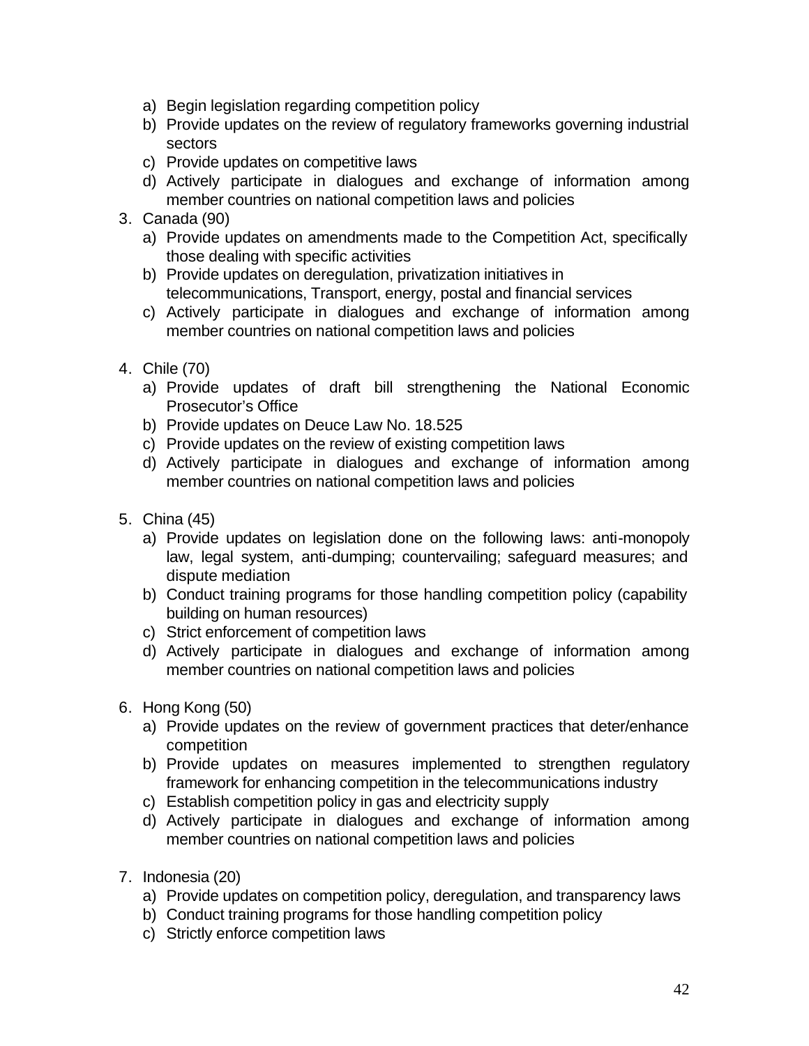- a) Begin legislation regarding competition policy
- b) Provide updates on the review of regulatory frameworks governing industrial sectors
- c) Provide updates on competitive laws
- d) Actively participate in dialogues and exchange of information among member countries on national competition laws and policies

#### 3. Canada (90)

- a) Provide updates on amendments made to the Competition Act, specifically those dealing with specific activities
- b) Provide updates on deregulation, privatization initiatives in telecommunications, Transport, energy, postal and financial services
- c) Actively participate in dialogues and exchange of information among member countries on national competition laws and policies
- 4. Chile (70)
	- a) Provide updates of draft bill strengthening the National Economic Prosecutor's Office
	- b) Provide updates on Deuce Law No. 18.525
	- c) Provide updates on the review of existing competition laws
	- d) Actively participate in dialogues and exchange of information among member countries on national competition laws and policies
- 5. China (45)
	- a) Provide updates on legislation done on the following laws: anti-monopoly law, legal system, anti-dumping; countervailing; safeguard measures; and dispute mediation
	- b) Conduct training programs for those handling competition policy (capability building on human resources)
	- c) Strict enforcement of competition laws
	- d) Actively participate in dialogues and exchange of information among member countries on national competition laws and policies
- 6. Hong Kong (50)
	- a) Provide updates on the review of government practices that deter/enhance competition
	- b) Provide updates on measures implemented to strengthen regulatory framework for enhancing competition in the telecommunications industry
	- c) Establish competition policy in gas and electricity supply
	- d) Actively participate in dialogues and exchange of information among member countries on national competition laws and policies
- 7. Indonesia (20)
	- a) Provide updates on competition policy, deregulation, and transparency laws
	- b) Conduct training programs for those handling competition policy
	- c) Strictly enforce competition laws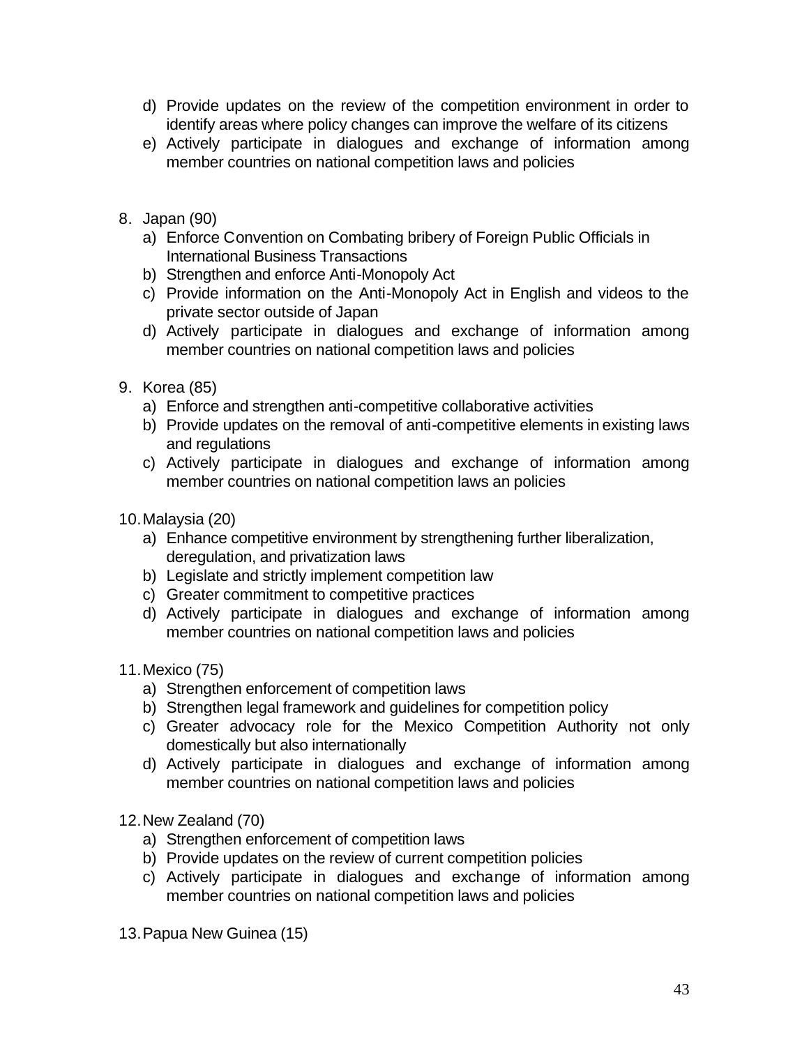- d) Provide updates on the review of the competition environment in order to identify areas where policy changes can improve the welfare of its citizens
- e) Actively participate in dialogues and exchange of information among member countries on national competition laws and policies
- 8. Japan (90)
	- a) Enforce Convention on Combating bribery of Foreign Public Officials in International Business Transactions
	- b) Strengthen and enforce Anti-Monopoly Act
	- c) Provide information on the Anti-Monopoly Act in English and videos to the private sector outside of Japan
	- d) Actively participate in dialogues and exchange of information among member countries on national competition laws and policies
- 9. Korea (85)
	- a) Enforce and strengthen anti-competitive collaborative activities
	- b) Provide updates on the removal of anti-competitive elements in existing laws and regulations
	- c) Actively participate in dialogues and exchange of information among member countries on national competition laws an policies
- 10.Malaysia (20)
	- a) Enhance competitive environment by strengthening further liberalization, deregulation, and privatization laws
	- b) Legislate and strictly implement competition law
	- c) Greater commitment to competitive practices
	- d) Actively participate in dialogues and exchange of information among member countries on national competition laws and policies
- 11.Mexico (75)
	- a) Strengthen enforcement of competition laws
	- b) Strengthen legal framework and guidelines for competition policy
	- c) Greater advocacy role for the Mexico Competition Authority not only domestically but also internationally
	- d) Actively participate in dialogues and exchange of information among member countries on national competition laws and policies
- 12.New Zealand (70)
	- a) Strengthen enforcement of competition laws
	- b) Provide updates on the review of current competition policies
	- c) Actively participate in dialogues and exchange of information among member countries on national competition laws and policies
- 13.Papua New Guinea (15)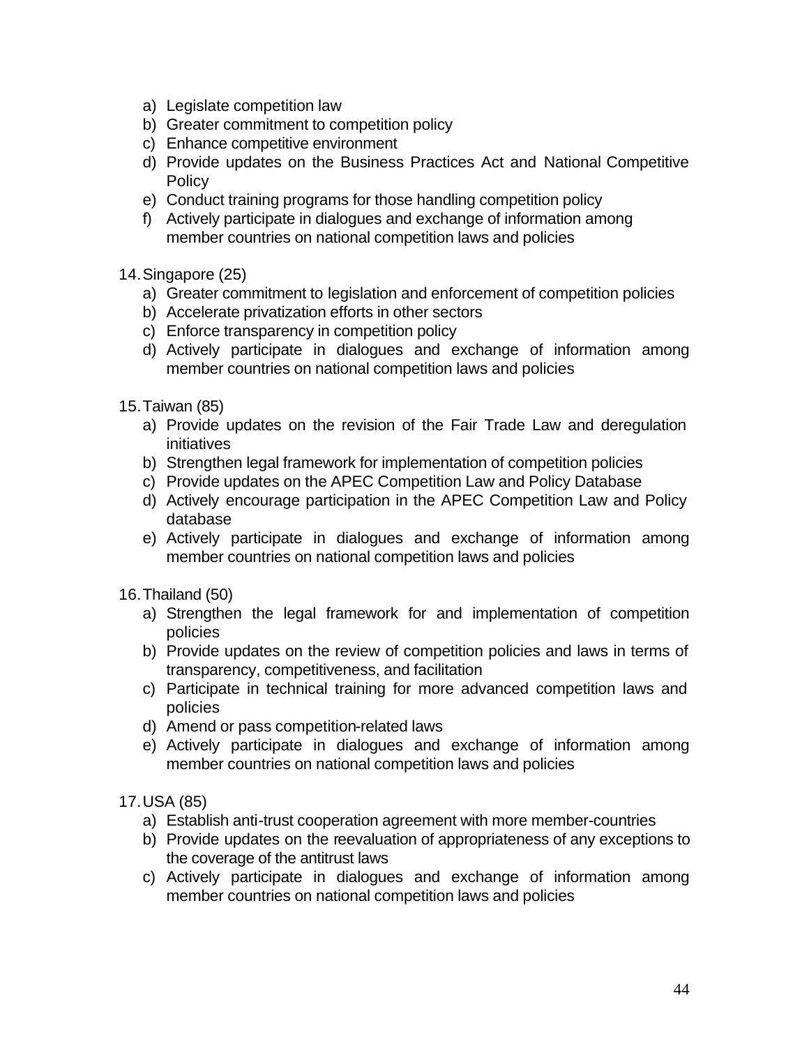- a) Legislate competition law
- b) Greater commitment to competition policy
- c) Enhance competitive environment
- d) Provide updates on the Business Practices Act and National Competitive **Policy**
- e) Conduct training programs for those handling competition policy
- f) Actively participate in dialogues and exchange of information among member countries on national competition laws and policies
- 14.Singapore (25)
	- a) Greater commitment to legislation and enforcement of competition policies
	- b) Accelerate privatization efforts in other sectors
	- c) Enforce transparency in competition policy
	- d) Actively participate in dialogues and exchange of information among member countries on national competition laws and policies
- 15.Taiwan (85)
	- a) Provide updates on the revision of the Fair Trade Law and deregulation initiatives
	- b) Strengthen legal framework for implementation of competition policies
	- c) Provide updates on the APEC Competition Law and Policy Database
	- d) Actively encourage participation in the APEC Competition Law and Policy database
	- e) Actively participate in dialogues and exchange of information among member countries on national competition laws and policies
- 16.Thailand (50)
	- a) Strengthen the legal framework for and implementation of competition policies
	- b) Provide updates on the review of competition policies and laws in terms of transparency, competitiveness, and facilitation
	- c) Participate in technical training for more advanced competition laws and policies
	- d) Amend or pass competition-related laws
	- e) Actively participate in dialogues and exchange of information among member countries on national competition laws and policies
- 17.USA (85)
	- a) Establish anti-trust cooperation agreement with more member-countries
	- b) Provide updates on the reevaluation of appropriateness of any exceptions to the coverage of the antitrust laws
	- c) Actively participate in dialogues and exchange of information among member countries on national competition laws and policies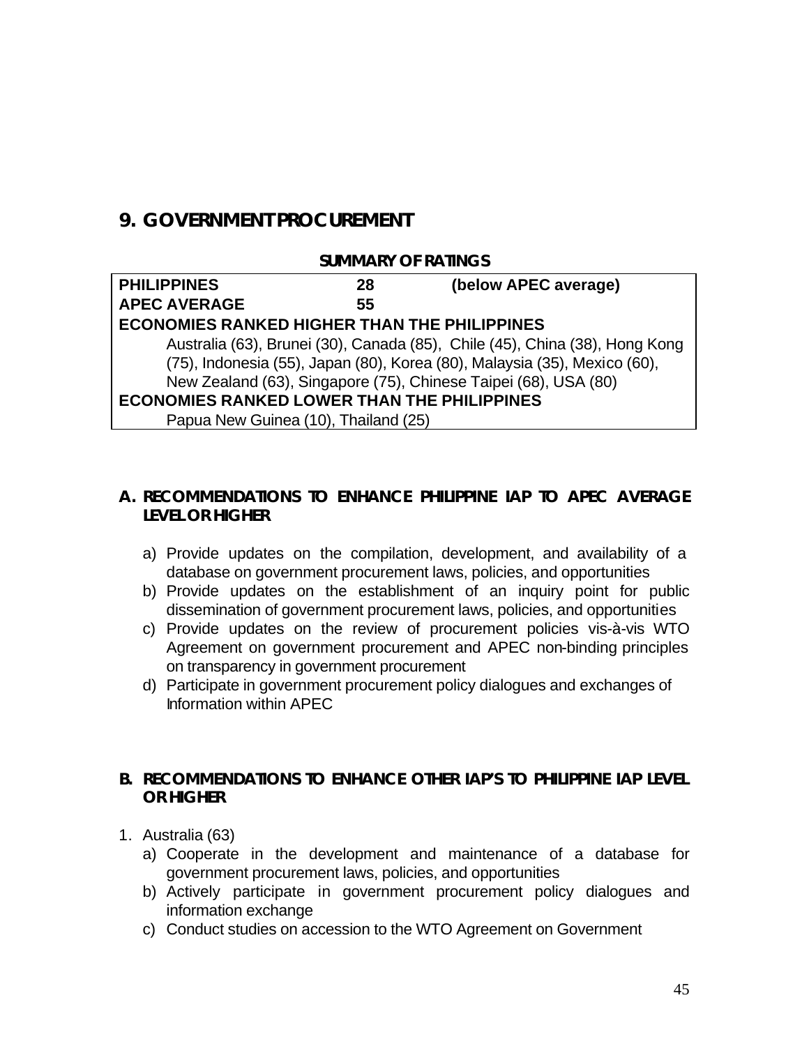## **9. GOVERNMENT PROCUREMENT**

#### **SUMMARY OF RATINGS**

| <b>PHILIPPINES</b>                                  | 28 | (below APEC average)                                                        |
|-----------------------------------------------------|----|-----------------------------------------------------------------------------|
| <b>APEC AVERAGE</b>                                 | 55 |                                                                             |
| <b>ECONOMIES RANKED HIGHER THAN THE PHILIPPINES</b> |    |                                                                             |
|                                                     |    | Australia (63), Brunei (30), Canada (85), Chile (45), China (38), Hong Kong |
|                                                     |    | (75), Indonesia (55), Japan (80), Korea (80), Malaysia (35), Mexico (60),   |
|                                                     |    | New Zealand (63), Singapore (75), Chinese Taipei (68), USA (80)             |
| <b>ECONOMIES RANKED LOWER THAN THE PHILIPPINES</b>  |    |                                                                             |
| Papua New Guinea (10), Thailand (25)                |    |                                                                             |

## **A. RECOMMENDATIONS TO ENHANCE PHILIPPINE IAP TO APEC AVERAGE LEVEL OR HIGHER**

- a) Provide updates on the compilation, development, and availability of a database on government procurement laws, policies, and opportunities
- b) Provide updates on the establishment of an inquiry point for public dissemination of government procurement laws, policies, and opportunities
- c) Provide updates on the review of procurement policies vis-à-vis WTO Agreement on government procurement and APEC non-binding principles on transparency in government procurement
- d) Participate in government procurement policy dialogues and exchanges of Information within APEC

## **B. RECOMMENDATIONS TO ENHANCE OTHER IAP'S TO PHILIPPINE IAP LEVEL OR HIGHER**

- 1. Australia (63)
	- a) Cooperate in the development and maintenance of a database for government procurement laws, policies, and opportunities
	- b) Actively participate in government procurement policy dialogues and information exchange
	- c) Conduct studies on accession to the WTO Agreement on Government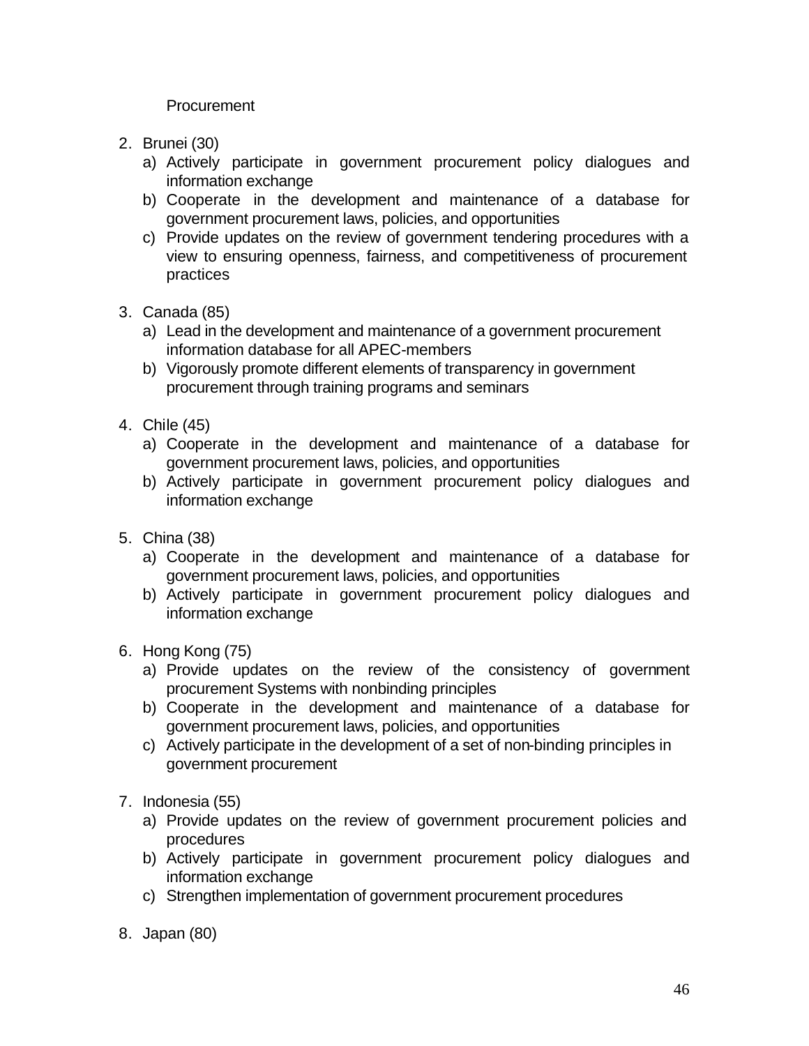**Procurement** 

- 2. Brunei (30)
	- a) Actively participate in government procurement policy dialogues and information exchange
	- b) Cooperate in the development and maintenance of a database for government procurement laws, policies, and opportunities
	- c) Provide updates on the review of government tendering procedures with a view to ensuring openness, fairness, and competitiveness of procurement practices
- 3. Canada (85)
	- a) Lead in the development and maintenance of a government procurement information database for all APEC-members
	- b) Vigorously promote different elements of transparency in government procurement through training programs and seminars
- 4. Chile (45)
	- a) Cooperate in the development and maintenance of a database for government procurement laws, policies, and opportunities
	- b) Actively participate in government procurement policy dialogues and information exchange
- 5. China (38)
	- a) Cooperate in the development and maintenance of a database for government procurement laws, policies, and opportunities
	- b) Actively participate in government procurement policy dialogues and information exchange
- 6. Hong Kong (75)
	- a) Provide updates on the review of the consistency of government procurement Systems with nonbinding principles
	- b) Cooperate in the development and maintenance of a database for government procurement laws, policies, and opportunities
	- c) Actively participate in the development of a set of non-binding principles in government procurement
- 7. Indonesia (55)
	- a) Provide updates on the review of government procurement policies and procedures
	- b) Actively participate in government procurement policy dialogues and information exchange
	- c) Strengthen implementation of government procurement procedures
- 8. Japan (80)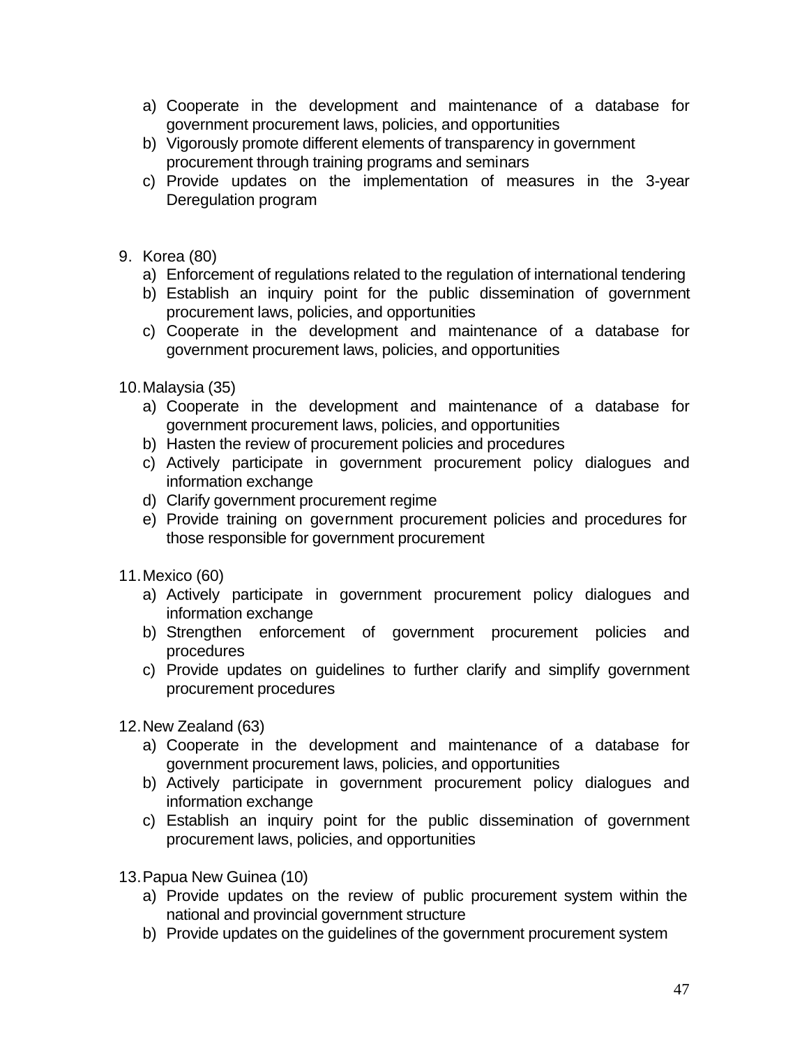- a) Cooperate in the development and maintenance of a database for government procurement laws, policies, and opportunities
- b) Vigorously promote different elements of transparency in government procurement through training programs and seminars
- c) Provide updates on the implementation of measures in the 3-year Deregulation program
- 9. Korea (80)
	- a) Enforcement of regulations related to the regulation of international tendering
	- b) Establish an inquiry point for the public dissemination of government procurement laws, policies, and opportunities
	- c) Cooperate in the development and maintenance of a database for government procurement laws, policies, and opportunities

10.Malaysia (35)

- a) Cooperate in the development and maintenance of a database for government procurement laws, policies, and opportunities
- b) Hasten the review of procurement policies and procedures
- c) Actively participate in government procurement policy dialogues and information exchange
- d) Clarify government procurement regime
- e) Provide training on government procurement policies and procedures for those responsible for government procurement
- 11.Mexico (60)
	- a) Actively participate in government procurement policy dialogues and information exchange
	- b) Strengthen enforcement of government procurement policies and procedures
	- c) Provide updates on guidelines to further clarify and simplify government procurement procedures

12.New Zealand (63)

- a) Cooperate in the development and maintenance of a database for government procurement laws, policies, and opportunities
- b) Actively participate in government procurement policy dialogues and information exchange
- c) Establish an inquiry point for the public dissemination of government procurement laws, policies, and opportunities
- 13.Papua New Guinea (10)
	- a) Provide updates on the review of public procurement system within the national and provincial government structure
	- b) Provide updates on the guidelines of the government procurement system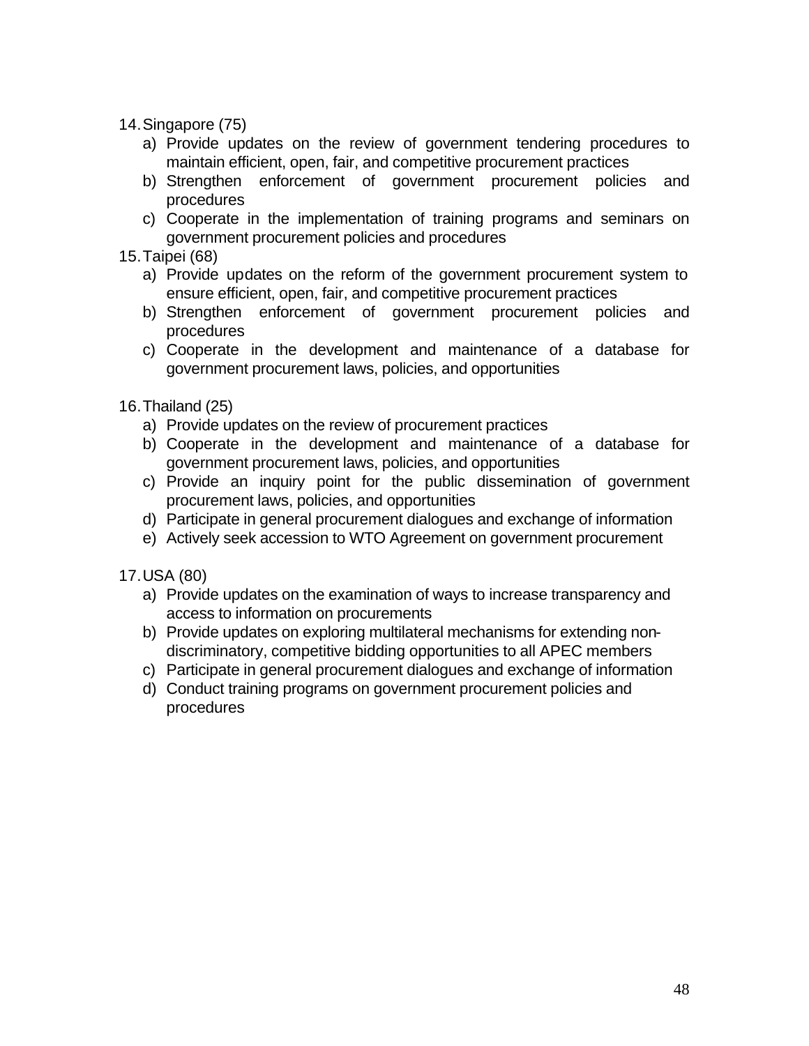- 14.Singapore (75)
	- a) Provide updates on the review of government tendering procedures to maintain efficient, open, fair, and competitive procurement practices
	- b) Strengthen enforcement of government procurement policies and procedures
	- c) Cooperate in the implementation of training programs and seminars on government procurement policies and procedures
- 15.Taipei (68)
	- a) Provide updates on the reform of the government procurement system to ensure efficient, open, fair, and competitive procurement practices
	- b) Strengthen enforcement of government procurement policies and procedures
	- c) Cooperate in the development and maintenance of a database for government procurement laws, policies, and opportunities
- 16.Thailand (25)
	- a) Provide updates on the review of procurement practices
	- b) Cooperate in the development and maintenance of a database for government procurement laws, policies, and opportunities
	- c) Provide an inquiry point for the public dissemination of government procurement laws, policies, and opportunities
	- d) Participate in general procurement dialogues and exchange of information
	- e) Actively seek accession to WTO Agreement on government procurement
- 17.USA (80)
	- a) Provide updates on the examination of ways to increase transparency and access to information on procurements
	- b) Provide updates on exploring multilateral mechanisms for extending nondiscriminatory, competitive bidding opportunities to all APEC members
	- c) Participate in general procurement dialogues and exchange of information
	- d) Conduct training programs on government procurement policies and procedures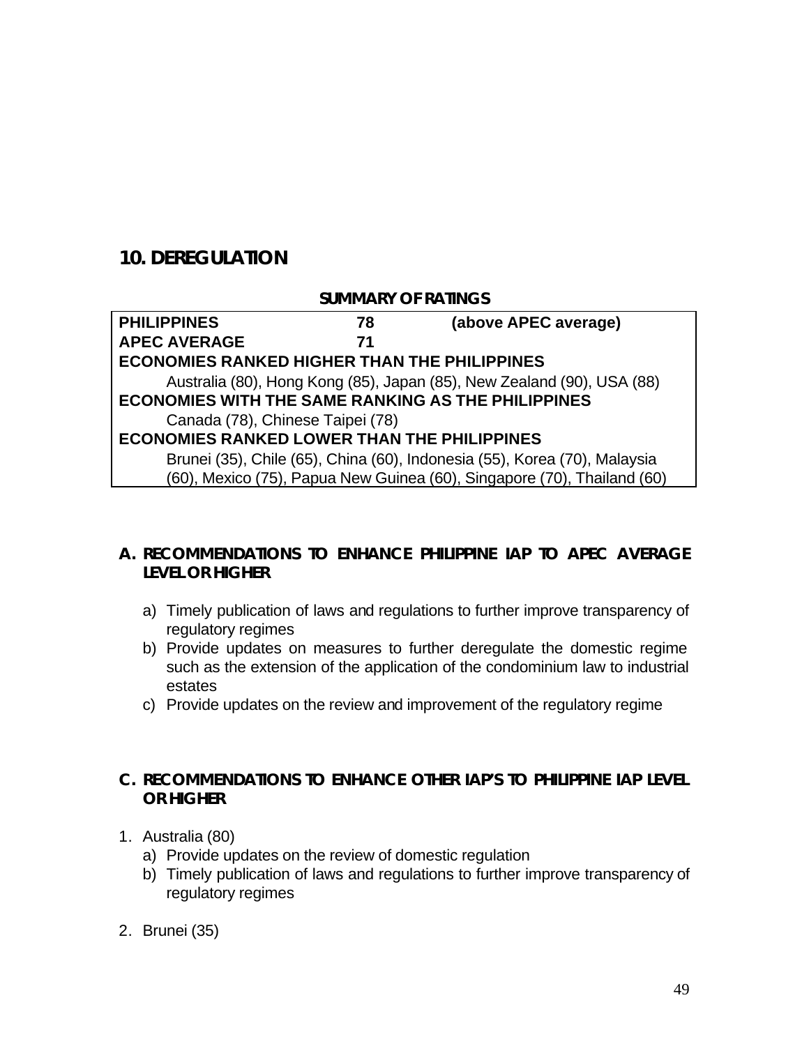# **10. DEREGULATION**

#### **SUMMARY OF RATINGS**

| <b>PHILIPPINES</b>                                                        | 78 | (above APEC average)                                                    |
|---------------------------------------------------------------------------|----|-------------------------------------------------------------------------|
| <b>APEC AVERAGE</b>                                                       | 71 |                                                                         |
| <b>ECONOMIES RANKED HIGHER THAN THE PHILIPPINES</b>                       |    |                                                                         |
|                                                                           |    | Australia (80), Hong Kong (85), Japan (85), New Zealand (90), USA (88)  |
| <b>ECONOMIES WITH THE SAME RANKING AS THE PHILIPPINES</b>                 |    |                                                                         |
| Canada (78), Chinese Taipei (78)                                          |    |                                                                         |
| <b>ECONOMIES RANKED LOWER THAN THE PHILIPPINES</b>                        |    |                                                                         |
| Brunei (35), Chile (65), China (60), Indonesia (55), Korea (70), Malaysia |    |                                                                         |
|                                                                           |    | (60), Mexico (75), Papua New Guinea (60), Singapore (70), Thailand (60) |

## **A. RECOMMENDATIONS TO ENHANCE PHILIPPINE IAP TO APEC AVERAGE LEVEL OR HIGHER**

- a) Timely publication of laws and regulations to further improve transparency of regulatory regimes
- b) Provide updates on measures to further deregulate the domestic regime such as the extension of the application of the condominium law to industrial estates
- c) Provide updates on the review and improvement of the regulatory regime

## **C. RECOMMENDATIONS TO ENHANCE OTHER IAP'S TO PHILIPPINE IAP LEVEL OR HIGHER**

- 1. Australia (80)
	- a) Provide updates on the review of domestic regulation
	- b) Timely publication of laws and regulations to further improve transparency of regulatory regimes
- 2. Brunei (35)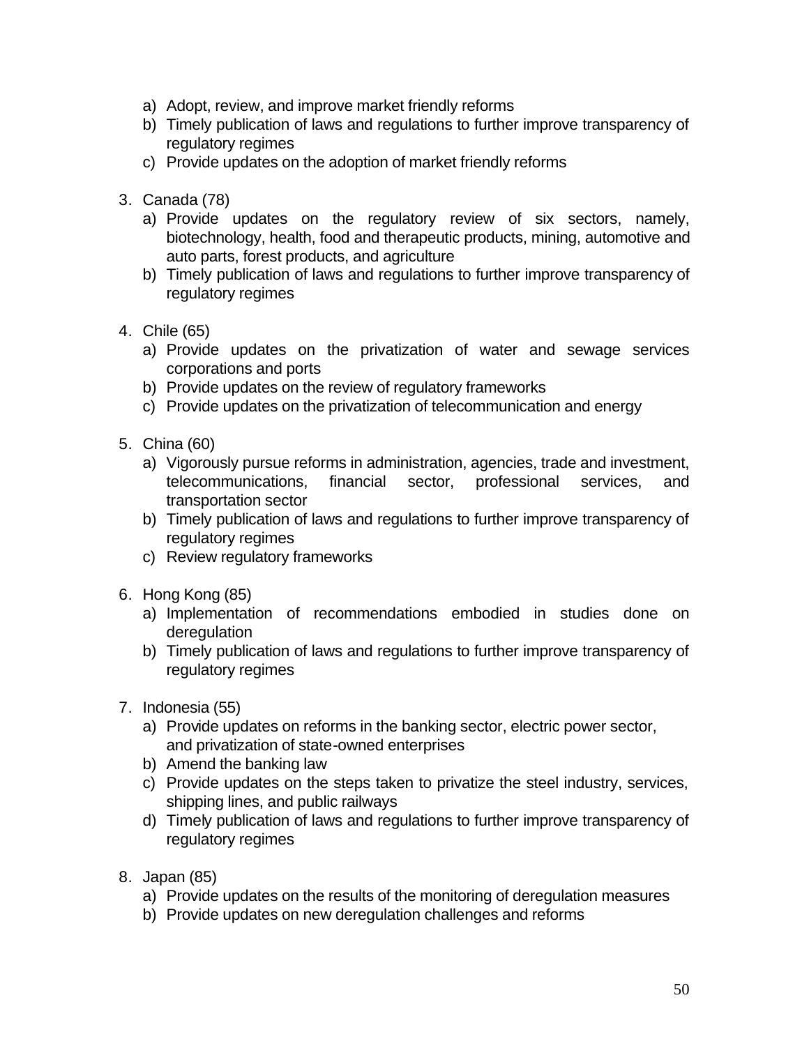- a) Adopt, review, and improve market friendly reforms
- b) Timely publication of laws and regulations to further improve transparency of regulatory regimes
- c) Provide updates on the adoption of market friendly reforms
- 3. Canada (78)
	- a) Provide updates on the regulatory review of six sectors, namely, biotechnology, health, food and therapeutic products, mining, automotive and auto parts, forest products, and agriculture
	- b) Timely publication of laws and regulations to further improve transparency of regulatory regimes
- 4. Chile (65)
	- a) Provide updates on the privatization of water and sewage services corporations and ports
	- b) Provide updates on the review of regulatory frameworks
	- c) Provide updates on the privatization of telecommunication and energy
- 5. China (60)
	- a) Vigorously pursue reforms in administration, agencies, trade and investment, telecommunications, financial sector, professional services, and transportation sector
	- b) Timely publication of laws and regulations to further improve transparency of regulatory regimes
	- c) Review regulatory frameworks
- 6. Hong Kong (85)
	- a) Implementation of recommendations embodied in studies done on deregulation
	- b) Timely publication of laws and regulations to further improve transparency of regulatory regimes
- 7. Indonesia (55)
	- a) Provide updates on reforms in the banking sector, electric power sector, and privatization of state-owned enterprises
	- b) Amend the banking law
	- c) Provide updates on the steps taken to privatize the steel industry, services, shipping lines, and public railways
	- d) Timely publication of laws and regulations to further improve transparency of regulatory regimes
- 8. Japan (85)
	- a) Provide updates on the results of the monitoring of deregulation measures
	- b) Provide updates on new deregulation challenges and reforms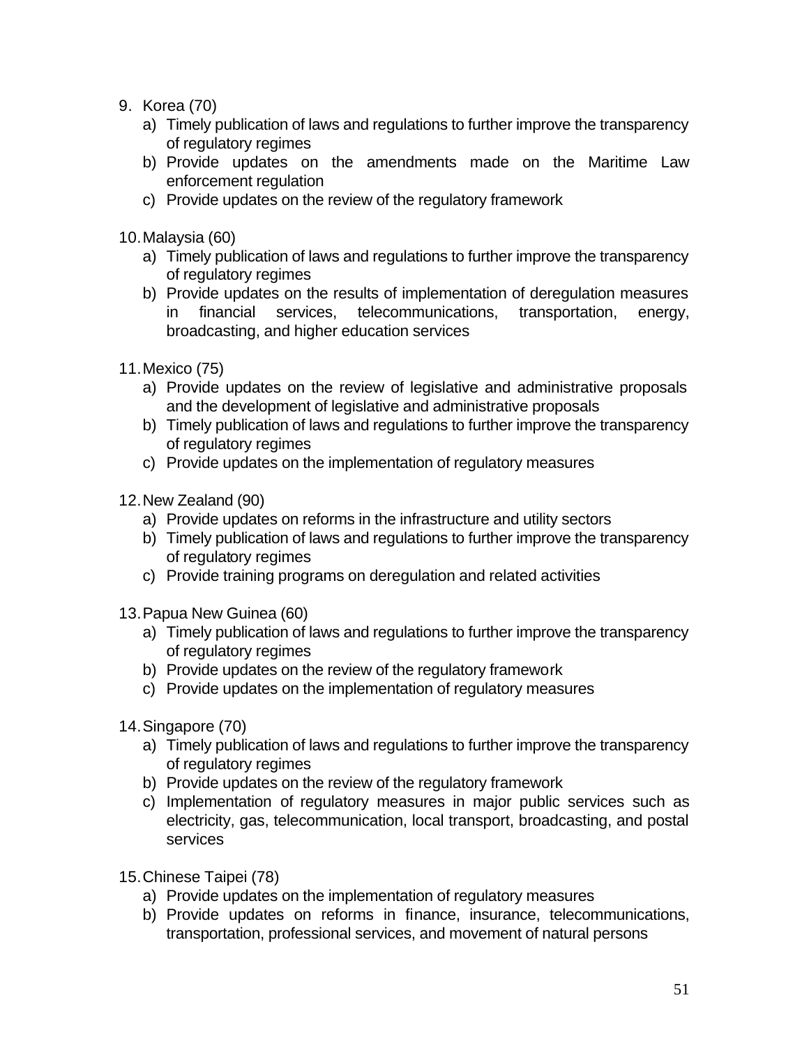- 9. Korea (70)
	- a) Timely publication of laws and regulations to further improve the transparency of regulatory regimes
	- b) Provide updates on the amendments made on the Maritime Law enforcement regulation
	- c) Provide updates on the review of the regulatory framework

10.Malaysia (60)

- a) Timely publication of laws and regulations to further improve the transparency of regulatory regimes
- b) Provide updates on the results of implementation of deregulation measures in financial services, telecommunications, transportation, energy, broadcasting, and higher education services
- 11.Mexico (75)
	- a) Provide updates on the review of legislative and administrative proposals and the development of legislative and administrative proposals
	- b) Timely publication of laws and regulations to further improve the transparency of regulatory regimes
	- c) Provide updates on the implementation of regulatory measures
- 12.New Zealand (90)
	- a) Provide updates on reforms in the infrastructure and utility sectors
	- b) Timely publication of laws and regulations to further improve the transparency of regulatory regimes
	- c) Provide training programs on deregulation and related activities
- 13.Papua New Guinea (60)
	- a) Timely publication of laws and regulations to further improve the transparency of regulatory regimes
	- b) Provide updates on the review of the regulatory framework
	- c) Provide updates on the implementation of regulatory measures
- 14.Singapore (70)
	- a) Timely publication of laws and regulations to further improve the transparency of regulatory regimes
	- b) Provide updates on the review of the regulatory framework
	- c) Implementation of regulatory measures in major public services such as electricity, gas, telecommunication, local transport, broadcasting, and postal services
- 15.Chinese Taipei (78)
	- a) Provide updates on the implementation of regulatory measures
	- b) Provide updates on reforms in finance, insurance, telecommunications, transportation, professional services, and movement of natural persons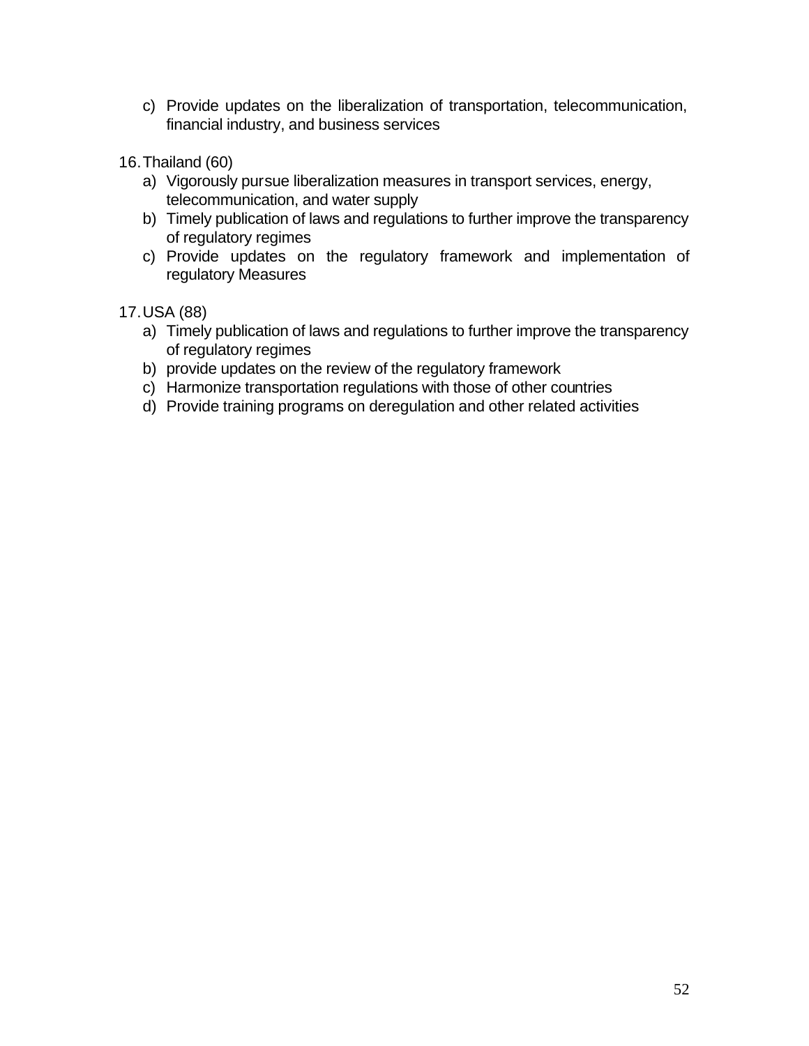- c) Provide updates on the liberalization of transportation, telecommunication, financial industry, and business services
- 16.Thailand (60)
	- a) Vigorously pursue liberalization measures in transport services, energy, telecommunication, and water supply
	- b) Timely publication of laws and regulations to further improve the transparency of regulatory regimes
	- c) Provide updates on the regulatory framework and implementation of regulatory Measures
- 17.USA (88)
	- a) Timely publication of laws and regulations to further improve the transparency of regulatory regimes
	- b) provide updates on the review of the regulatory framework
	- c) Harmonize transportation regulations with those of other countries
	- d) Provide training programs on deregulation and other related activities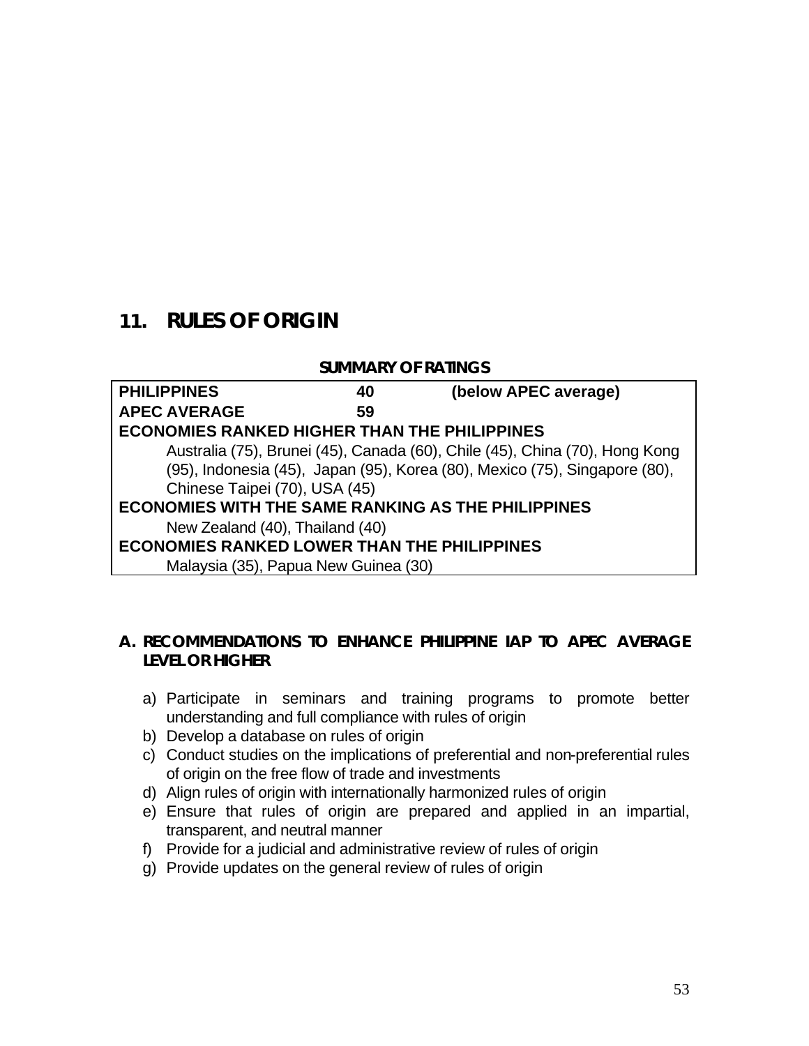# **11. RULES OF ORIGIN**

#### **SUMMARY OF RATINGS**

| <b>PHILIPPINES</b>                                        | 40 | (below APEC average)                                                        |
|-----------------------------------------------------------|----|-----------------------------------------------------------------------------|
| <b>APEC AVERAGE</b>                                       | 59 |                                                                             |
| <b>ECONOMIES RANKED HIGHER THAN THE PHILIPPINES</b>       |    |                                                                             |
|                                                           |    | Australia (75), Brunei (45), Canada (60), Chile (45), China (70), Hong Kong |
|                                                           |    | (95), Indonesia (45), Japan (95), Korea (80), Mexico (75), Singapore (80),  |
| Chinese Taipei (70), USA (45)                             |    |                                                                             |
| <b>ECONOMIES WITH THE SAME RANKING AS THE PHILIPPINES</b> |    |                                                                             |
| New Zealand (40), Thailand (40)                           |    |                                                                             |
| <b>ECONOMIES RANKED LOWER THAN THE PHILIPPINES</b>        |    |                                                                             |
| Malaysia (35), Papua New Guinea (30)                      |    |                                                                             |

#### **A. RECOMMENDATIONS TO ENHANCE PHILIPPINE IAP TO APEC AVERAGE LEVEL OR HIGHER**

- a) Participate in seminars and training programs to promote better understanding and full compliance with rules of origin
- b) Develop a database on rules of origin
- c) Conduct studies on the implications of preferential and non-preferential rules of origin on the free flow of trade and investments
- d) Align rules of origin with internationally harmonized rules of origin
- e) Ensure that rules of origin are prepared and applied in an impartial, transparent, and neutral manner
- f) Provide for a judicial and administrative review of rules of origin
- g) Provide updates on the general review of rules of origin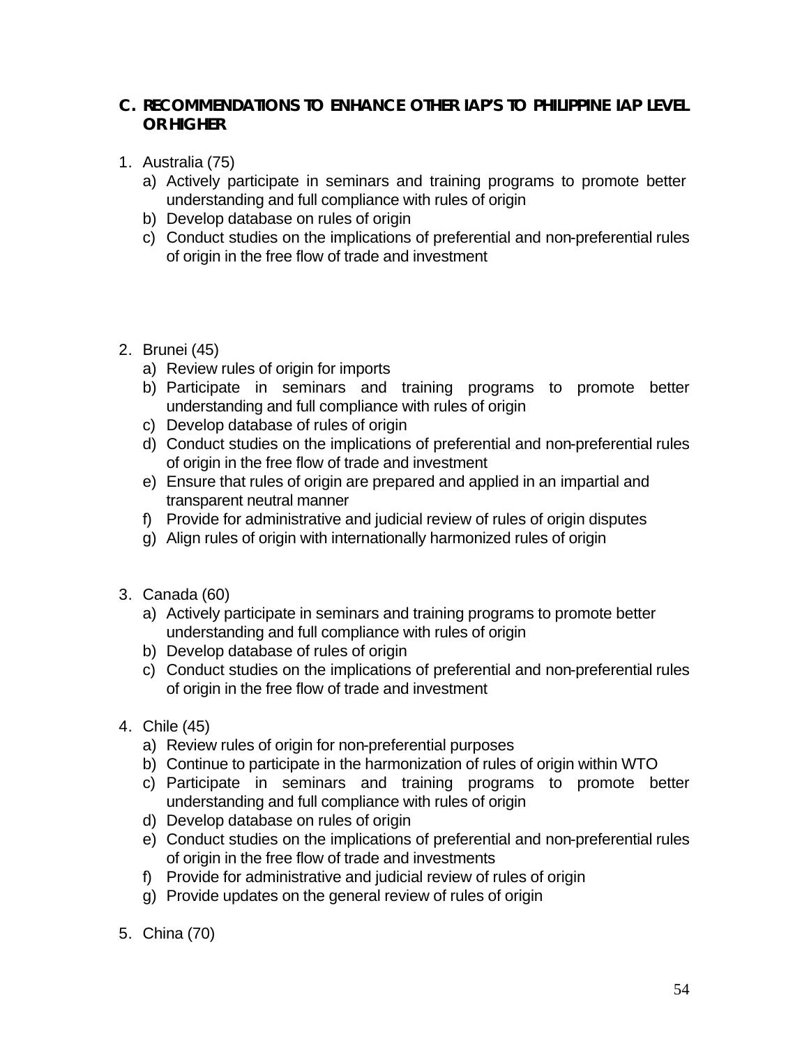## **C. RECOMMENDATIONS TO ENHANCE OTHER IAP'S TO PHILIPPINE IAP LEVEL OR HIGHER**

- 1. Australia (75)
	- a) Actively participate in seminars and training programs to promote better understanding and full compliance with rules of origin
	- b) Develop database on rules of origin
	- c) Conduct studies on the implications of preferential and non-preferential rules of origin in the free flow of trade and investment

## 2. Brunei (45)

- a) Review rules of origin for imports
- b) Participate in seminars and training programs to promote better understanding and full compliance with rules of origin
- c) Develop database of rules of origin
- d) Conduct studies on the implications of preferential and non-preferential rules of origin in the free flow of trade and investment
- e) Ensure that rules of origin are prepared and applied in an impartial and transparent neutral manner
- f) Provide for administrative and judicial review of rules of origin disputes
- g) Align rules of origin with internationally harmonized rules of origin
- 3. Canada (60)
	- a) Actively participate in seminars and training programs to promote better understanding and full compliance with rules of origin
	- b) Develop database of rules of origin
	- c) Conduct studies on the implications of preferential and non-preferential rules of origin in the free flow of trade and investment
- 4. Chile (45)
	- a) Review rules of origin for non-preferential purposes
	- b) Continue to participate in the harmonization of rules of origin within WTO
	- c) Participate in seminars and training programs to promote better understanding and full compliance with rules of origin
	- d) Develop database on rules of origin
	- e) Conduct studies on the implications of preferential and non-preferential rules of origin in the free flow of trade and investments
	- f) Provide for administrative and judicial review of rules of origin
	- g) Provide updates on the general review of rules of origin
- 5. China (70)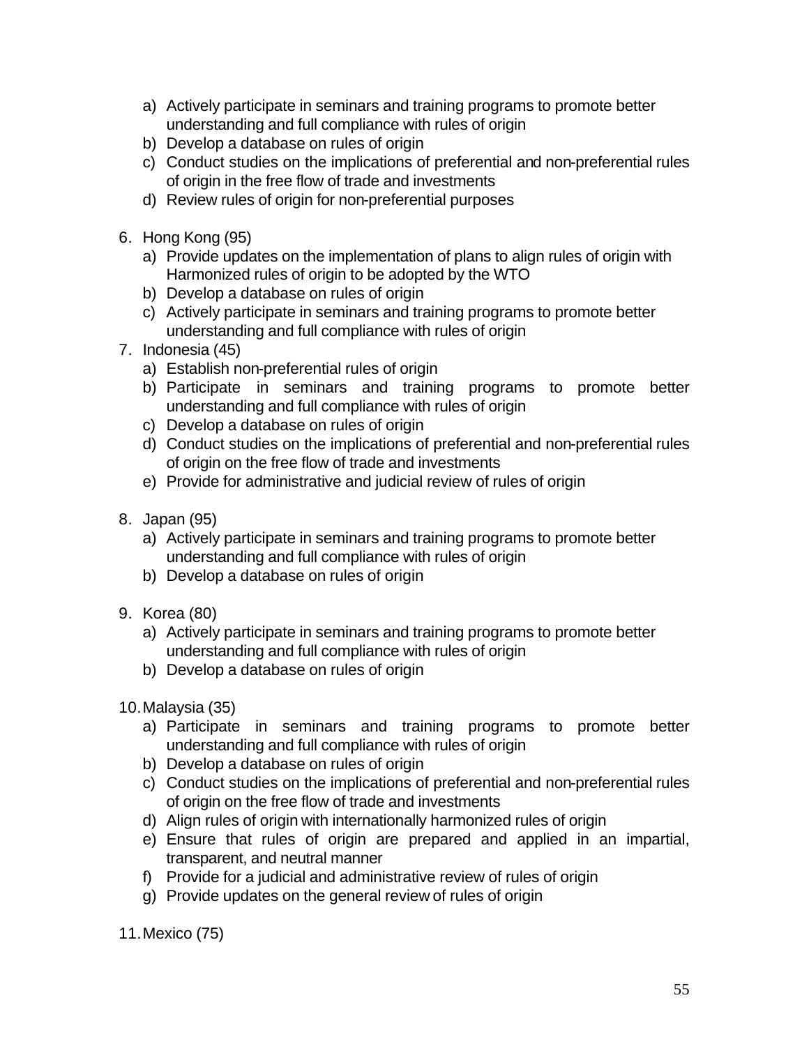- a) Actively participate in seminars and training programs to promote better understanding and full compliance with rules of origin
- b) Develop a database on rules of origin
- c) Conduct studies on the implications of preferential and non-preferential rules of origin in the free flow of trade and investments
- d) Review rules of origin for non-preferential purposes
- 6. Hong Kong (95)
	- a) Provide updates on the implementation of plans to align rules of origin with Harmonized rules of origin to be adopted by the WTO
	- b) Develop a database on rules of origin
	- c) Actively participate in seminars and training programs to promote better understanding and full compliance with rules of origin
- 7. Indonesia (45)
	- a) Establish non-preferential rules of origin
	- b) Participate in seminars and training programs to promote better understanding and full compliance with rules of origin
	- c) Develop a database on rules of origin
	- d) Conduct studies on the implications of preferential and non-preferential rules of origin on the free flow of trade and investments
	- e) Provide for administrative and judicial review of rules of origin
- 8. Japan (95)
	- a) Actively participate in seminars and training programs to promote better understanding and full compliance with rules of origin
	- b) Develop a database on rules of origin
- 9. Korea (80)
	- a) Actively participate in seminars and training programs to promote better understanding and full compliance with rules of origin
	- b) Develop a database on rules of origin
- 10.Malaysia (35)
	- a) Participate in seminars and training programs to promote better understanding and full compliance with rules of origin
	- b) Develop a database on rules of origin
	- c) Conduct studies on the implications of preferential and non-preferential rules of origin on the free flow of trade and investments
	- d) Align rules of origin with internationally harmonized rules of origin
	- e) Ensure that rules of origin are prepared and applied in an impartial, transparent, and neutral manner
	- f) Provide for a judicial and administrative review of rules of origin
	- g) Provide updates on the general review of rules of origin

11.Mexico (75)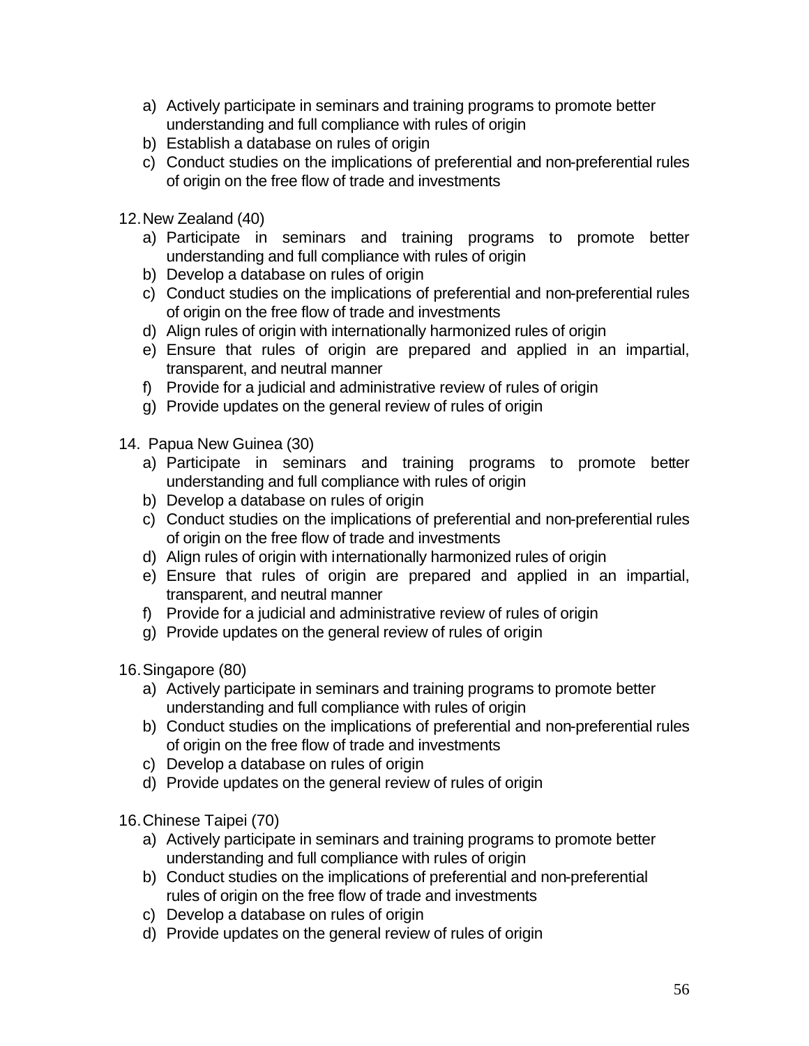- a) Actively participate in seminars and training programs to promote better understanding and full compliance with rules of origin
- b) Establish a database on rules of origin
- c) Conduct studies on the implications of preferential and non-preferential rules of origin on the free flow of trade and investments
- 12.New Zealand (40)
	- a) Participate in seminars and training programs to promote better understanding and full compliance with rules of origin
	- b) Develop a database on rules of origin
	- c) Conduct studies on the implications of preferential and non-preferential rules of origin on the free flow of trade and investments
	- d) Align rules of origin with internationally harmonized rules of origin
	- e) Ensure that rules of origin are prepared and applied in an impartial, transparent, and neutral manner
	- f) Provide for a judicial and administrative review of rules of origin
	- g) Provide updates on the general review of rules of origin
- 14. Papua New Guinea (30)
	- a) Participate in seminars and training programs to promote better understanding and full compliance with rules of origin
	- b) Develop a database on rules of origin
	- c) Conduct studies on the implications of preferential and non-preferential rules of origin on the free flow of trade and investments
	- d) Align rules of origin with internationally harmonized rules of origin
	- e) Ensure that rules of origin are prepared and applied in an impartial, transparent, and neutral manner
	- f) Provide for a judicial and administrative review of rules of origin
	- g) Provide updates on the general review of rules of origin

16.Singapore (80)

- a) Actively participate in seminars and training programs to promote better understanding and full compliance with rules of origin
- b) Conduct studies on the implications of preferential and non-preferential rules of origin on the free flow of trade and investments
- c) Develop a database on rules of origin
- d) Provide updates on the general review of rules of origin

16.Chinese Taipei (70)

- a) Actively participate in seminars and training programs to promote better understanding and full compliance with rules of origin
- b) Conduct studies on the implications of preferential and non-preferential rules of origin on the free flow of trade and investments
- c) Develop a database on rules of origin
- d) Provide updates on the general review of rules of origin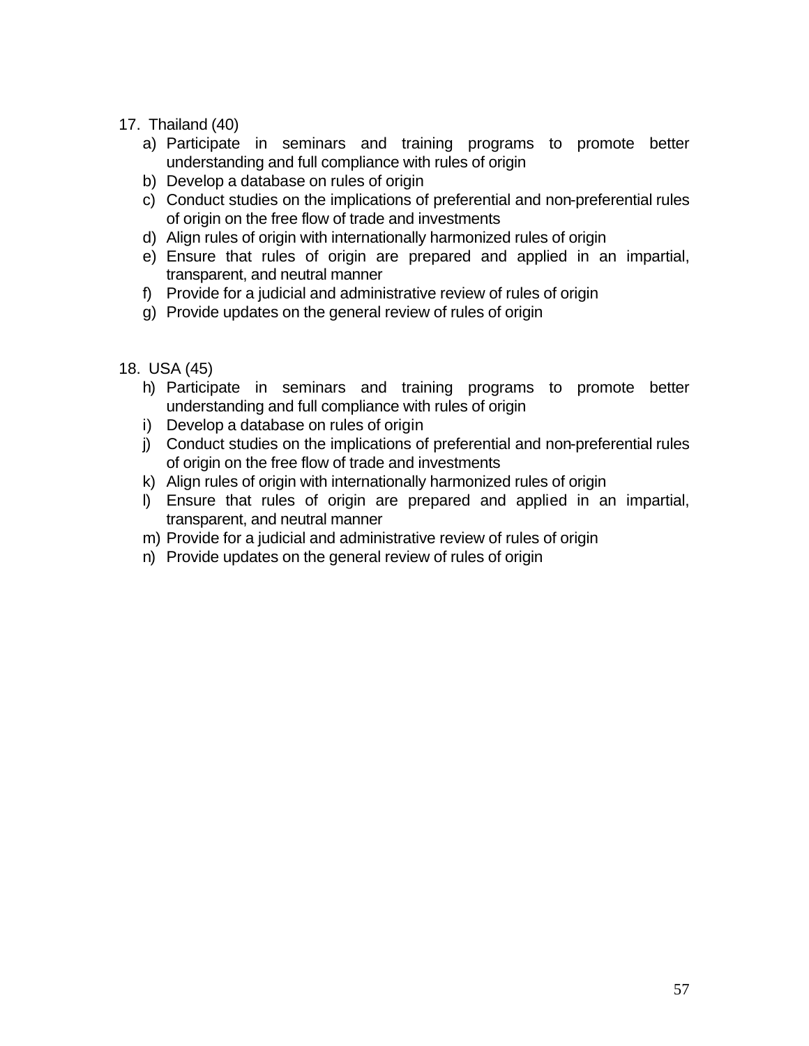- 17. Thailand (40)
	- a) Participate in seminars and training programs to promote better understanding and full compliance with rules of origin
	- b) Develop a database on rules of origin
	- c) Conduct studies on the implications of preferential and non-preferential rules of origin on the free flow of trade and investments
	- d) Align rules of origin with internationally harmonized rules of origin
	- e) Ensure that rules of origin are prepared and applied in an impartial, transparent, and neutral manner
	- f) Provide for a judicial and administrative review of rules of origin
	- g) Provide updates on the general review of rules of origin
- 18. USA (45)
	- h) Participate in seminars and training programs to promote better understanding and full compliance with rules of origin
	- i) Develop a database on rules of origin
	- j) Conduct studies on the implications of preferential and non-preferential rules of origin on the free flow of trade and investments
	- k) Align rules of origin with internationally harmonized rules of origin
	- l) Ensure that rules of origin are prepared and applied in an impartial, transparent, and neutral manner
	- m) Provide for a judicial and administrative review of rules of origin
	- n) Provide updates on the general review of rules of origin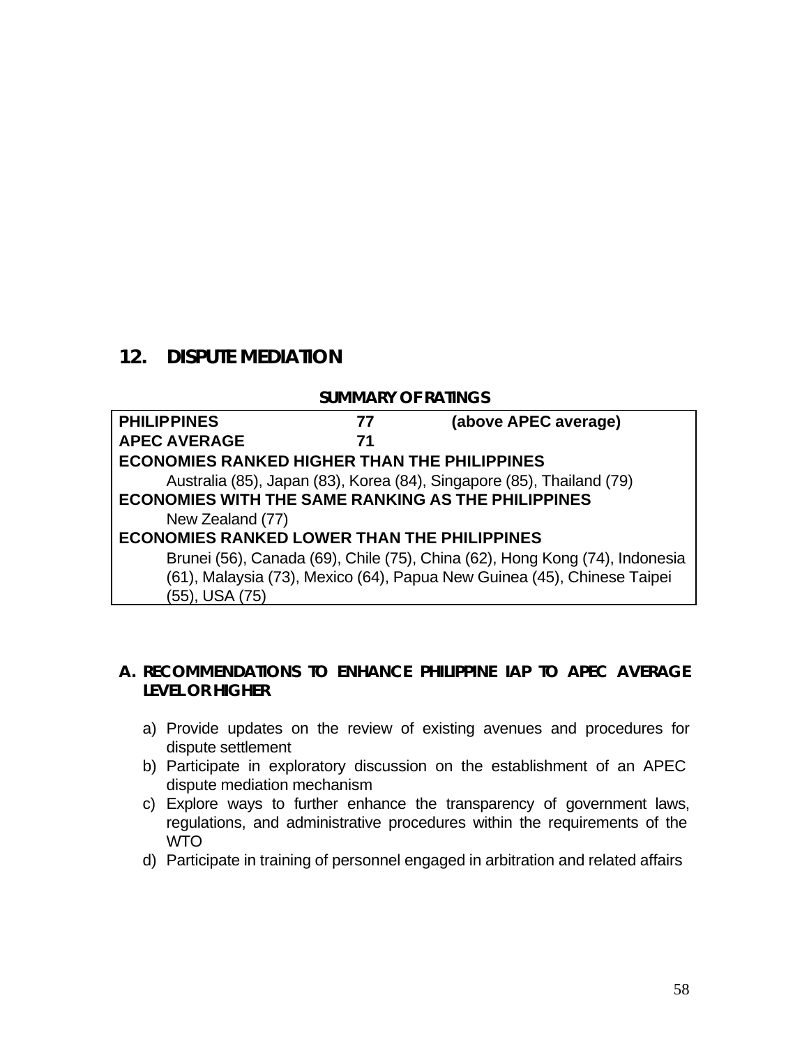# **12. DISPUTE MEDIATION**

#### **SUMMARY OF RATINGS**

| <b>PHILIPPINES</b>                                        | 77 | (above APEC average)                                                        |
|-----------------------------------------------------------|----|-----------------------------------------------------------------------------|
| <b>APEC AVERAGE</b>                                       | 71 |                                                                             |
| <b>ECONOMIES RANKED HIGHER THAN THE PHILIPPINES</b>       |    |                                                                             |
|                                                           |    | Australia (85), Japan (83), Korea (84), Singapore (85), Thailand (79)       |
| <b>ECONOMIES WITH THE SAME RANKING AS THE PHILIPPINES</b> |    |                                                                             |
| New Zealand (77)                                          |    |                                                                             |
| <b>ECONOMIES RANKED LOWER THAN THE PHILIPPINES</b>        |    |                                                                             |
|                                                           |    | Brunei (56), Canada (69), Chile (75), China (62), Hong Kong (74), Indonesia |
|                                                           |    | (61), Malaysia (73), Mexico (64), Papua New Guinea (45), Chinese Taipei     |
| (55), USA (75)                                            |    |                                                                             |

#### **A. RECOMMENDATIONS TO ENHANCE PHILIPPINE IAP TO APEC AVERAGE LEVEL OR HIGHER**

- a) Provide updates on the review of existing avenues and procedures for dispute settlement
- b) Participate in exploratory discussion on the establishment of an APEC dispute mediation mechanism
- c) Explore ways to further enhance the transparency of government laws, regulations, and administrative procedures within the requirements of the WTO
- d) Participate in training of personnel engaged in arbitration and related affairs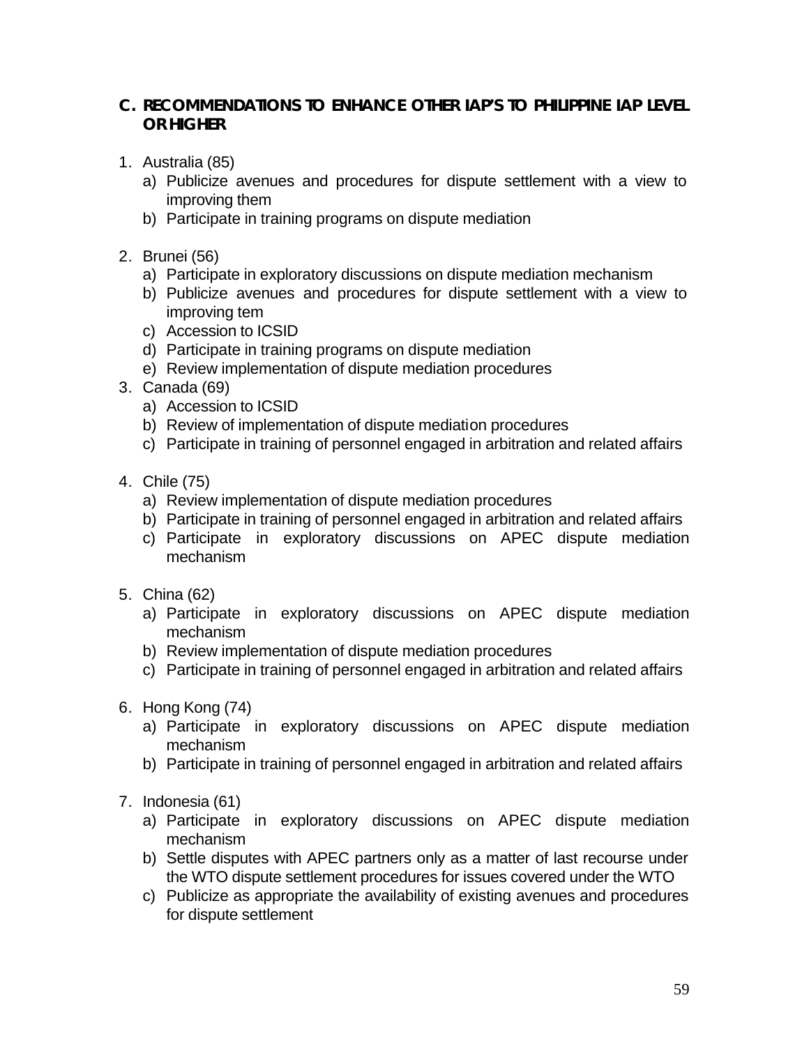## **C. RECOMMENDATIONS TO ENHANCE OTHER IAP'S TO PHILIPPINE IAP LEVEL OR HIGHER**

- 1. Australia (85)
	- a) Publicize avenues and procedures for dispute settlement with a view to improving them
	- b) Participate in training programs on dispute mediation
- 2. Brunei (56)
	- a) Participate in exploratory discussions on dispute mediation mechanism
	- b) Publicize avenues and procedures for dispute settlement with a view to improving tem
	- c) Accession to ICSID
	- d) Participate in training programs on dispute mediation
	- e) Review implementation of dispute mediation procedures
- 3. Canada (69)
	- a) Accession to ICSID
	- b) Review of implementation of dispute mediation procedures
	- c) Participate in training of personnel engaged in arbitration and related affairs
- 4. Chile (75)
	- a) Review implementation of dispute mediation procedures
	- b) Participate in training of personnel engaged in arbitration and related affairs
	- c) Participate in exploratory discussions on APEC dispute mediation mechanism
- 5. China (62)
	- a) Participate in exploratory discussions on APEC dispute mediation mechanism
	- b) Review implementation of dispute mediation procedures
	- c) Participate in training of personnel engaged in arbitration and related affairs
- 6. Hong Kong (74)
	- a) Participate in exploratory discussions on APEC dispute mediation mechanism
	- b) Participate in training of personnel engaged in arbitration and related affairs
- 7. Indonesia (61)
	- a) Participate in exploratory discussions on APEC dispute mediation mechanism
	- b) Settle disputes with APEC partners only as a matter of last recourse under the WTO dispute settlement procedures for issues covered under the WTO
	- c) Publicize as appropriate the availability of existing avenues and procedures for dispute settlement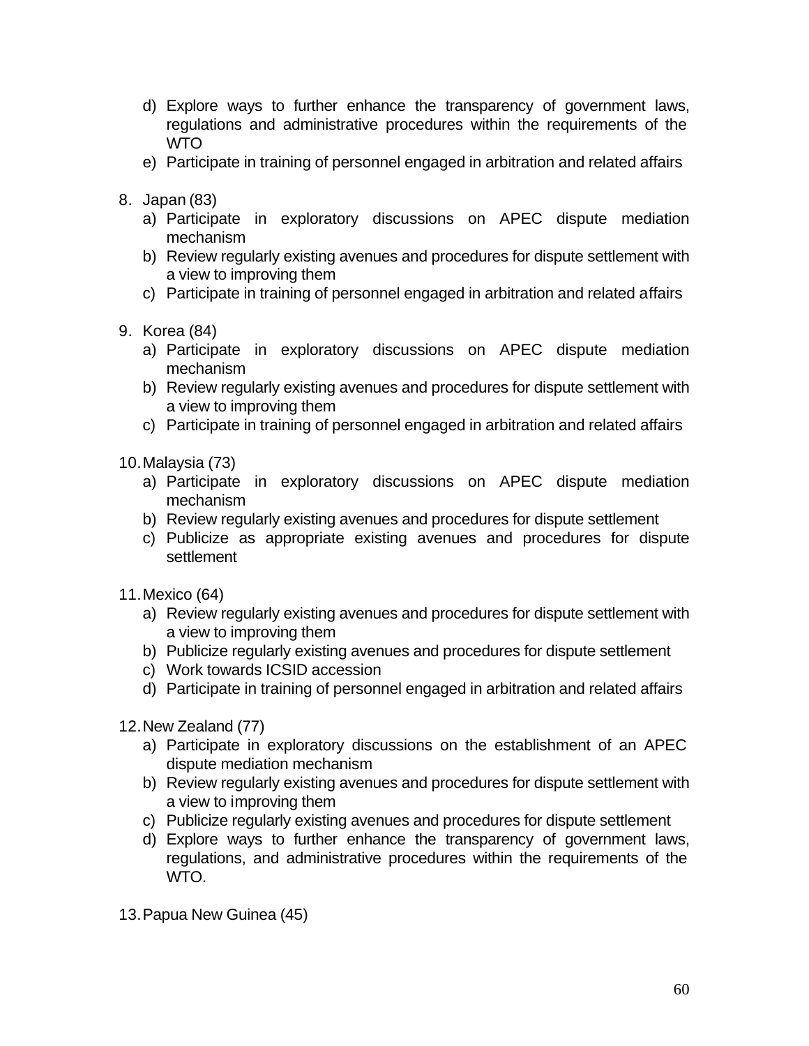- d) Explore ways to further enhance the transparency of government laws, regulations and administrative procedures within the requirements of the WTO
- e) Participate in training of personnel engaged in arbitration and related affairs
- 8. Japan (83)
	- a) Participate in exploratory discussions on APEC dispute mediation mechanism
	- b) Review regularly existing avenues and procedures for dispute settlement with a view to improving them
	- c) Participate in training of personnel engaged in arbitration and related affairs
- 9. Korea (84)
	- a) Participate in exploratory discussions on APEC dispute mediation mechanism
	- b) Review regularly existing avenues and procedures for dispute settlement with a view to improving them
	- c) Participate in training of personnel engaged in arbitration and related affairs
- 10.Malaysia (73)
	- a) Participate in exploratory discussions on APEC dispute mediation mechanism
	- b) Review regularly existing avenues and procedures for dispute settlement
	- c) Publicize as appropriate existing avenues and procedures for dispute settlement
- 11.Mexico (64)
	- a) Review regularly existing avenues and procedures for dispute settlement with a view to improving them
	- b) Publicize regularly existing avenues and procedures for dispute settlement
	- c) Work towards ICSID accession
	- d) Participate in training of personnel engaged in arbitration and related affairs
- 12.New Zealand (77)
	- a) Participate in exploratory discussions on the establishment of an APEC dispute mediation mechanism
	- b) Review regularly existing avenues and procedures for dispute settlement with a view to improving them
	- c) Publicize regularly existing avenues and procedures for dispute settlement
	- d) Explore ways to further enhance the transparency of government laws, regulations, and administrative procedures within the requirements of the WTO.
- 13.Papua New Guinea (45)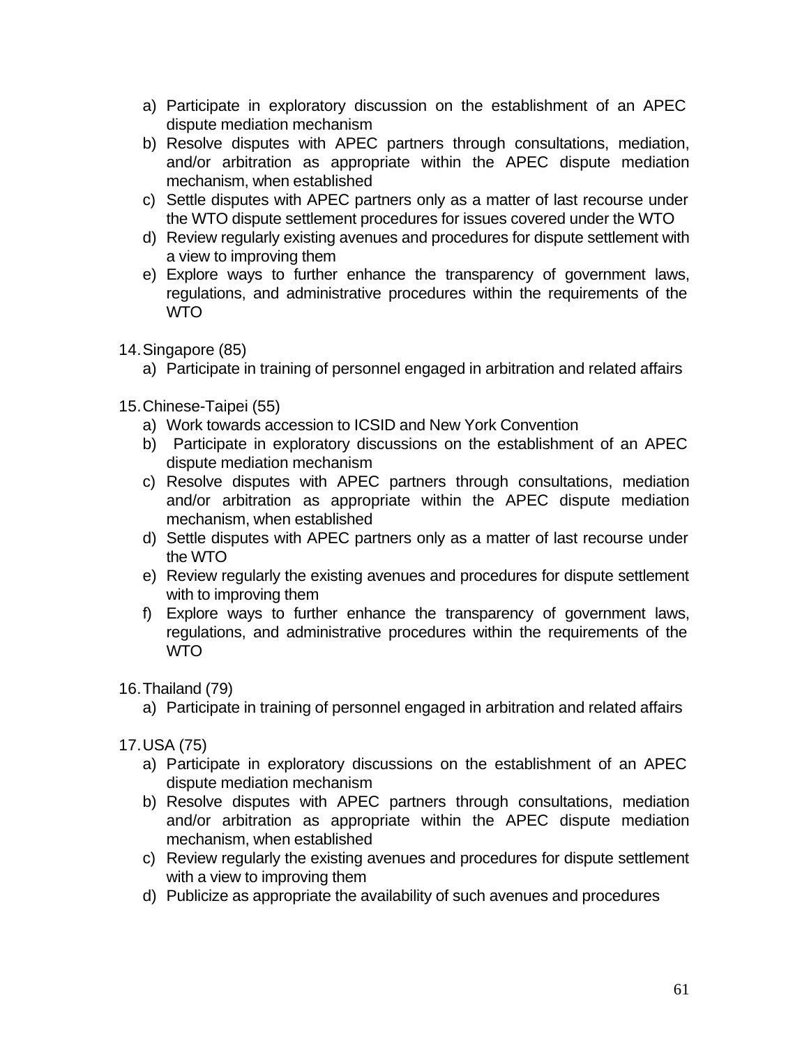- a) Participate in exploratory discussion on the establishment of an APEC dispute mediation mechanism
- b) Resolve disputes with APEC partners through consultations, mediation, and/or arbitration as appropriate within the APEC dispute mediation mechanism, when established
- c) Settle disputes with APEC partners only as a matter of last recourse under the WTO dispute settlement procedures for issues covered under the WTO
- d) Review regularly existing avenues and procedures for dispute settlement with a view to improving them
- e) Explore ways to further enhance the transparency of government laws, regulations, and administrative procedures within the requirements of the WTO
- 14.Singapore (85)
	- a) Participate in training of personnel engaged in arbitration and related affairs
- 15.Chinese-Taipei (55)
	- a) Work towards accession to ICSID and New York Convention
	- b) Participate in exploratory discussions on the establishment of an APEC dispute mediation mechanism
	- c) Resolve disputes with APEC partners through consultations, mediation and/or arbitration as appropriate within the APEC dispute mediation mechanism, when established
	- d) Settle disputes with APEC partners only as a matter of last recourse under the WTO
	- e) Review regularly the existing avenues and procedures for dispute settlement with to improving them
	- f) Explore ways to further enhance the transparency of government laws, regulations, and administrative procedures within the requirements of the WTO
- 16.Thailand (79)
	- a) Participate in training of personnel engaged in arbitration and related affairs
- 17.USA (75)
	- a) Participate in exploratory discussions on the establishment of an APEC dispute mediation mechanism
	- b) Resolve disputes with APEC partners through consultations, mediation and/or arbitration as appropriate within the APEC dispute mediation mechanism, when established
	- c) Review regularly the existing avenues and procedures for dispute settlement with a view to improving them
	- d) Publicize as appropriate the availability of such avenues and procedures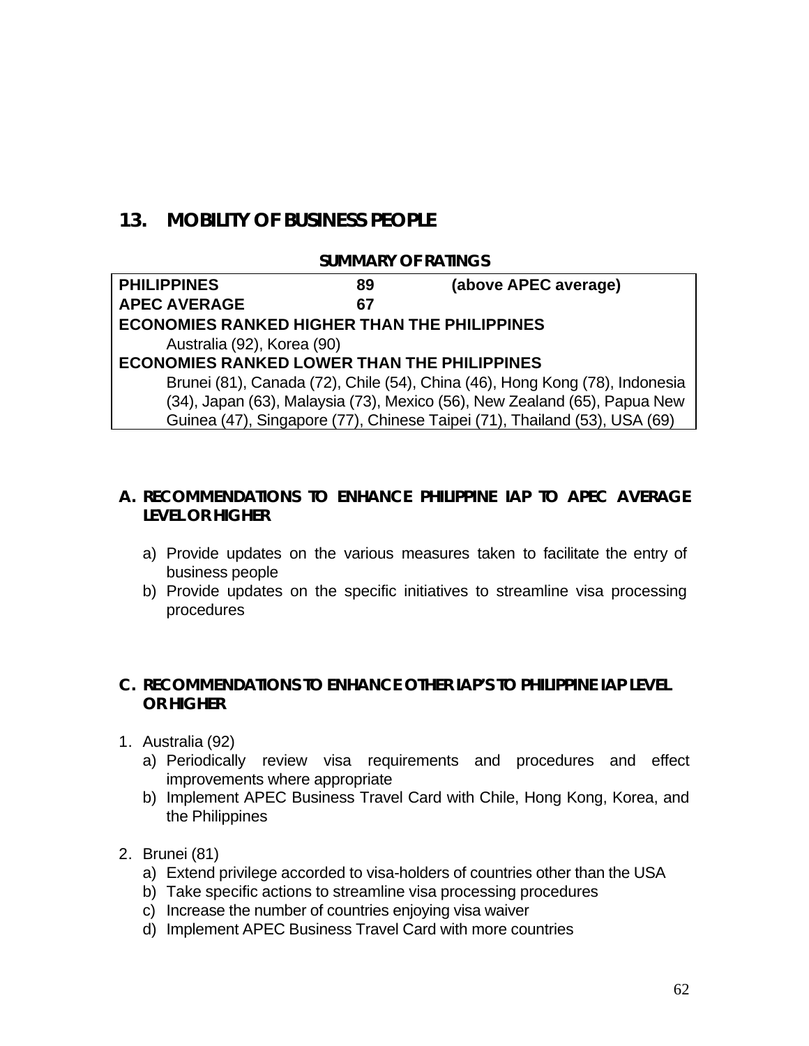## **13. MOBILITY OF BUSINESS PEOPLE**

#### **SUMMARY OF RATINGS**

| <b>PHILIPPINES</b>                                  | 89 | (above APEC average)                                                        |
|-----------------------------------------------------|----|-----------------------------------------------------------------------------|
| <b>APEC AVERAGE</b>                                 | 67 |                                                                             |
| <b>ECONOMIES RANKED HIGHER THAN THE PHILIPPINES</b> |    |                                                                             |
| Australia (92), Korea (90)                          |    |                                                                             |
| <b>ECONOMIES RANKED LOWER THAN THE PHILIPPINES</b>  |    |                                                                             |
|                                                     |    | Brunei (81), Canada (72), Chile (54), China (46), Hong Kong (78), Indonesia |
|                                                     |    | (34), Japan (63), Malaysia (73), Mexico (56), New Zealand (65), Papua New   |
|                                                     |    | Guinea (47), Singapore (77), Chinese Taipei (71), Thailand (53), USA (69)   |

## **A. RECOMMENDATIONS TO ENHANCE PHILIPPINE IAP TO APEC AVERAGE LEVEL OR HIGHER**

- a) Provide updates on the various measures taken to facilitate the entry of business people
- b) Provide updates on the specific initiatives to streamline visa processing procedures

#### **C. RECOMMENDATIONS TO ENHANCE OTHER IAP'S TO PHILIPPINE IAP LEVEL OR HIGHER**

- 1. Australia (92)
	- a) Periodically review visa requirements and procedures and effect improvements where appropriate
	- b) Implement APEC Business Travel Card with Chile, Hong Kong, Korea, and the Philippines
- 2. Brunei (81)
	- a) Extend privilege accorded to visa-holders of countries other than the USA
	- b) Take specific actions to streamline visa processing procedures
	- c) Increase the number of countries enjoying visa waiver
	- d) Implement APEC Business Travel Card with more countries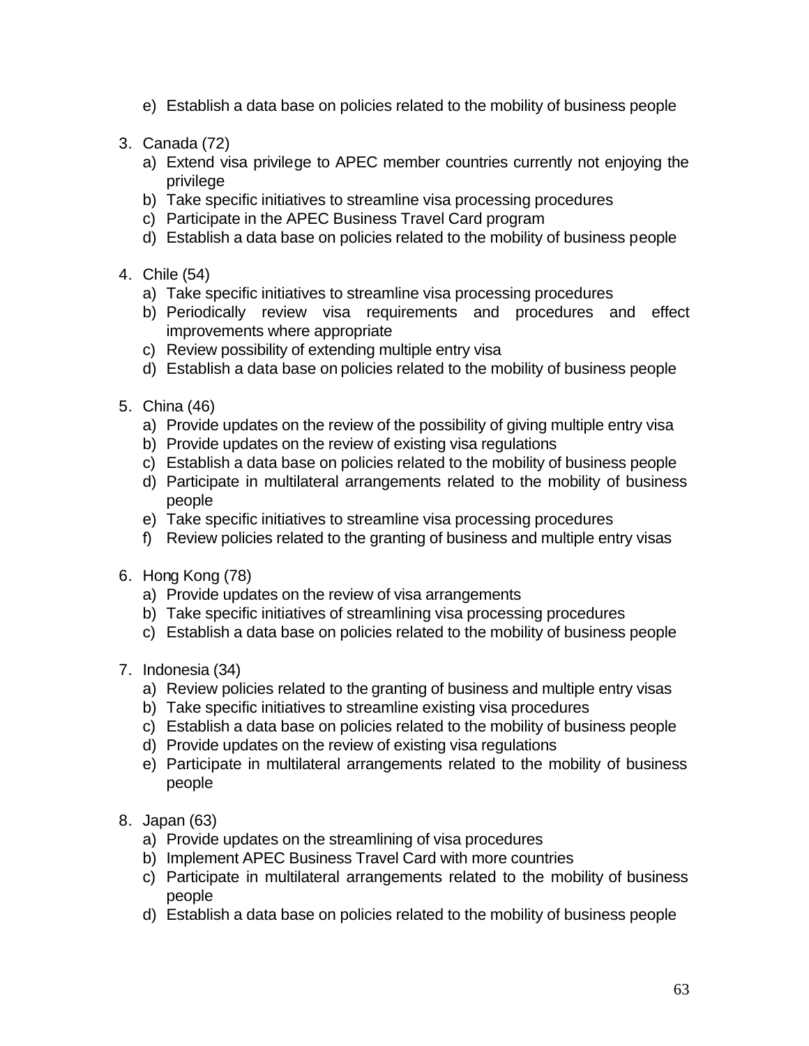- e) Establish a data base on policies related to the mobility of business people
- 3. Canada (72)
	- a) Extend visa privilege to APEC member countries currently not enjoying the privilege
	- b) Take specific initiatives to streamline visa processing procedures
	- c) Participate in the APEC Business Travel Card program
	- d) Establish a data base on policies related to the mobility of business people
- 4. Chile (54)
	- a) Take specific initiatives to streamline visa processing procedures
	- b) Periodically review visa requirements and procedures and effect improvements where appropriate
	- c) Review possibility of extending multiple entry visa
	- d) Establish a data base on policies related to the mobility of business people
- 5. China (46)
	- a) Provide updates on the review of the possibility of giving multiple entry visa
	- b) Provide updates on the review of existing visa regulations
	- c) Establish a data base on policies related to the mobility of business people
	- d) Participate in multilateral arrangements related to the mobility of business people
	- e) Take specific initiatives to streamline visa processing procedures
	- f) Review policies related to the granting of business and multiple entry visas
- 6. Hong Kong (78)
	- a) Provide updates on the review of visa arrangements
	- b) Take specific initiatives of streamlining visa processing procedures
	- c) Establish a data base on policies related to the mobility of business people
- 7. Indonesia (34)
	- a) Review policies related to the granting of business and multiple entry visas
	- b) Take specific initiatives to streamline existing visa procedures
	- c) Establish a data base on policies related to the mobility of business people
	- d) Provide updates on the review of existing visa regulations
	- e) Participate in multilateral arrangements related to the mobility of business people
- 8. Japan (63)
	- a) Provide updates on the streamlining of visa procedures
	- b) Implement APEC Business Travel Card with more countries
	- c) Participate in multilateral arrangements related to the mobility of business people
	- d) Establish a data base on policies related to the mobility of business people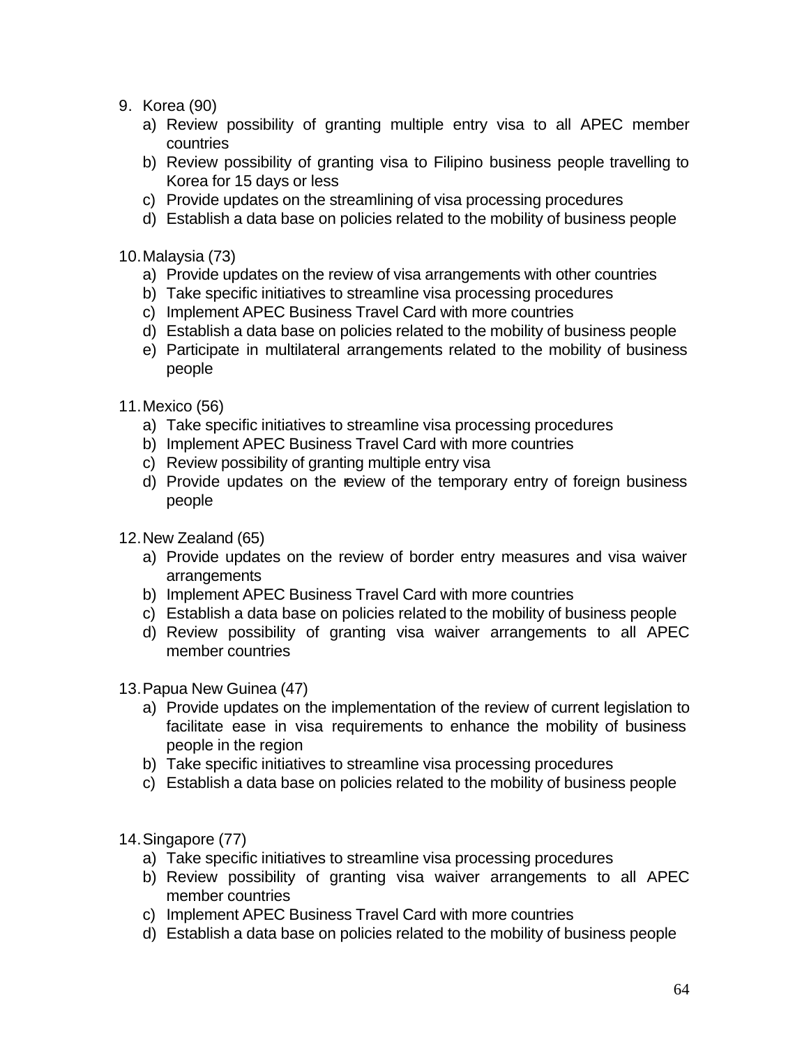- 9. Korea (90)
	- a) Review possibility of granting multiple entry visa to all APEC member countries
	- b) Review possibility of granting visa to Filipino business people travelling to Korea for 15 days or less
	- c) Provide updates on the streamlining of visa processing procedures
	- d) Establish a data base on policies related to the mobility of business people
- 10.Malaysia (73)
	- a) Provide updates on the review of visa arrangements with other countries
	- b) Take specific initiatives to streamline visa processing procedures
	- c) Implement APEC Business Travel Card with more countries
	- d) Establish a data base on policies related to the mobility of business people
	- e) Participate in multilateral arrangements related to the mobility of business people
- 11.Mexico (56)
	- a) Take specific initiatives to streamline visa processing procedures
	- b) Implement APEC Business Travel Card with more countries
	- c) Review possibility of granting multiple entry visa
	- d) Provide updates on the review of the temporary entry of foreign business people
- 12.New Zealand (65)
	- a) Provide updates on the review of border entry measures and visa waiver arrangements
	- b) Implement APEC Business Travel Card with more countries
	- c) Establish a data base on policies related to the mobility of business people
	- d) Review possibility of granting visa waiver arrangements to all APEC member countries
- 13.Papua New Guinea (47)
	- a) Provide updates on the implementation of the review of current legislation to facilitate ease in visa requirements to enhance the mobility of business people in the region
	- b) Take specific initiatives to streamline visa processing procedures
	- c) Establish a data base on policies related to the mobility of business people
- 14.Singapore (77)
	- a) Take specific initiatives to streamline visa processing procedures
	- b) Review possibility of granting visa waiver arrangements to all APEC member countries
	- c) Implement APEC Business Travel Card with more countries
	- d) Establish a data base on policies related to the mobility of business people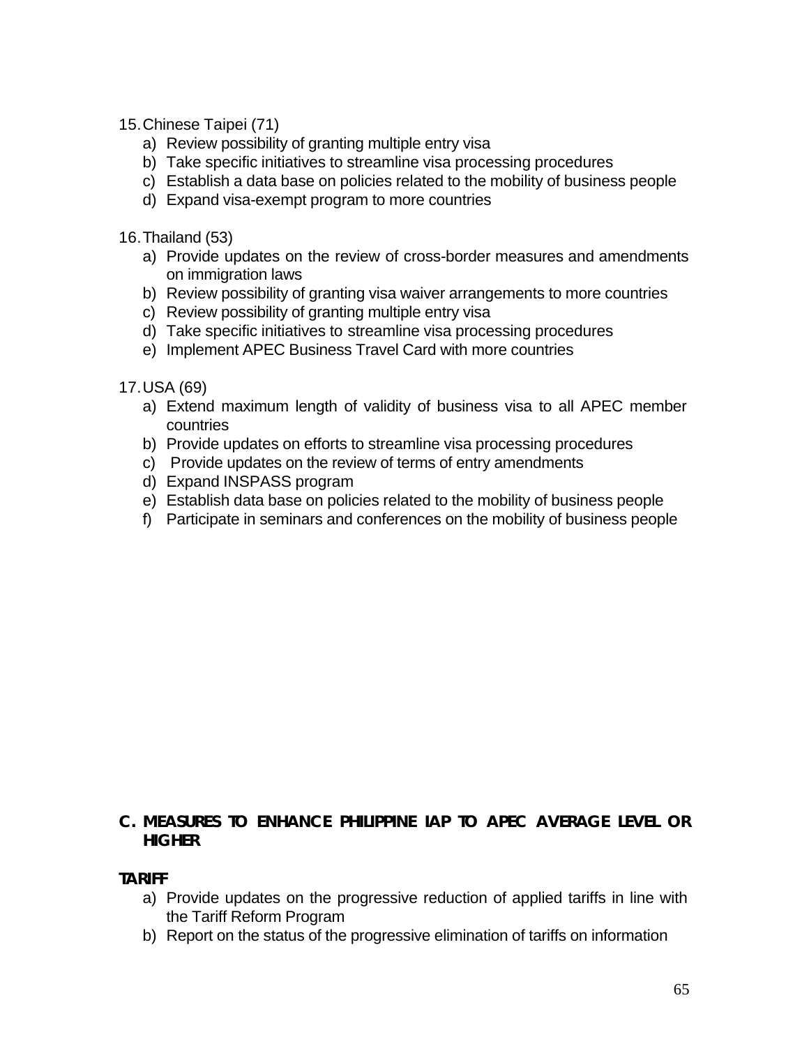15.Chinese Taipei (71)

- a) Review possibility of granting multiple entry visa
- b) Take specific initiatives to streamline visa processing procedures
- c) Establish a data base on policies related to the mobility of business people
- d) Expand visa-exempt program to more countries

16.Thailand (53)

- a) Provide updates on the review of cross-border measures and amendments on immigration laws
- b) Review possibility of granting visa waiver arrangements to more countries
- c) Review possibility of granting multiple entry visa
- d) Take specific initiatives to streamline visa processing procedures
- e) Implement APEC Business Travel Card with more countries

17.USA (69)

- a) Extend maximum length of validity of business visa to all APEC member countries
- b) Provide updates on efforts to streamline visa processing procedures
- c) Provide updates on the review of terms of entry amendments
- d) Expand INSPASS program
- e) Establish data base on policies related to the mobility of business people
- f) Participate in seminars and conferences on the mobility of business people

## **C. MEASURES TO ENHANCE PHILIPPINE IAP TO APEC AVERAGE LEVEL OR HIGHER**

#### **TARIFF**

- a) Provide updates on the progressive reduction of applied tariffs in line with the Tariff Reform Program
- b) Report on the status of the progressive elimination of tariffs on information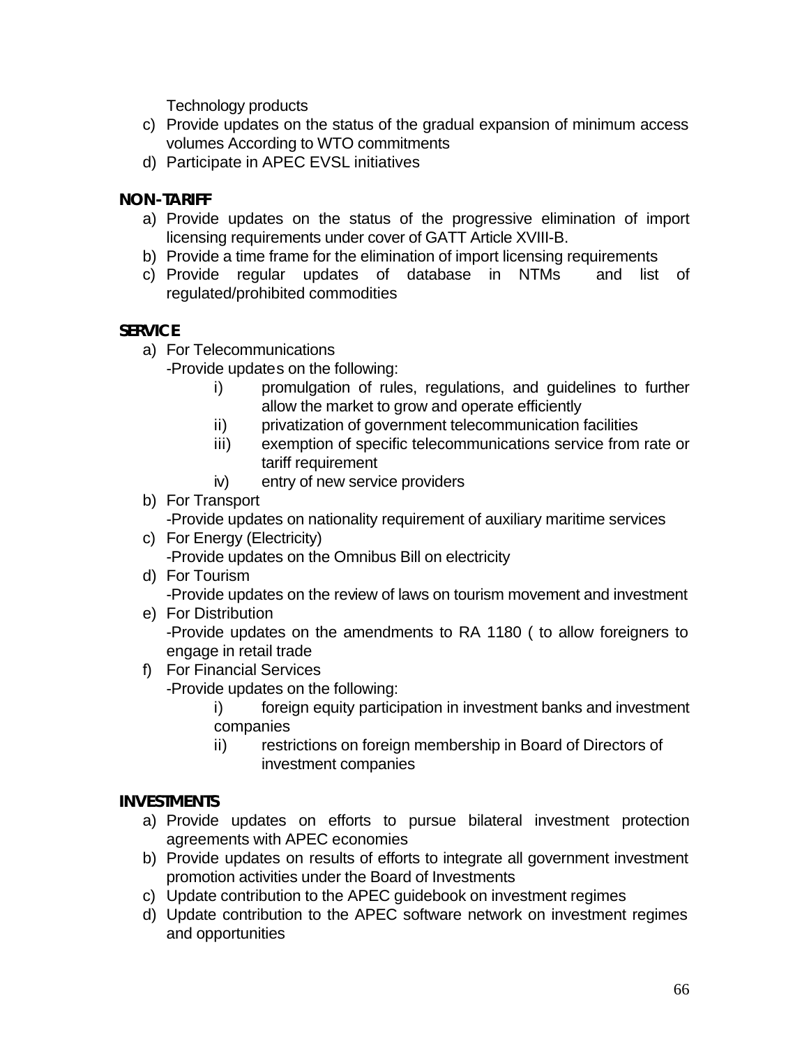Technology products

- c) Provide updates on the status of the gradual expansion of minimum access volumes According to WTO commitments
- d) Participate in APEC EVSL initiatives

## **NON-TARIFF**

- a) Provide updates on the status of the progressive elimination of import licensing requirements under cover of GATT Article XVIII-B.
- b) Provide a time frame for the elimination of import licensing requirements
- c) Provide regular updates of database in NTMs and list of regulated/prohibited commodities

#### **SERVICE**

- a) For Telecommunications
	- -Provide updates on the following:
		- i) promulgation of rules, regulations, and guidelines to further allow the market to grow and operate efficiently
		- ii) privatization of government telecommunication facilities
		- iii) exemption of specific telecommunications service from rate or tariff requirement
		- iv) entry of new service providers

## b) For Transport

-Provide updates on nationality requirement of auxiliary maritime services

- c) For Energy (Electricity) -Provide updates on the Omnibus Bill on electricity
- d) For Tourism

-Provide updates on the review of laws on tourism movement and investment

e) For Distribution

-Provide updates on the amendments to RA 1180 ( to allow foreigners to engage in retail trade

- f) For Financial Services -Provide updates on the following:
	- i) foreign equity participation in investment banks and investment companies
	- ii) restrictions on foreign membership in Board of Directors of investment companies

#### **INVESTMENTS**

- a) Provide updates on efforts to pursue bilateral investment protection agreements with APEC economies
- b) Provide updates on results of efforts to integrate all government investment promotion activities under the Board of Investments
- c) Update contribution to the APEC guidebook on investment regimes
- d) Update contribution to the APEC software network on investment regimes and opportunities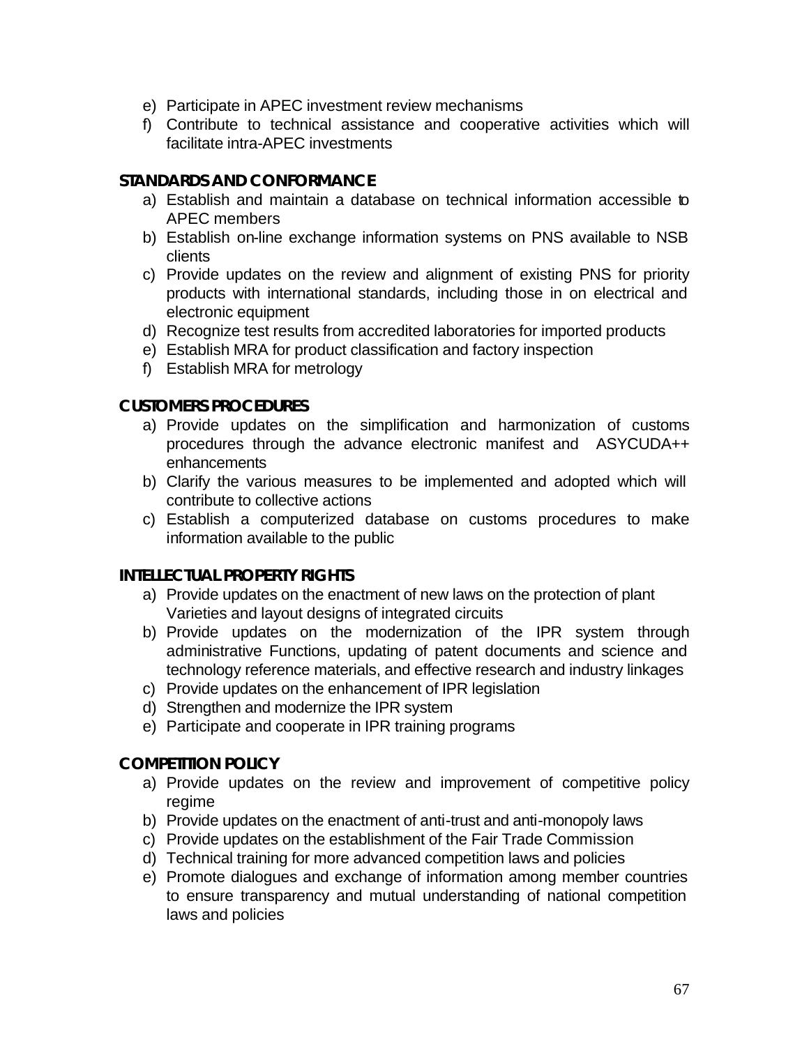- e) Participate in APEC investment review mechanisms
- f) Contribute to technical assistance and cooperative activities which will facilitate intra-APEC investments

#### **STANDARDS AND CONFORMANCE**

- a) Establish and maintain a database on technical information accessible to APEC members
- b) Establish on-line exchange information systems on PNS available to NSB clients
- c) Provide updates on the review and alignment of existing PNS for priority products with international standards, including those in on electrical and electronic equipment
- d) Recognize test results from accredited laboratories for imported products
- e) Establish MRA for product classification and factory inspection
- f) Establish MRA for metrology

#### **CUSTOMERS PROCEDURES**

- a) Provide updates on the simplification and harmonization of customs procedures through the advance electronic manifest and ASYCUDA++ enhancements
- b) Clarify the various measures to be implemented and adopted which will contribute to collective actions
- c) Establish a computerized database on customs procedures to make information available to the public

## **INTELLECTUAL PROPERTY RIGHTS**

- a) Provide updates on the enactment of new laws on the protection of plant Varieties and layout designs of integrated circuits
- b) Provide updates on the modernization of the IPR system through administrative Functions, updating of patent documents and science and technology reference materials, and effective research and industry linkages
- c) Provide updates on the enhancement of IPR legislation
- d) Strengthen and modernize the IPR system
- e) Participate and cooperate in IPR training programs

#### **COMPETITION POLICY**

- a) Provide updates on the review and improvement of competitive policy regime
- b) Provide updates on the enactment of anti-trust and anti-monopoly laws
- c) Provide updates on the establishment of the Fair Trade Commission
- d) Technical training for more advanced competition laws and policies
- e) Promote dialogues and exchange of information among member countries to ensure transparency and mutual understanding of national competition laws and policies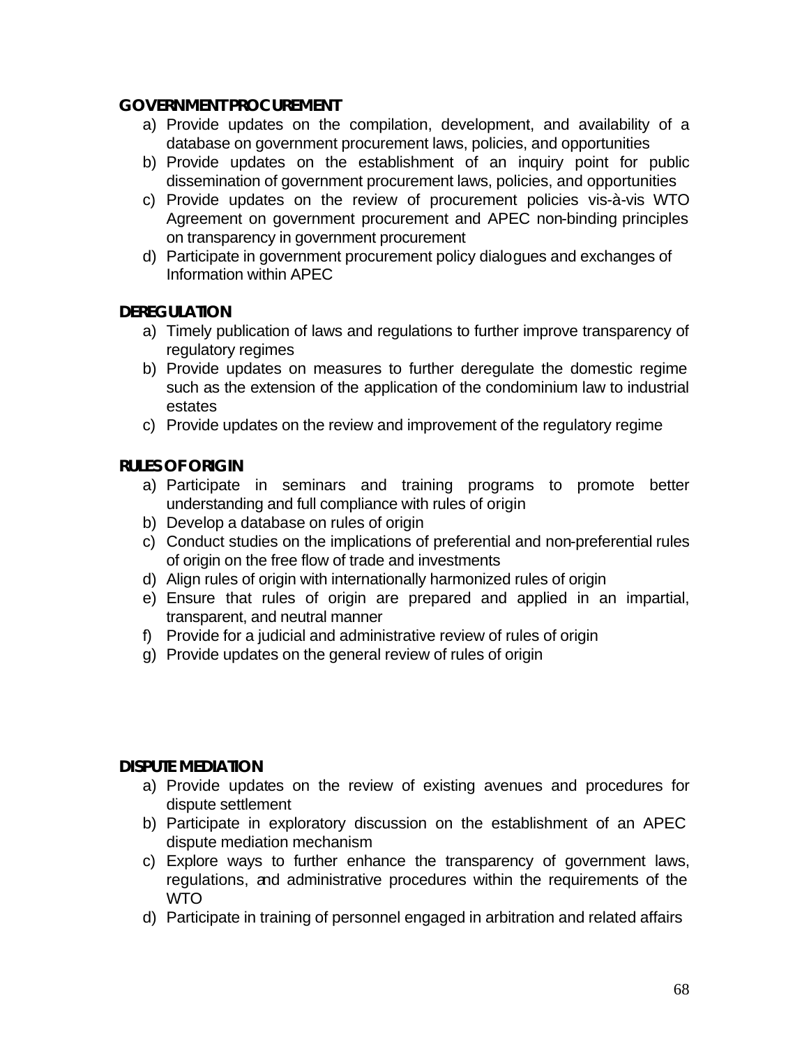#### **GOVERNMENT PROCUREMENT**

- a) Provide updates on the compilation, development, and availability of a database on government procurement laws, policies, and opportunities
- b) Provide updates on the establishment of an inquiry point for public dissemination of government procurement laws, policies, and opportunities
- c) Provide updates on the review of procurement policies vis-à-vis WTO Agreement on government procurement and APEC non-binding principles on transparency in government procurement
- d) Participate in government procurement policy dialogues and exchanges of Information within APEC

#### **DEREGULATION**

- a) Timely publication of laws and regulations to further improve transparency of regulatory regimes
- b) Provide updates on measures to further deregulate the domestic regime such as the extension of the application of the condominium law to industrial estates
- c) Provide updates on the review and improvement of the regulatory regime

## **RULES OF ORIGIN**

- a) Participate in seminars and training programs to promote better understanding and full compliance with rules of origin
- b) Develop a database on rules of origin
- c) Conduct studies on the implications of preferential and non-preferential rules of origin on the free flow of trade and investments
- d) Align rules of origin with internationally harmonized rules of origin
- e) Ensure that rules of origin are prepared and applied in an impartial, transparent, and neutral manner
- f) Provide for a judicial and administrative review of rules of origin
- g) Provide updates on the general review of rules of origin

#### **DISPUTE MEDIATION**

- a) Provide updates on the review of existing avenues and procedures for dispute settlement
- b) Participate in exploratory discussion on the establishment of an APEC dispute mediation mechanism
- c) Explore ways to further enhance the transparency of government laws, regulations, and administrative procedures within the requirements of the WTO
- d) Participate in training of personnel engaged in arbitration and related affairs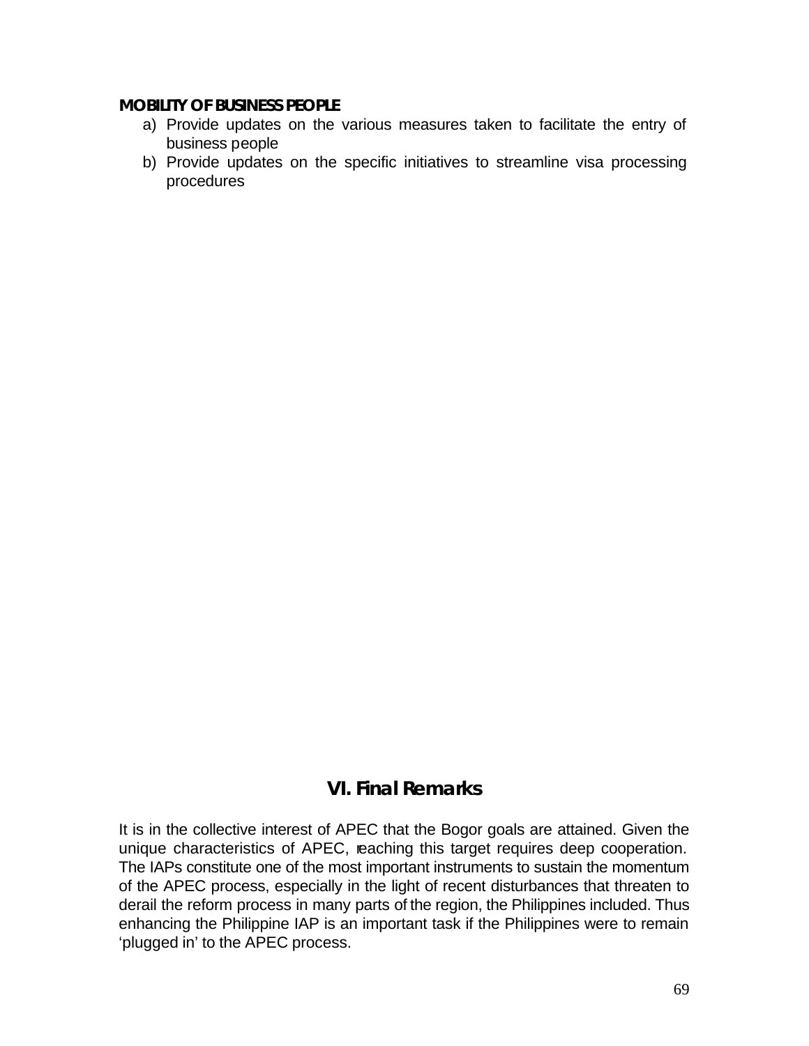#### **MOBILITY OF BUSINESS PEOPLE**

- a) Provide updates on the various measures taken to facilitate the entry of business people
- b) Provide updates on the specific initiatives to streamline visa processing procedures

## **VI. Final Remarks**

It is in the collective interest of APEC that the Bogor goals are attained. Given the unique characteristics of APEC, reaching this target requires deep cooperation. The IAPs constitute one of the most important instruments to sustain the momentum of the APEC process, especially in the light of recent disturbances that threaten to derail the reform process in many parts of the region, the Philippines included. Thus enhancing the Philippine IAP is an important task if the Philippines were to remain 'plugged in' to the APEC process.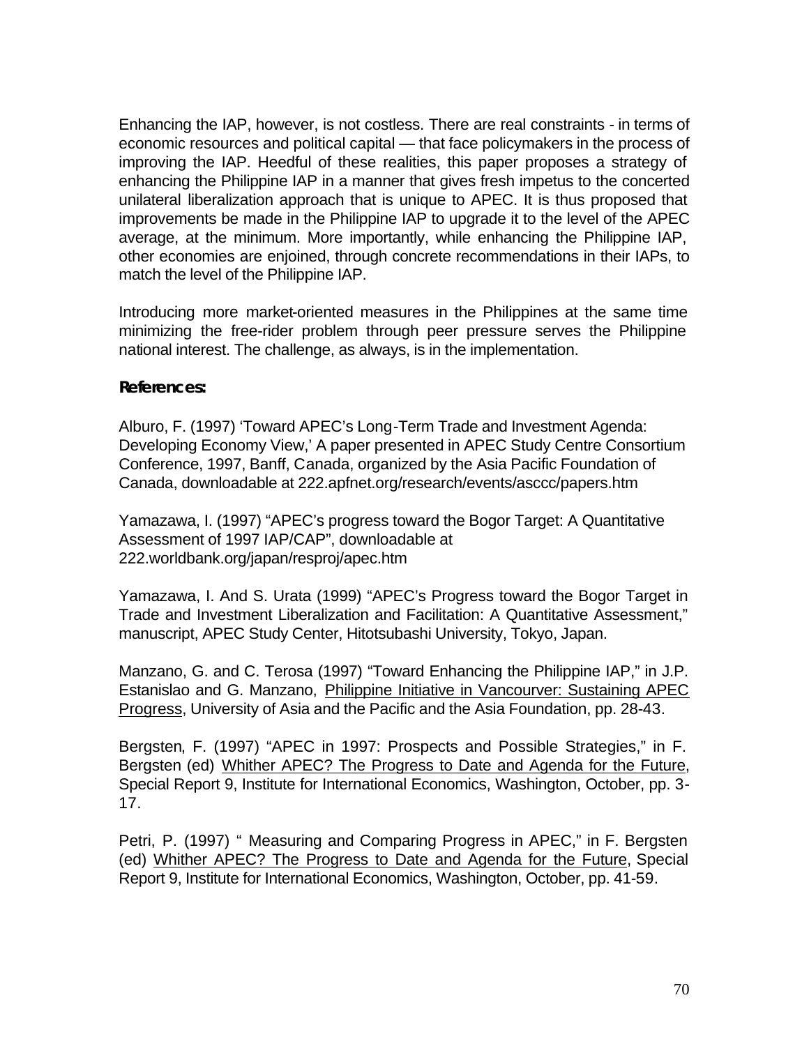Enhancing the IAP, however, is not costless. There are real constraints - in terms of economic resources and political capital — that face policymakers in the process of improving the IAP. Heedful of these realities, this paper proposes a strategy of enhancing the Philippine IAP in a manner that gives fresh impetus to the concerted unilateral liberalization approach that is unique to APEC. It is thus proposed that improvements be made in the Philippine IAP to upgrade it to the level of the APEC average, at the minimum. More importantly, while enhancing the Philippine IAP, other economies are enjoined, through concrete recommendations in their IAPs, to match the level of the Philippine IAP.

Introducing more market-oriented measures in the Philippines at the same time minimizing the free-rider problem through peer pressure serves the Philippine national interest. The challenge, as always, is in the implementation.

#### **References:**

Alburo, F. (1997) 'Toward APEC's Long-Term Trade and Investment Agenda: Developing Economy View,' A paper presented in APEC Study Centre Consortium Conference, 1997, Banff, Canada, organized by the Asia Pacific Foundation of Canada, downloadable at 222.apfnet.org/research/events/asccc/papers.htm

Yamazawa, I. (1997) "APEC's progress toward the Bogor Target: A Quantitative Assessment of 1997 IAP/CAP", downloadable at 222.worldbank.org/japan/resproj/apec.htm

Yamazawa, I. And S. Urata (1999) "APEC's Progress toward the Bogor Target in Trade and Investment Liberalization and Facilitation: A Quantitative Assessment," manuscript, APEC Study Center, Hitotsubashi University, Tokyo, Japan.

Manzano, G. and C. Terosa (1997) "Toward Enhancing the Philippine IAP," in J.P. Estanislao and G. Manzano, Philippine Initiative in Vancourver: Sustaining APEC Progress, University of Asia and the Pacific and the Asia Foundation, pp. 28-43.

Bergsten, F. (1997) "APEC in 1997: Prospects and Possible Strategies," in F. Bergsten (ed) Whither APEC? The Progress to Date and Agenda for the Future, Special Report 9, Institute for International Economics, Washington, October, pp. 3- 17.

Petri, P. (1997) " Measuring and Comparing Progress in APEC," in F. Bergsten (ed) Whither APEC? The Progress to Date and Agenda for the Future, Special Report 9, Institute for International Economics, Washington, October, pp. 41-59.